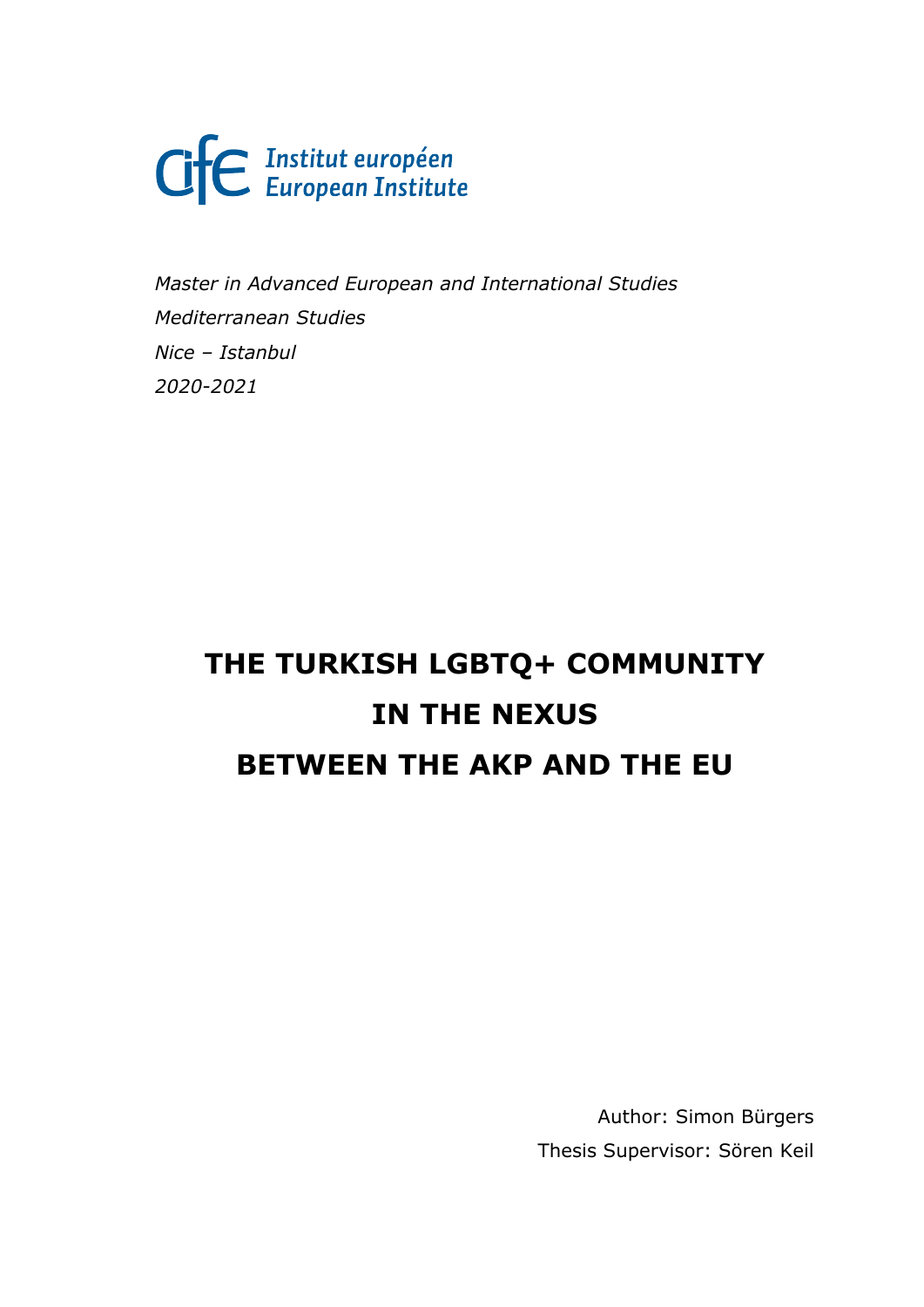Cife Institut européen

*Master in Advanced European and International Studies Mediterranean Studies Nice – Istanbul 2020-2021*

# **THE TURKISH LGBTQ+ COMMUNITY IN THE NEXUS BETWEEN THE AKP AND THE EU**

Author: Simon Bürgers Thesis Supervisor: Sören Keil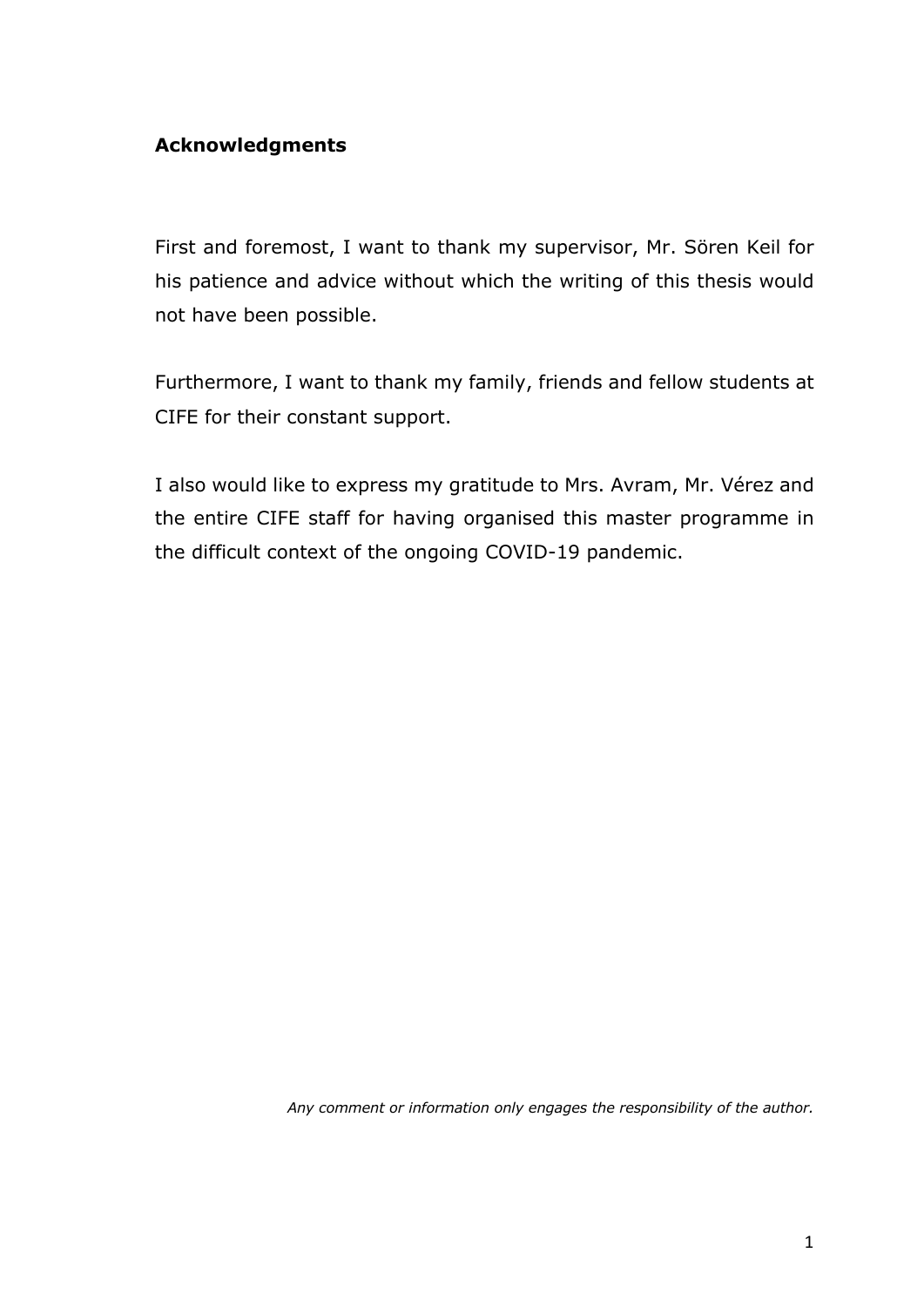## **Acknowledgments**

First and foremost, I want to thank my supervisor, Mr. Sören Keil for his patience and advice without which the writing of this thesis would not have been possible.

Furthermore, I want to thank my family, friends and fellow students at CIFE for their constant support.

I also would like to express my gratitude to Mrs. Avram, Mr. Vérez and the entire CIFE staff for having organised this master programme in the difficult context of the ongoing COVID-19 pandemic.

*Any comment or information only engages the responsibility of the author.*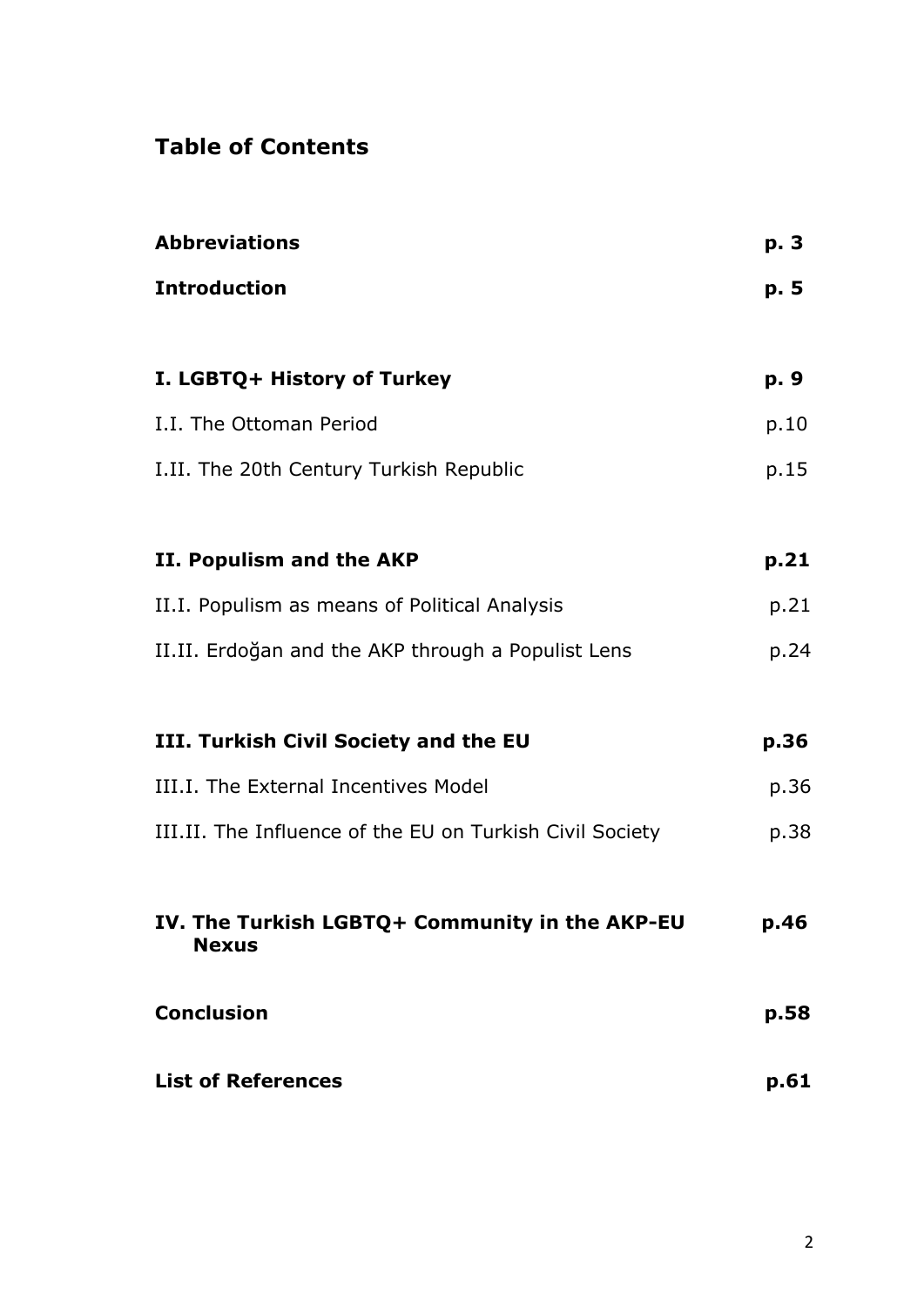# **Table of Contents**

| <b>Abbreviations</b>                                           | p. 3 |
|----------------------------------------------------------------|------|
| <b>Introduction</b>                                            | p. 5 |
| I. LGBTQ+ History of Turkey                                    | p. 9 |
| I.I. The Ottoman Period                                        | p.10 |
| I.II. The 20th Century Turkish Republic                        | p.15 |
| II. Populism and the AKP                                       | p.21 |
| II.I. Populism as means of Political Analysis                  | p.21 |
| II.II. Erdoğan and the AKP through a Populist Lens             | p.24 |
| III. Turkish Civil Society and the EU                          | p.36 |
| III.I. The External Incentives Model                           | p.36 |
| III.II. The Influence of the EU on Turkish Civil Society       | p.38 |
| IV. The Turkish LGBTQ+ Community in the AKP-EU<br><b>Nexus</b> | p.46 |
| <b>Conclusion</b>                                              | p.58 |
| <b>List of References</b>                                      | p.61 |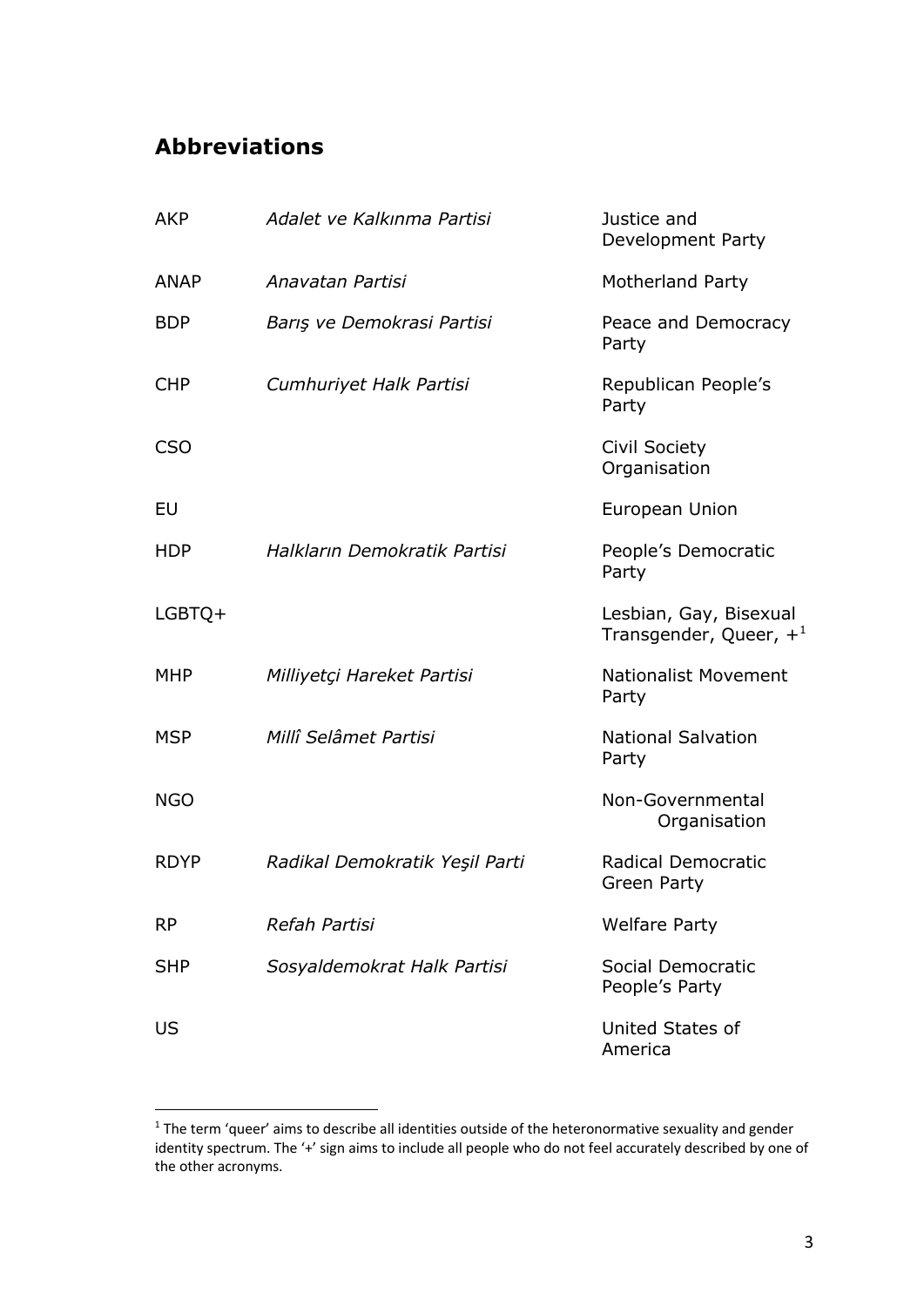# **Abbreviations**

| <b>AKP</b>  | Adalet ve Kalkınma Partisi     | Justice and<br>Development Party                    |
|-------------|--------------------------------|-----------------------------------------------------|
| <b>ANAP</b> | Anavatan Partisi               | Motherland Party                                    |
| <b>BDP</b>  | Barış ve Demokrasi Partisi     | Peace and Democracy<br>Party                        |
| <b>CHP</b>  | Cumhuriyet Halk Partisi        | Republican People's<br>Party                        |
| <b>CSO</b>  |                                | <b>Civil Society</b><br>Organisation                |
| EU          |                                | European Union                                      |
| <b>HDP</b>  | Halkların Demokratik Partisi   | People's Democratic<br>Party                        |
| $LGBTQ+$    |                                | Lesbian, Gay, Bisexual<br>Transgender, Queer, $+^1$ |
| <b>MHP</b>  | Milliyetçi Hareket Partisi     | <b>Nationalist Movement</b><br>Party                |
| <b>MSP</b>  | Millî Selâmet Partisi          | <b>National Salvation</b><br>Party                  |
| <b>NGO</b>  |                                | Non-Governmental<br>Organisation                    |
| <b>RDYP</b> | Radikal Demokratik Yeşil Parti | <b>Radical Democratic</b><br>Green Party            |
| <b>RP</b>   | Refah Partisi                  | <b>Welfare Party</b>                                |
| <b>SHP</b>  | Sosyaldemokrat Halk Partisi    | Social Democratic<br>People's Party                 |
| US          |                                | United States of<br>America                         |

 $1$  The term 'queer' aims to describe all identities outside of the heteronormative sexuality and gender identity spectrum. The '+' sign aims to include all people who do not feel accurately described by one of the other acronyms.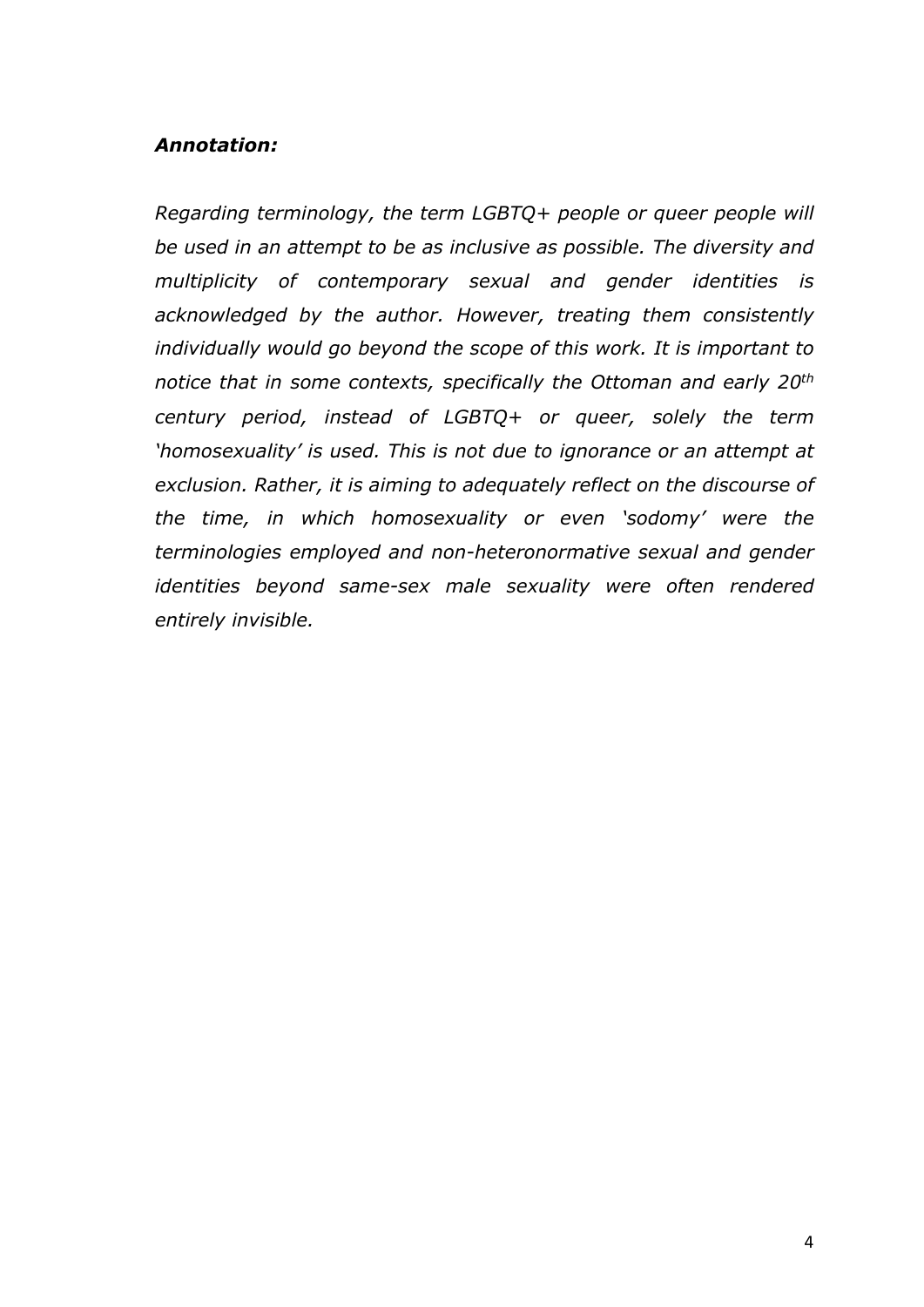## *Annotation:*

*Regarding terminology, the term LGBTQ+ people or queer people will be used in an attempt to be as inclusive as possible. The diversity and multiplicity of contemporary sexual and gender identities is acknowledged by the author. However, treating them consistently individually would go beyond the scope of this work. It is important to notice that in some contexts, specifically the Ottoman and early 20th century period, instead of LGBTQ+ or queer, solely the term 'homosexuality' is used. This is not due to ignorance or an attempt at exclusion. Rather, it is aiming to adequately reflect on the discourse of the time, in which homosexuality or even 'sodomy' were the terminologies employed and non-heteronormative sexual and gender identities beyond same-sex male sexuality were often rendered entirely invisible.*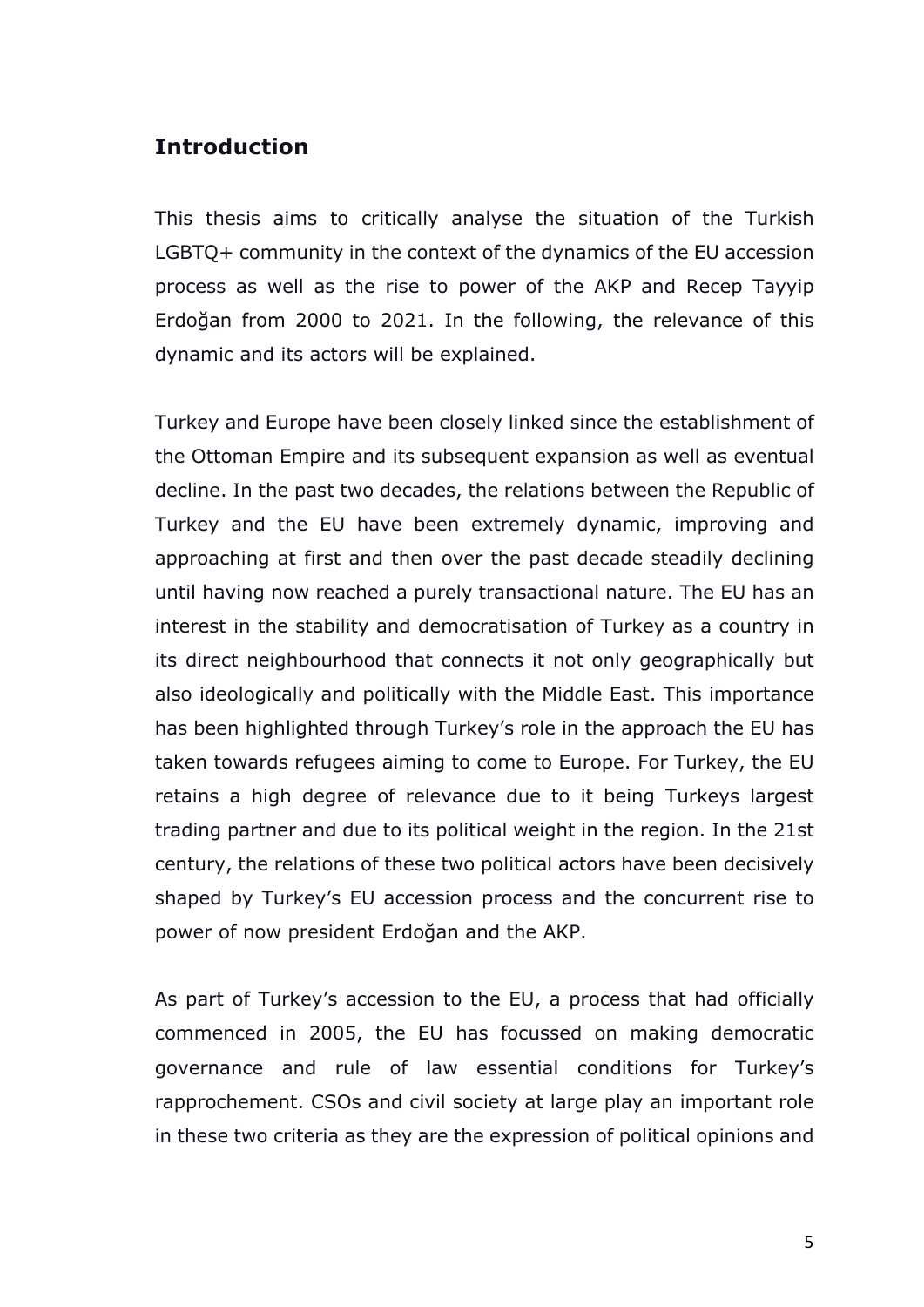## **Introduction**

This thesis aims to critically analyse the situation of the Turkish LGBTQ+ community in the context of the dynamics of the EU accession process as well as the rise to power of the AKP and Recep Tayyip Erdoğan from 2000 to 2021. In the following, the relevance of this dynamic and its actors will be explained.

Turkey and Europe have been closely linked since the establishment of the Ottoman Empire and its subsequent expansion as well as eventual decline. In the past two decades, the relations between the Republic of Turkey and the EU have been extremely dynamic, improving and approaching at first and then over the past decade steadily declining until having now reached a purely transactional nature. The EU has an interest in the stability and democratisation of Turkey as a country in its direct neighbourhood that connects it not only geographically but also ideologically and politically with the Middle East. This importance has been highlighted through Turkey's role in the approach the EU has taken towards refugees aiming to come to Europe. For Turkey, the EU retains a high degree of relevance due to it being Turkeys largest trading partner and due to its political weight in the region. In the 21st century, the relations of these two political actors have been decisively shaped by Turkey's EU accession process and the concurrent rise to power of now president Erdoğan and the AKP.

As part of Turkey's accession to the EU, a process that had officially commenced in 2005, the EU has focussed on making democratic governance and rule of law essential conditions for Turkey's rapprochement. CSOs and civil society at large play an important role in these two criteria as they are the expression of political opinions and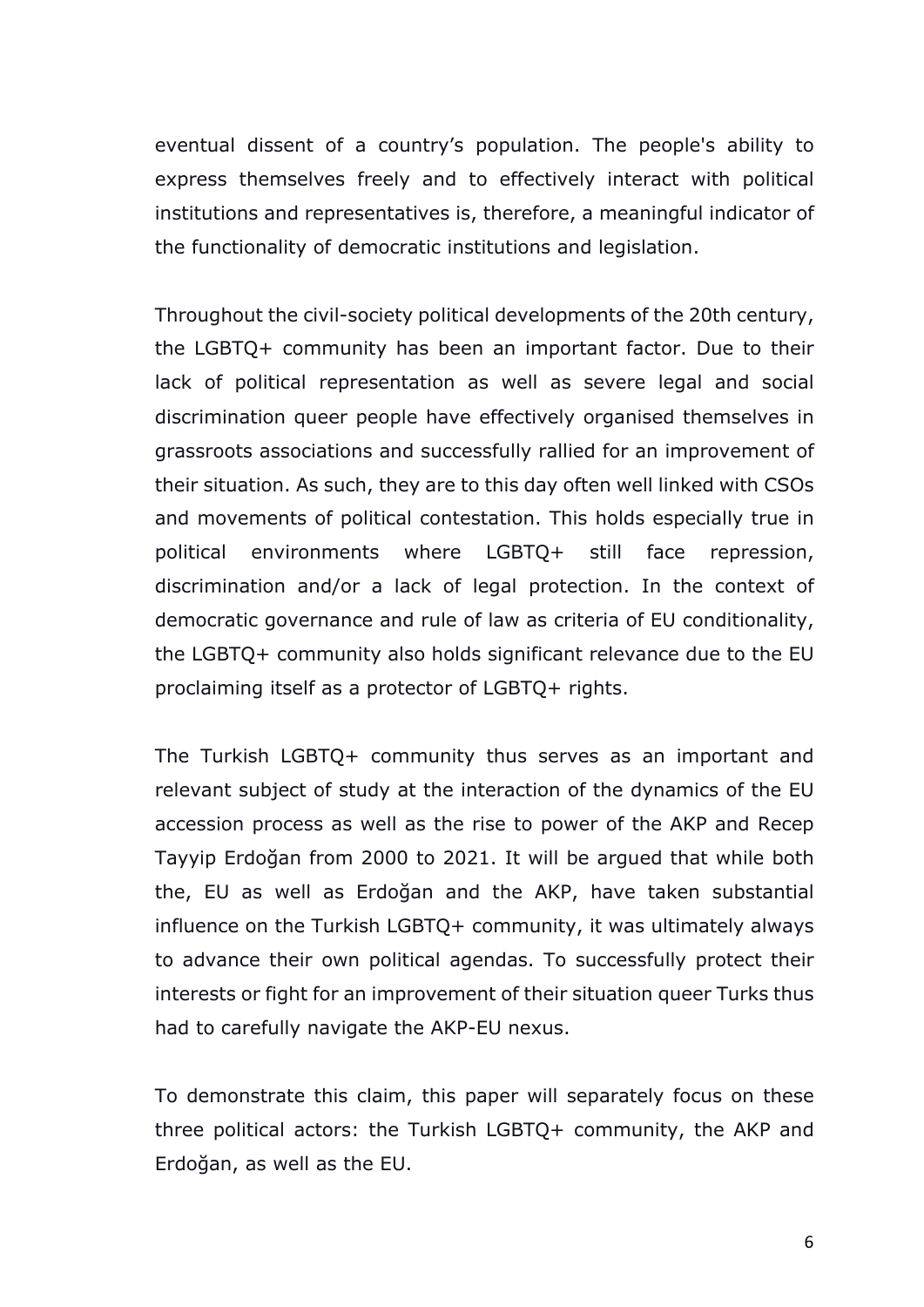eventual dissent of a country's population. The people's ability to express themselves freely and to effectively interact with political institutions and representatives is, therefore, a meaningful indicator of the functionality of democratic institutions and legislation.

Throughout the civil-society political developments of the 20th century, the LGBTQ+ community has been an important factor. Due to their lack of political representation as well as severe legal and social discrimination queer people have effectively organised themselves in grassroots associations and successfully rallied for an improvement of their situation. As such, they are to this day often well linked with CSOs and movements of political contestation. This holds especially true in political environments where LGBTQ+ still face repression, discrimination and/or a lack of legal protection. In the context of democratic governance and rule of law as criteria of EU conditionality, the LGBTQ+ community also holds significant relevance due to the EU proclaiming itself as a protector of LGBTQ+ rights.

The Turkish LGBTQ+ community thus serves as an important and relevant subject of study at the interaction of the dynamics of the EU accession process as well as the rise to power of the AKP and Recep Tayyip Erdoğan from 2000 to 2021. It will be argued that while both the, EU as well as Erdoğan and the AKP, have taken substantial influence on the Turkish LGBTQ+ community, it was ultimately always to advance their own political agendas. To successfully protect their interests or fight for an improvement of their situation queer Turks thus had to carefully navigate the AKP-EU nexus.

To demonstrate this claim, this paper will separately focus on these three political actors: the Turkish LGBTQ+ community, the AKP and Erdoğan, as well as the EU.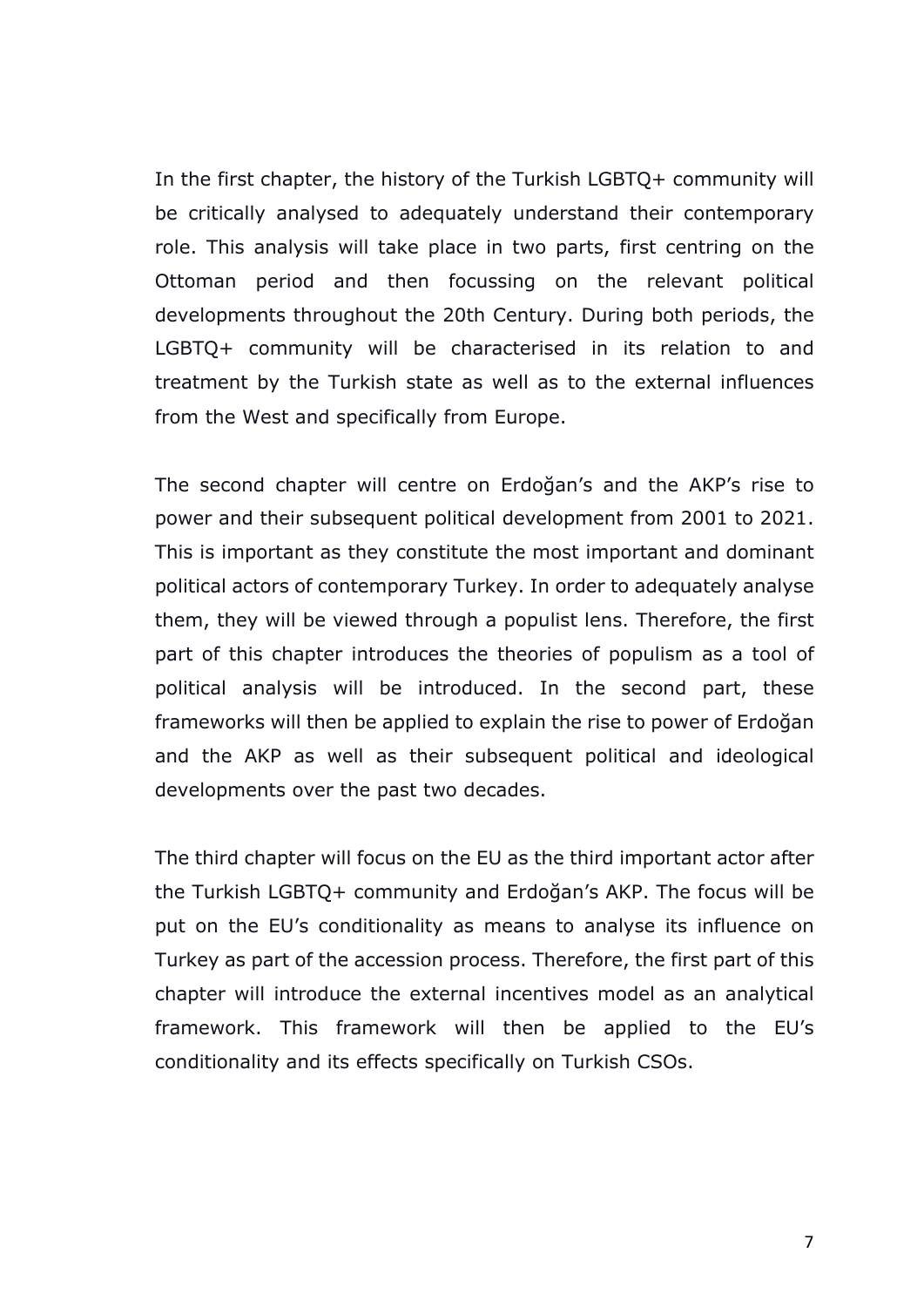In the first chapter, the history of the Turkish LGBTQ+ community will be critically analysed to adequately understand their contemporary role. This analysis will take place in two parts, first centring on the Ottoman period and then focussing on the relevant political developments throughout the 20th Century. During both periods, the LGBTQ+ community will be characterised in its relation to and treatment by the Turkish state as well as to the external influences from the West and specifically from Europe.

The second chapter will centre on Erdoğan's and the AKP's rise to power and their subsequent political development from 2001 to 2021. This is important as they constitute the most important and dominant political actors of contemporary Turkey. In order to adequately analyse them, they will be viewed through a populist lens. Therefore, the first part of this chapter introduces the theories of populism as a tool of political analysis will be introduced. In the second part, these frameworks will then be applied to explain the rise to power of Erdoğan and the AKP as well as their subsequent political and ideological developments over the past two decades.

The third chapter will focus on the EU as the third important actor after the Turkish LGBTQ+ community and Erdoğan's AKP. The focus will be put on the EU's conditionality as means to analyse its influence on Turkey as part of the accession process. Therefore, the first part of this chapter will introduce the external incentives model as an analytical framework. This framework will then be applied to the EU's conditionality and its effects specifically on Turkish CSOs.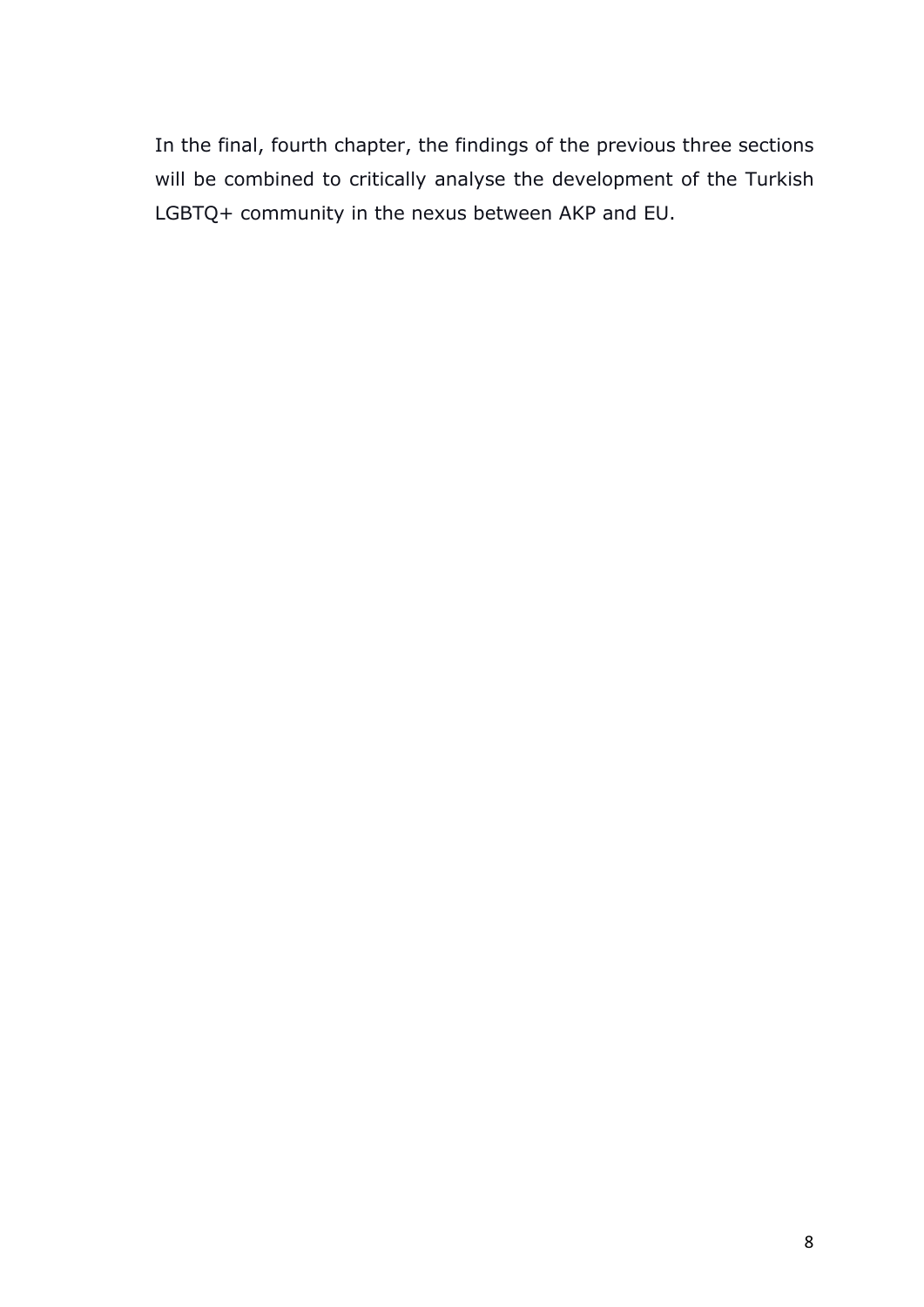In the final, fourth chapter, the findings of the previous three sections will be combined to critically analyse the development of the Turkish LGBTQ+ community in the nexus between AKP and EU.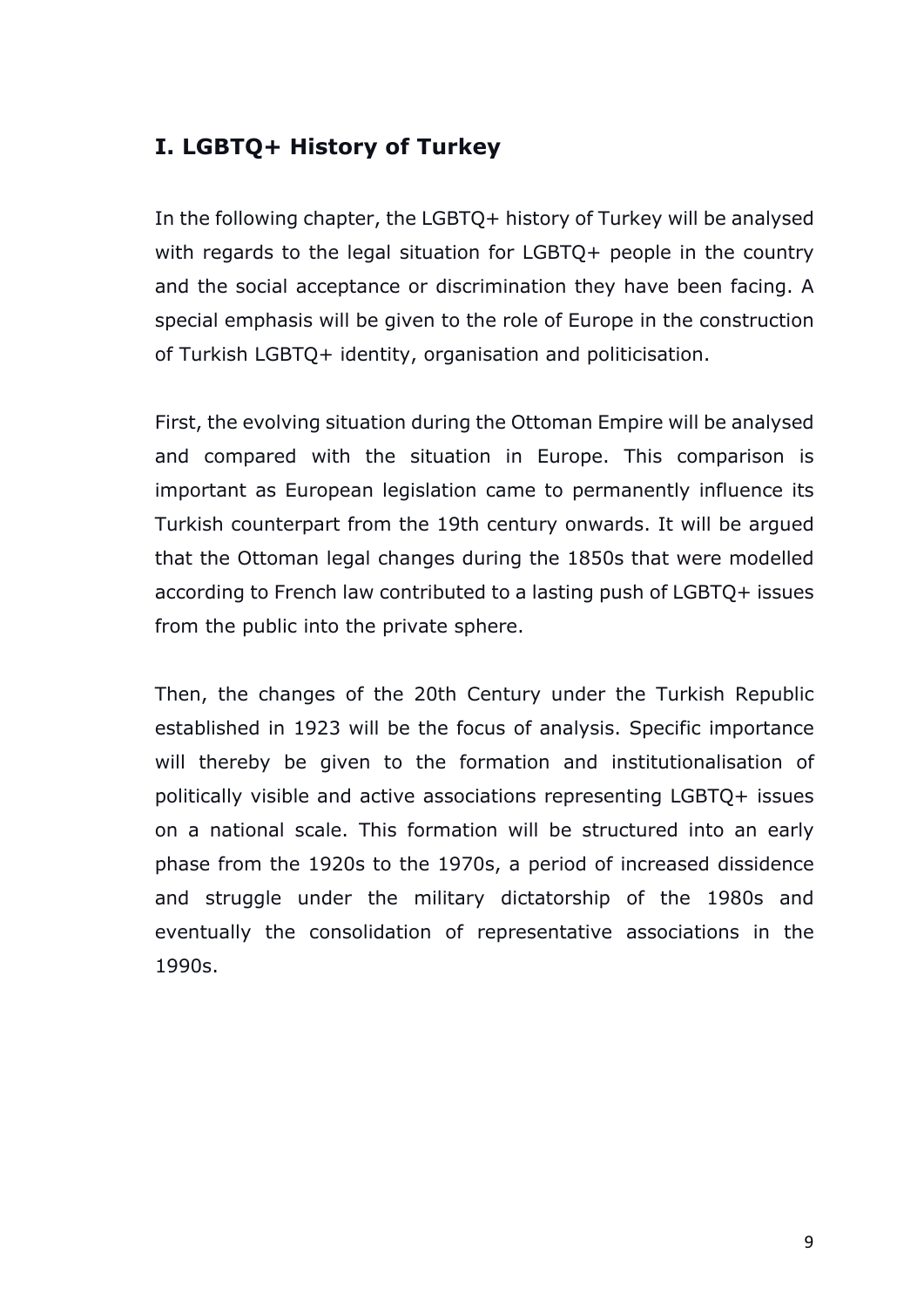# **I. LGBTQ+ History of Turkey**

In the following chapter, the LGBTQ+ history of Turkey will be analysed with regards to the legal situation for LGBTQ+ people in the country and the social acceptance or discrimination they have been facing. A special emphasis will be given to the role of Europe in the construction of Turkish LGBTQ+ identity, organisation and politicisation.

First, the evolving situation during the Ottoman Empire will be analysed and compared with the situation in Europe. This comparison is important as European legislation came to permanently influence its Turkish counterpart from the 19th century onwards. It will be argued that the Ottoman legal changes during the 1850s that were modelled according to French law contributed to a lasting push of LGBTQ+ issues from the public into the private sphere.

Then, the changes of the 20th Century under the Turkish Republic established in 1923 will be the focus of analysis. Specific importance will thereby be given to the formation and institutionalisation of politically visible and active associations representing LGBTQ+ issues on a national scale. This formation will be structured into an early phase from the 1920s to the 1970s, a period of increased dissidence and struggle under the military dictatorship of the 1980s and eventually the consolidation of representative associations in the 1990s.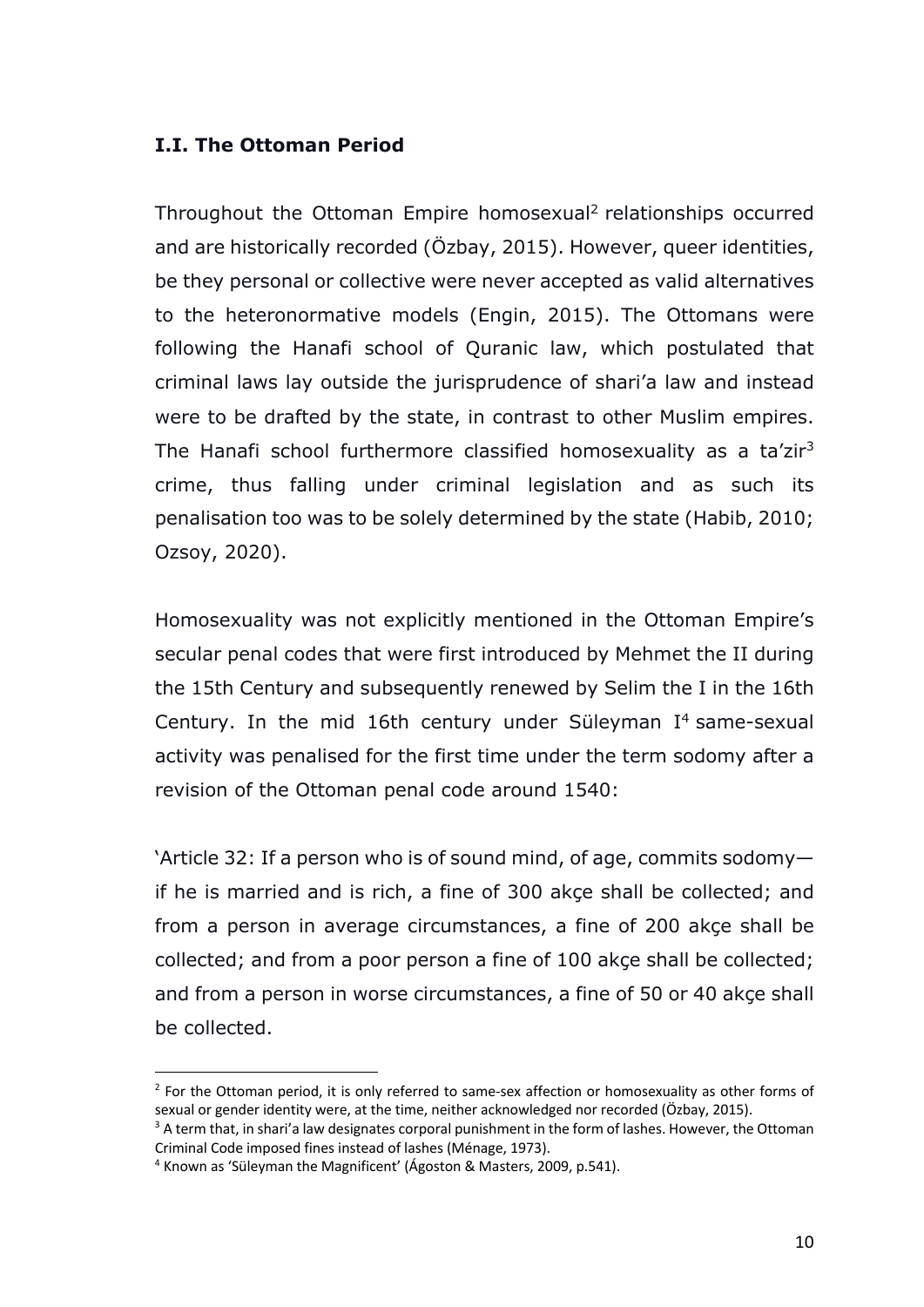## **I.I. The Ottoman Period**

Throughout the Ottoman Empire homosexual <sup>2</sup> relationships occurred and are historically recorded (Özbay, 2015). However, queer identities, be they personal or collective were never accepted as valid alternatives to the heteronormative models (Engin, 2015). The Ottomans were following the Hanafi school of Quranic law, which postulated that criminal laws lay outside the jurisprudence of shari'a law and instead were to be drafted by the state, in contrast to other Muslim empires. The Hanafi school furthermore classified homosexuality as a ta'zir<sup>3</sup> crime, thus falling under criminal legislation and as such its penalisation too was to be solely determined by the state (Habib, 2010; Ozsoy, 2020).

Homosexuality was not explicitly mentioned in the Ottoman Empire's secular penal codes that were first introduced by Mehmet the II during the 15th Century and subsequently renewed by Selim the I in the 16th Century. In the mid 16th century under Süleyman  $I<sup>4</sup>$  same-sexual activity was penalised for the first time under the term sodomy after a revision of the Ottoman penal code around 1540:

'Article 32: If a person who is of sound mind, of age, commits sodomy if he is married and is rich, a fine of 300 akçe shall be collected; and from a person in average circumstances, a fine of 200 akçe shall be collected; and from a poor person a fine of 100 akçe shall be collected; and from a person in worse circumstances, a fine of 50 or 40 akçe shall be collected.

 $<sup>2</sup>$  For the Ottoman period, it is only referred to same-sex affection or homosexuality as other forms of</sup> sexual or gender identity were, at the time, neither acknowledged nor recorded (Özbay, 2015).

<sup>&</sup>lt;sup>3</sup> A term that, in shari'a law designates corporal punishment in the form of lashes. However, the Ottoman Criminal Code imposed fines instead of lashes (Ménage, 1973).

<sup>4</sup> Known as 'Süleyman the Magnificent' (Ágoston & Masters, 2009, p.541).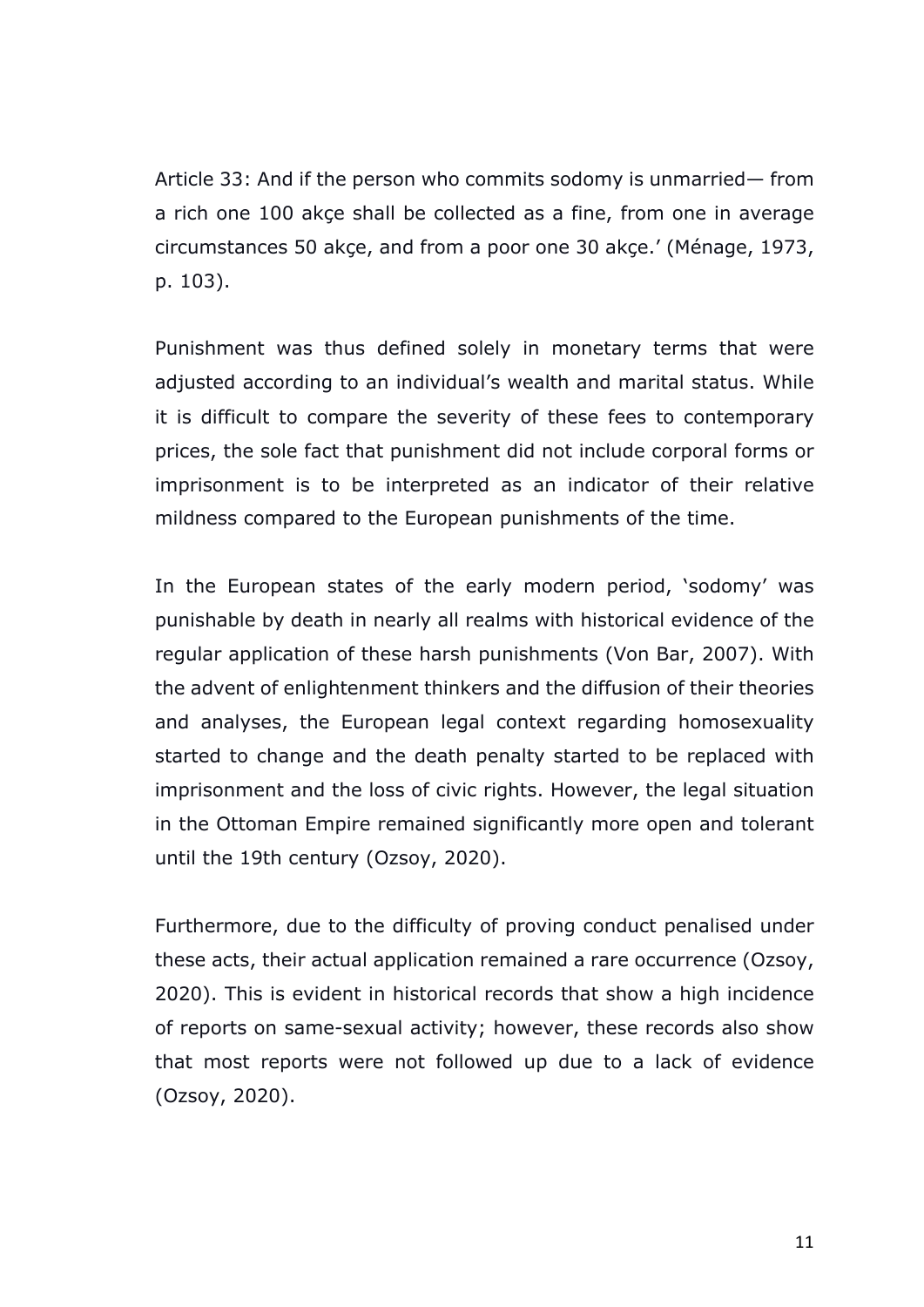Article 33: And if the person who commits sodomy is unmarried— from a rich one 100 akçe shall be collected as a fine, from one in average circumstances 50 akçe, and from a poor one 30 akçe.' (Ménage, 1973, p. 103).

Punishment was thus defined solely in monetary terms that were adjusted according to an individual's wealth and marital status. While it is difficult to compare the severity of these fees to contemporary prices, the sole fact that punishment did not include corporal forms or imprisonment is to be interpreted as an indicator of their relative mildness compared to the European punishments of the time.

In the European states of the early modern period, 'sodomy' was punishable by death in nearly all realms with historical evidence of the regular application of these harsh punishments (Von Bar, 2007). With the advent of enlightenment thinkers and the diffusion of their theories and analyses, the European legal context regarding homosexuality started to change and the death penalty started to be replaced with imprisonment and the loss of civic rights. However, the legal situation in the Ottoman Empire remained significantly more open and tolerant until the 19th century (Ozsoy, 2020).

Furthermore, due to the difficulty of proving conduct penalised under these acts, their actual application remained a rare occurrence (Ozsoy, 2020). This is evident in historical records that show a high incidence of reports on same-sexual activity; however, these records also show that most reports were not followed up due to a lack of evidence (Ozsoy, 2020).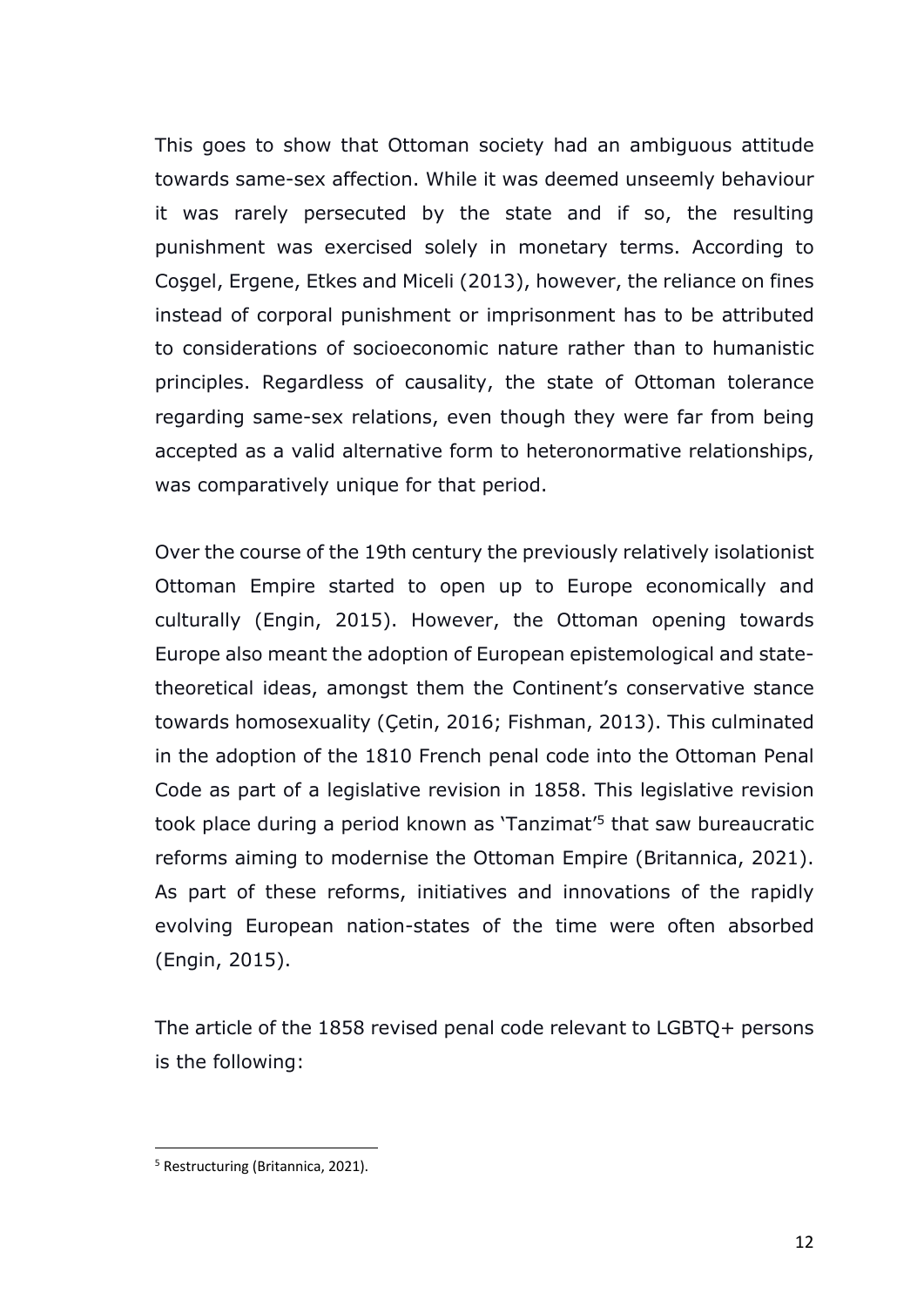This goes to show that Ottoman society had an ambiguous attitude towards same-sex affection. While it was deemed unseemly behaviour it was rarely persecuted by the state and if so, the resulting punishment was exercised solely in monetary terms. According to Coşgel, Ergene, Etkes and Miceli (2013), however, the reliance on fines instead of corporal punishment or imprisonment has to be attributed to considerations of socioeconomic nature rather than to humanistic principles. Regardless of causality, the state of Ottoman tolerance regarding same-sex relations, even though they were far from being accepted as a valid alternative form to heteronormative relationships, was comparatively unique for that period.

Over the course of the 19th century the previously relatively isolationist Ottoman Empire started to open up to Europe economically and culturally (Engin, 2015). However, the Ottoman opening towards Europe also meant the adoption of European epistemological and statetheoretical ideas, amongst them the Continent's conservative stance towards homosexuality (Çetin, 2016; Fishman, 2013). This culminated in the adoption of the 1810 French penal code into the Ottoman Penal Code as part of a legislative revision in 1858. This legislative revision took place during a period known as 'Tanzimat' <sup>5</sup> that saw bureaucratic reforms aiming to modernise the Ottoman Empire (Britannica, 2021). As part of these reforms, initiatives and innovations of the rapidly evolving European nation-states of the time were often absorbed (Engin, 2015).

The article of the 1858 revised penal code relevant to LGBTQ+ persons is the following:

<sup>5</sup> Restructuring (Britannica, 2021).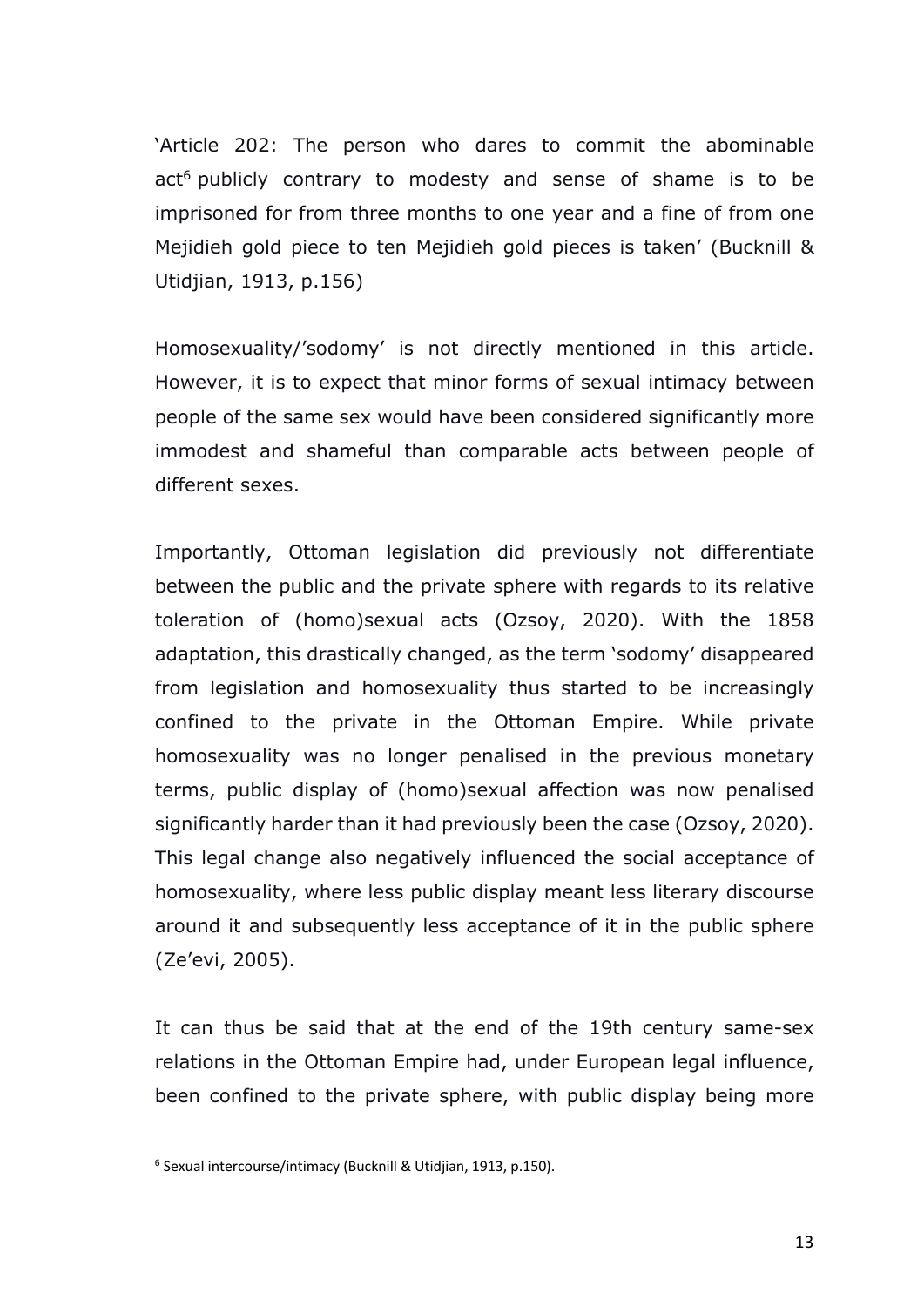'Article 202: The person who dares to commit the abominable act<sup>6</sup> publicly contrary to modesty and sense of shame is to be imprisoned for from three months to one year and a fine of from one Mejidieh gold piece to ten Mejidieh gold pieces is taken' (Bucknill & Utidjian, 1913, p.156)

Homosexuality/'sodomy' is not directly mentioned in this article. However, it is to expect that minor forms of sexual intimacy between people of the same sex would have been considered significantly more immodest and shameful than comparable acts between people of different sexes.

Importantly, Ottoman legislation did previously not differentiate between the public and the private sphere with regards to its relative toleration of (homo)sexual acts (Ozsoy, 2020). With the 1858 adaptation, this drastically changed, as the term 'sodomy' disappeared from legislation and homosexuality thus started to be increasingly confined to the private in the Ottoman Empire. While private homosexuality was no longer penalised in the previous monetary terms, public display of (homo)sexual affection was now penalised significantly harder than it had previously been the case (Ozsoy, 2020). This legal change also negatively influenced the social acceptance of homosexuality, where less public display meant less literary discourse around it and subsequently less acceptance of it in the public sphere (Ze'evi, 2005).

It can thus be said that at the end of the 19th century same-sex relations in the Ottoman Empire had, under European legal influence, been confined to the private sphere, with public display being more

<sup>6</sup> Sexual intercourse/intimacy (Bucknill & Utidjian, 1913, p.150).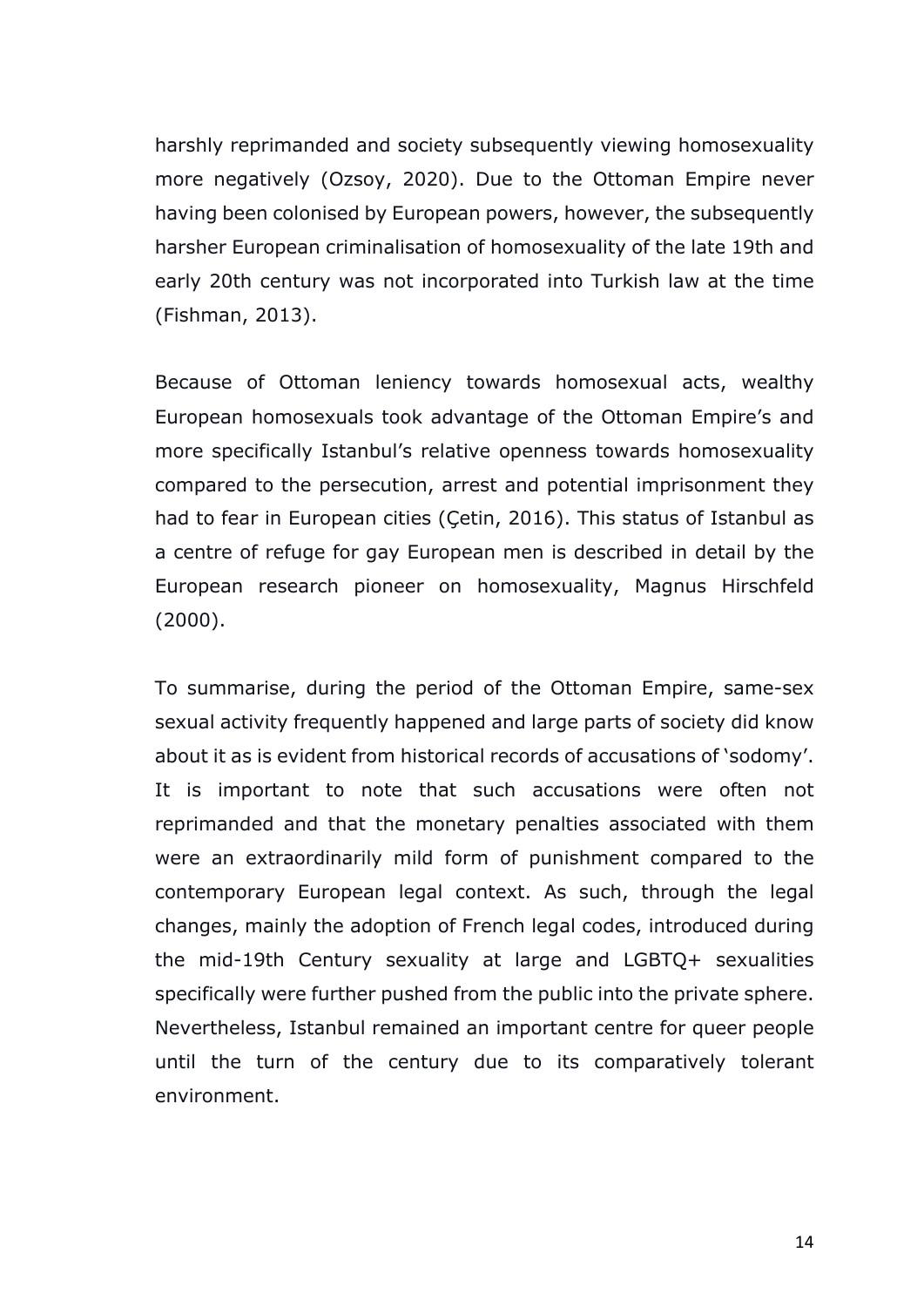harshly reprimanded and society subsequently viewing homosexuality more negatively (Ozsoy, 2020). Due to the Ottoman Empire never having been colonised by European powers, however, the subsequently harsher European criminalisation of homosexuality of the late 19th and early 20th century was not incorporated into Turkish law at the time (Fishman, 2013).

Because of Ottoman leniency towards homosexual acts, wealthy European homosexuals took advantage of the Ottoman Empire's and more specifically Istanbul's relative openness towards homosexuality compared to the persecution, arrest and potential imprisonment they had to fear in European cities (Çetin, 2016). This status of Istanbul as a centre of refuge for gay European men is described in detail by the European research pioneer on homosexuality, Magnus Hirschfeld (2000).

To summarise, during the period of the Ottoman Empire, same-sex sexual activity frequently happened and large parts of society did know about it as is evident from historical records of accusations of 'sodomy'. It is important to note that such accusations were often not reprimanded and that the monetary penalties associated with them were an extraordinarily mild form of punishment compared to the contemporary European legal context. As such, through the legal changes, mainly the adoption of French legal codes, introduced during the mid-19th Century sexuality at large and LGBTQ+ sexualities specifically were further pushed from the public into the private sphere. Nevertheless, Istanbul remained an important centre for queer people until the turn of the century due to its comparatively tolerant environment.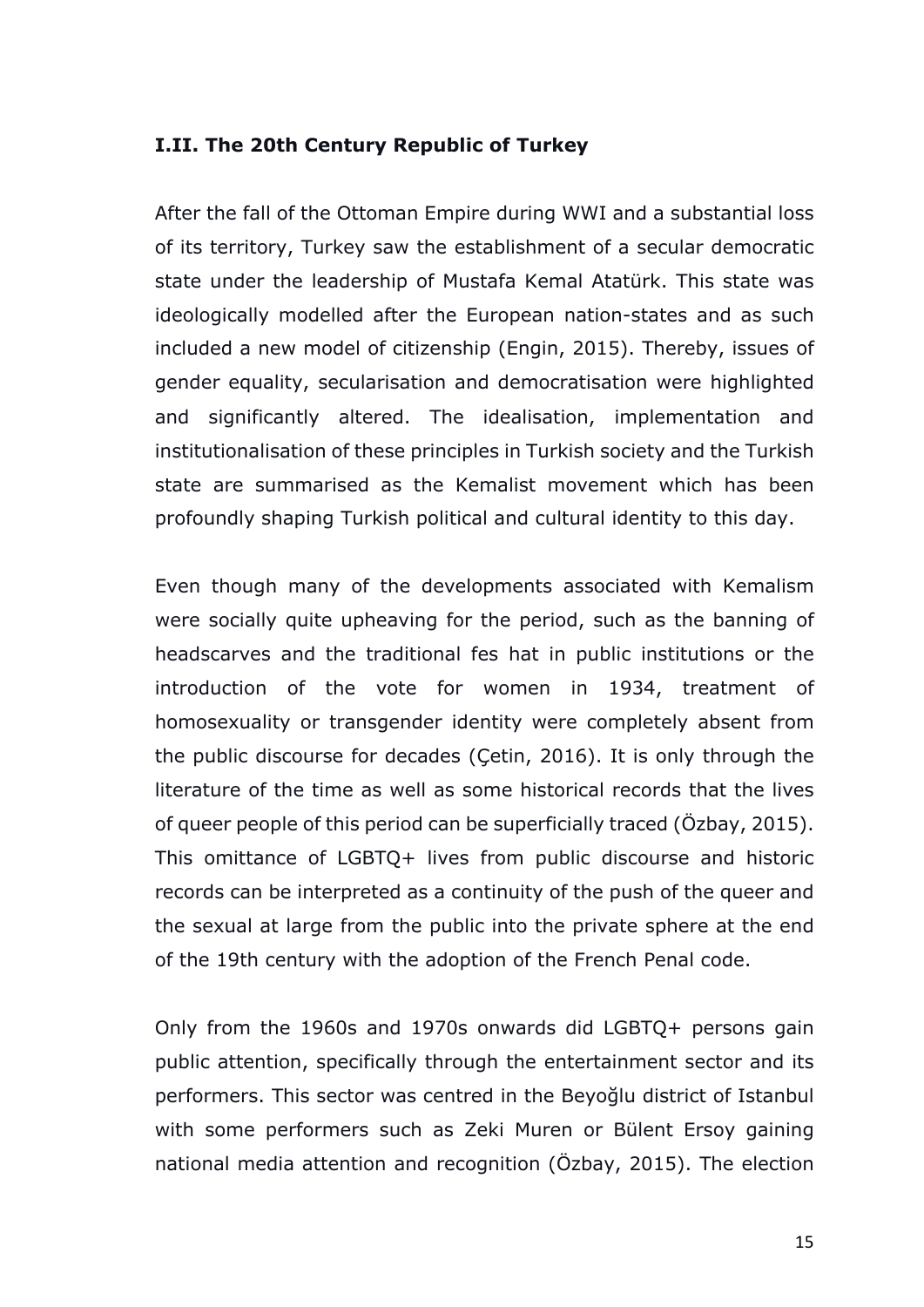#### **I.II. The 20th Century Republic of Turkey**

After the fall of the Ottoman Empire during WWI and a substantial loss of its territory, Turkey saw the establishment of a secular democratic state under the leadership of Mustafa Kemal Atatürk. This state was ideologically modelled after the European nation-states and as such included a new model of citizenship (Engin, 2015). Thereby, issues of gender equality, secularisation and democratisation were highlighted and significantly altered. The idealisation, implementation and institutionalisation of these principles in Turkish society and the Turkish state are summarised as the Kemalist movement which has been profoundly shaping Turkish political and cultural identity to this day.

Even though many of the developments associated with Kemalism were socially quite upheaving for the period, such as the banning of headscarves and the traditional fes hat in public institutions or the introduction of the vote for women in 1934, treatment of homosexuality or transgender identity were completely absent from the public discourse for decades (Çetin, 2016). It is only through the literature of the time as well as some historical records that the lives of queer people of this period can be superficially traced (Özbay, 2015). This omittance of LGBTQ+ lives from public discourse and historic records can be interpreted as a continuity of the push of the queer and the sexual at large from the public into the private sphere at the end of the 19th century with the adoption of the French Penal code.

Only from the 1960s and 1970s onwards did LGBTQ+ persons gain public attention, specifically through the entertainment sector and its performers. This sector was centred in the Beyoğlu district of Istanbul with some performers such as Zeki Muren or Bülent Ersoy gaining national media attention and recognition (Özbay, 2015). The election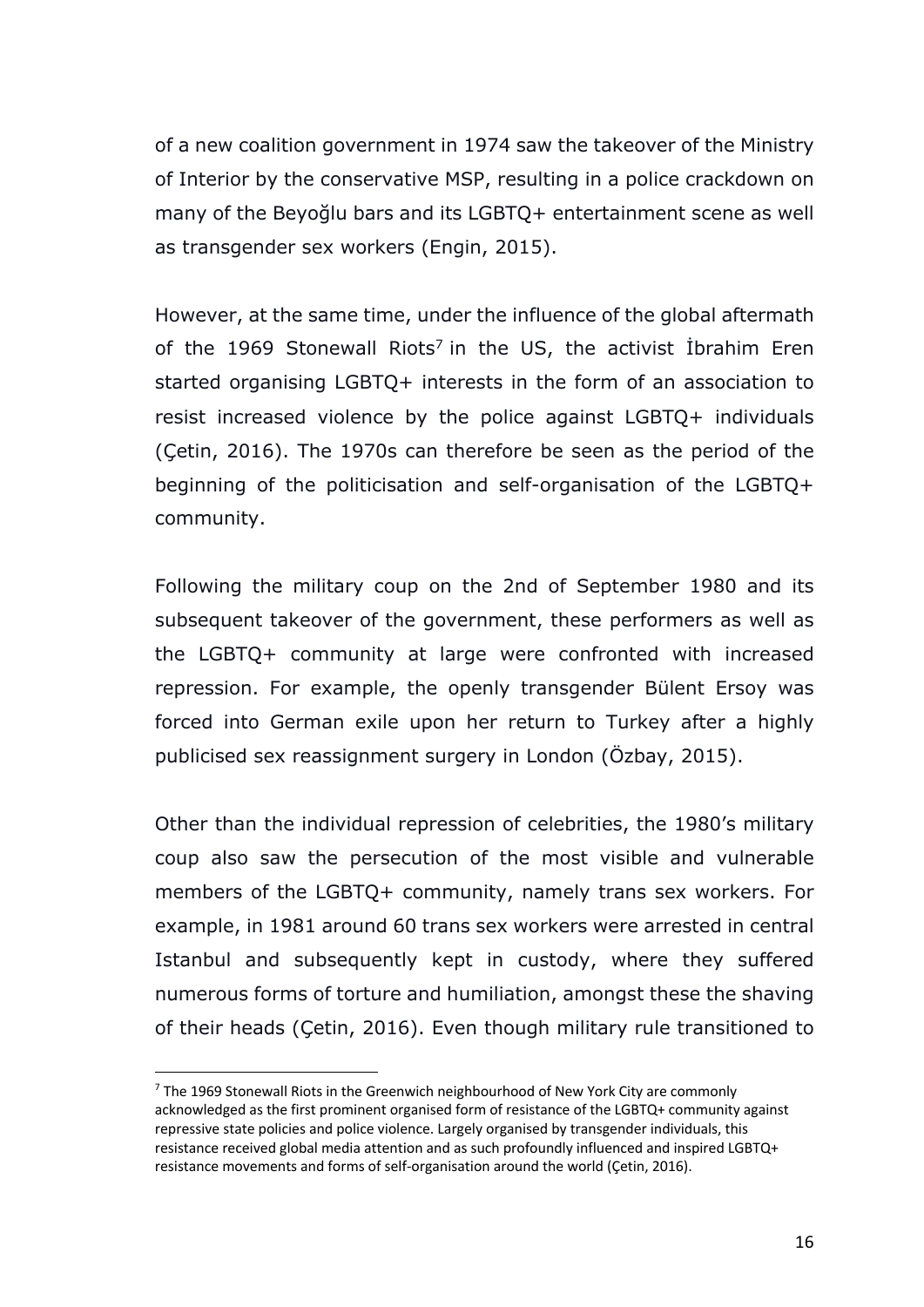of a new coalition government in 1974 saw the takeover of the Ministry of Interior by the conservative MSP, resulting in a police crackdown on many of the Beyoğlu bars and its LGBTQ+ entertainment scene as well as transgender sex workers (Engin, 2015).

However, at the same time, under the influence of the global aftermath of the 1969 Stonewall Riots<sup>7</sup> in the US, the activist Ibrahim Eren started organising LGBTQ+ interests in the form of an association to resist increased violence by the police against LGBTQ+ individuals (Çetin, 2016). The 1970s can therefore be seen as the period of the beginning of the politicisation and self-organisation of the LGBTQ+ community.

Following the military coup on the 2nd of September 1980 and its subsequent takeover of the government, these performers as well as the LGBTQ+ community at large were confronted with increased repression. For example, the openly transgender Bülent Ersoy was forced into German exile upon her return to Turkey after a highly publicised sex reassignment surgery in London (Özbay, 2015).

Other than the individual repression of celebrities, the 1980's military coup also saw the persecution of the most visible and vulnerable members of the LGBTQ+ community, namely trans sex workers. For example, in 1981 around 60 trans sex workers were arrested in central Istanbul and subsequently kept in custody, where they suffered numerous forms of torture and humiliation, amongst these the shaving of their heads (Çetin, 2016). Even though military rule transitioned to

 $7$  The 1969 Stonewall Riots in the Greenwich neighbourhood of New York City are commonly acknowledged as the first prominent organised form of resistance of the LGBTQ+ community against repressive state policies and police violence. Largely organised by transgender individuals, this resistance received global media attention and as such profoundly influenced and inspired LGBTQ+ resistance movements and forms of self-organisation around the world (Çetin, 2016).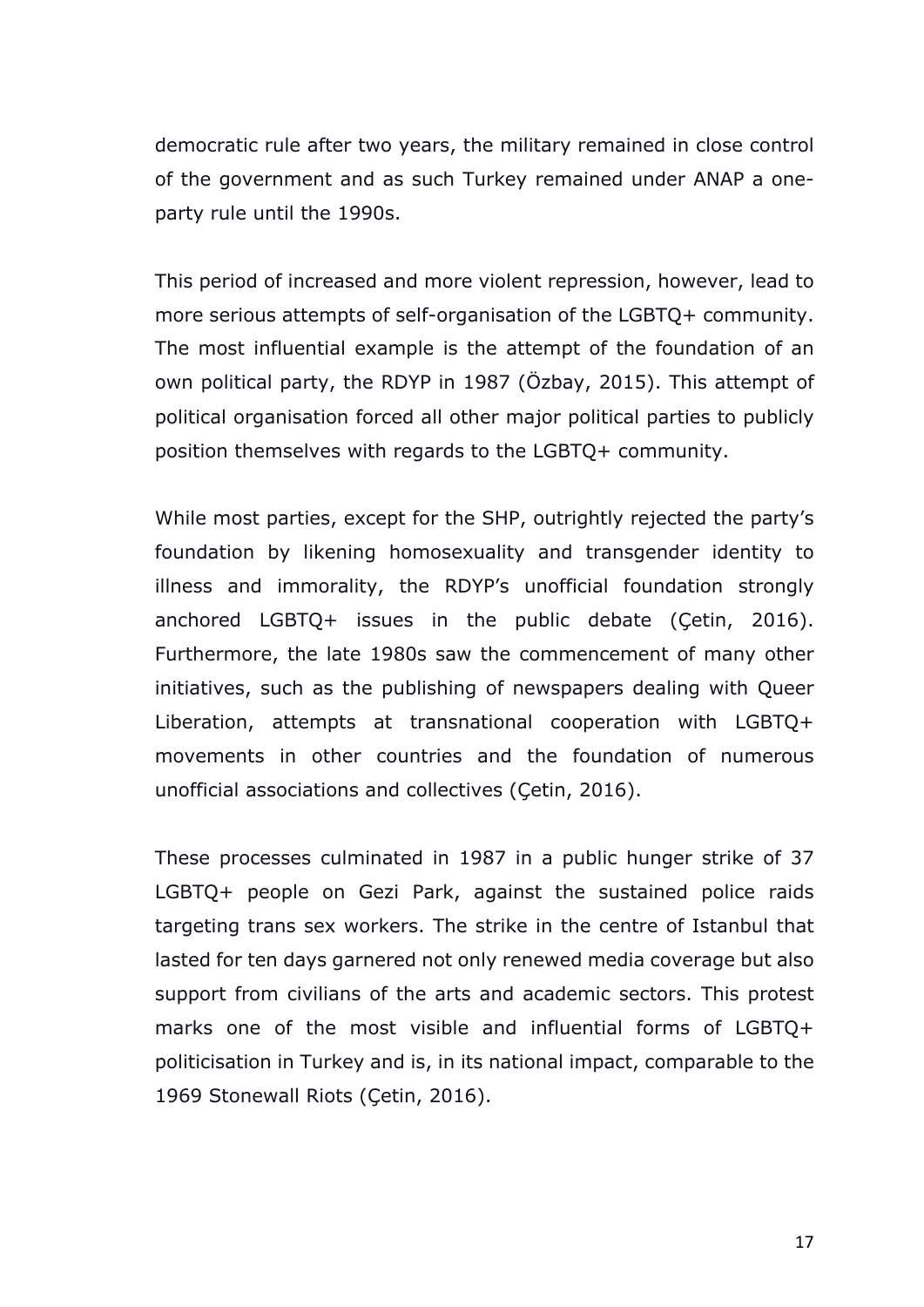democratic rule after two years, the military remained in close control of the government and as such Turkey remained under ANAP a oneparty rule until the 1990s.

This period of increased and more violent repression, however, lead to more serious attempts of self-organisation of the LGBTQ+ community. The most influential example is the attempt of the foundation of an own political party, the RDYP in 1987 (Özbay, 2015). This attempt of political organisation forced all other major political parties to publicly position themselves with regards to the LGBTQ+ community.

While most parties, except for the SHP, outrightly rejected the party's foundation by likening homosexuality and transgender identity to illness and immorality, the RDYP's unofficial foundation strongly anchored LGBTQ+ issues in the public debate (Çetin, 2016). Furthermore, the late 1980s saw the commencement of many other initiatives, such as the publishing of newspapers dealing with Queer Liberation, attempts at transnational cooperation with LGBTQ+ movements in other countries and the foundation of numerous unofficial associations and collectives (Çetin, 2016).

These processes culminated in 1987 in a public hunger strike of 37 LGBTQ+ people on Gezi Park, against the sustained police raids targeting trans sex workers. The strike in the centre of Istanbul that lasted for ten days garnered not only renewed media coverage but also support from civilians of the arts and academic sectors. This protest marks one of the most visible and influential forms of LGBTQ+ politicisation in Turkey and is, in its national impact, comparable to the 1969 Stonewall Riots (Çetin, 2016).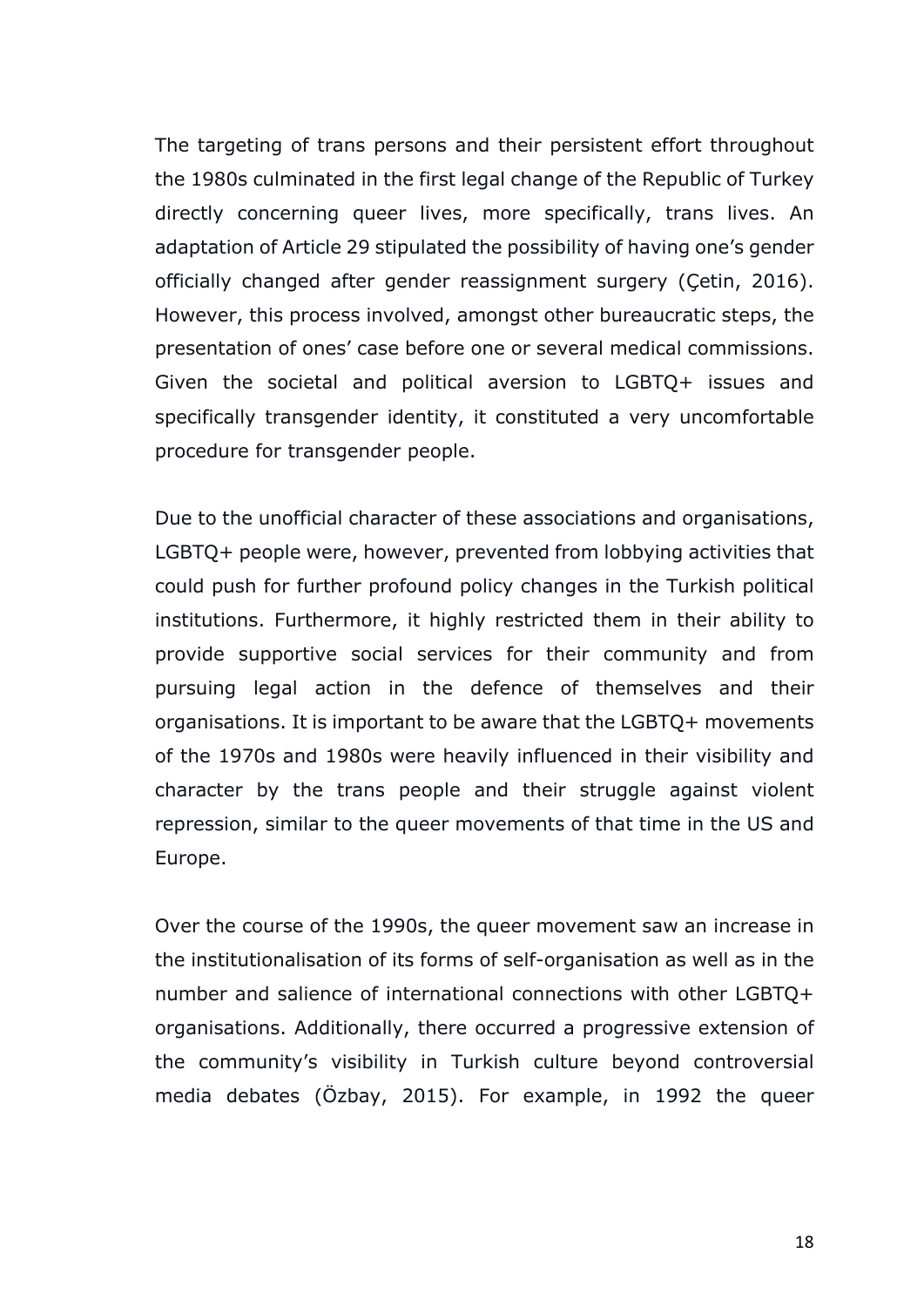The targeting of trans persons and their persistent effort throughout the 1980s culminated in the first legal change of the Republic of Turkey directly concerning queer lives, more specifically, trans lives. An adaptation of Article 29 stipulated the possibility of having one's gender officially changed after gender reassignment surgery (Çetin, 2016). However, this process involved, amongst other bureaucratic steps, the presentation of ones' case before one or several medical commissions. Given the societal and political aversion to LGBTQ+ issues and specifically transgender identity, it constituted a very uncomfortable procedure for transgender people.

Due to the unofficial character of these associations and organisations, LGBTQ+ people were, however, prevented from lobbying activities that could push for further profound policy changes in the Turkish political institutions. Furthermore, it highly restricted them in their ability to provide supportive social services for their community and from pursuing legal action in the defence of themselves and their organisations. It is important to be aware that the LGBTQ+ movements of the 1970s and 1980s were heavily influenced in their visibility and character by the trans people and their struggle against violent repression, similar to the queer movements of that time in the US and Europe.

Over the course of the 1990s, the queer movement saw an increase in the institutionalisation of its forms of self-organisation as well as in the number and salience of international connections with other LGBTQ+ organisations. Additionally, there occurred a progressive extension of the community's visibility in Turkish culture beyond controversial media debates (Özbay, 2015). For example, in 1992 the queer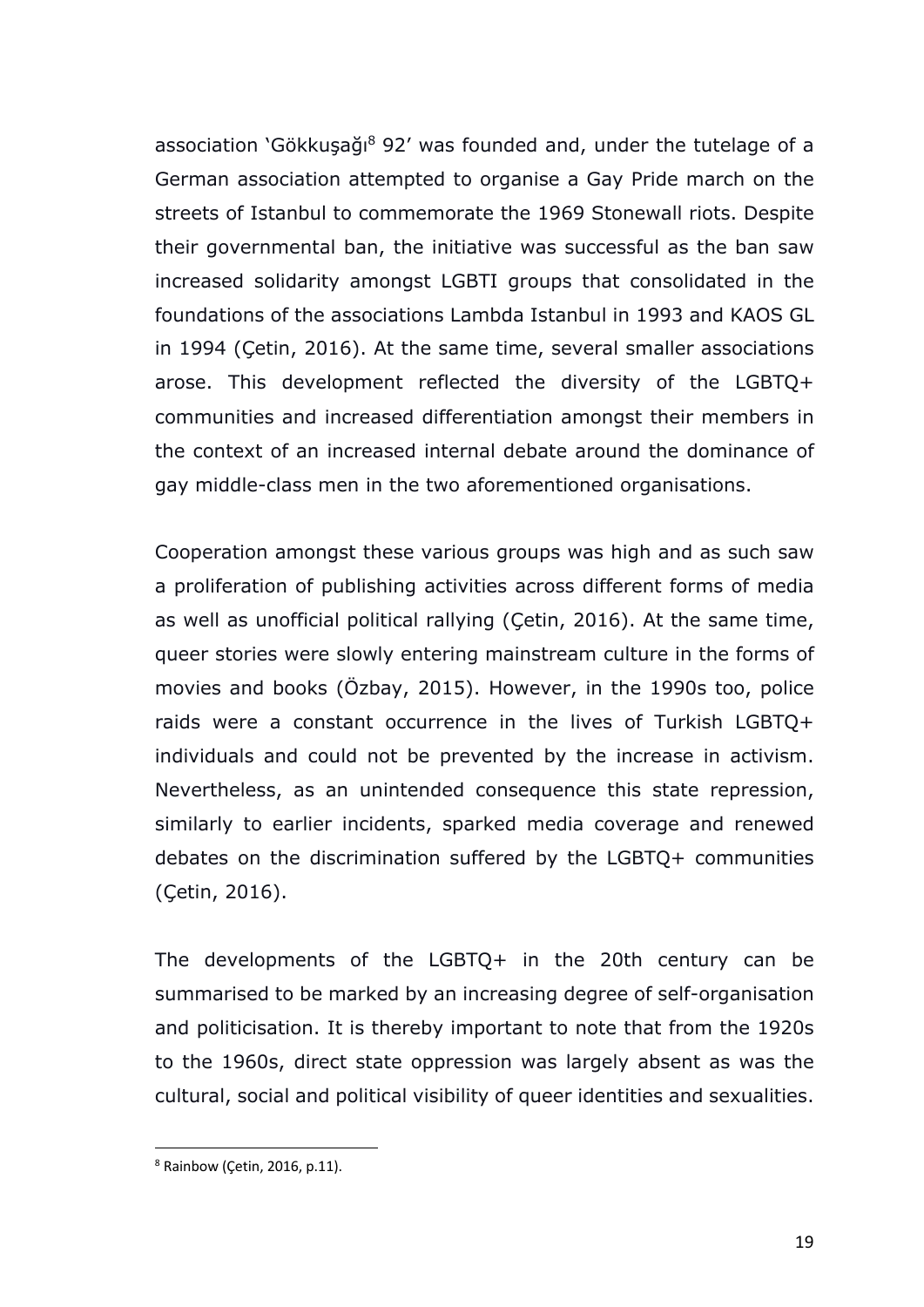association 'Gökkuşağı <sup>8</sup> 92' was founded and, under the tutelage of a German association attempted to organise a Gay Pride march on the streets of Istanbul to commemorate the 1969 Stonewall riots. Despite their governmental ban, the initiative was successful as the ban saw increased solidarity amongst LGBTI groups that consolidated in the foundations of the associations Lambda Istanbul in 1993 and KAOS GL in 1994 (Çetin, 2016). At the same time, several smaller associations arose. This development reflected the diversity of the LGBTQ+ communities and increased differentiation amongst their members in the context of an increased internal debate around the dominance of gay middle-class men in the two aforementioned organisations.

Cooperation amongst these various groups was high and as such saw a proliferation of publishing activities across different forms of media as well as unofficial political rallying (Çetin, 2016). At the same time, queer stories were slowly entering mainstream culture in the forms of movies and books (Özbay, 2015). However, in the 1990s too, police raids were a constant occurrence in the lives of Turkish LGBTQ+ individuals and could not be prevented by the increase in activism. Nevertheless, as an unintended consequence this state repression, similarly to earlier incidents, sparked media coverage and renewed debates on the discrimination suffered by the LGBTQ+ communities (Çetin, 2016).

The developments of the LGBTQ+ in the 20th century can be summarised to be marked by an increasing degree of self-organisation and politicisation. It is thereby important to note that from the 1920s to the 1960s, direct state oppression was largely absent as was the cultural, social and political visibility of queer identities and sexualities.

 $8$  Rainbow (Cetin, 2016, p.11).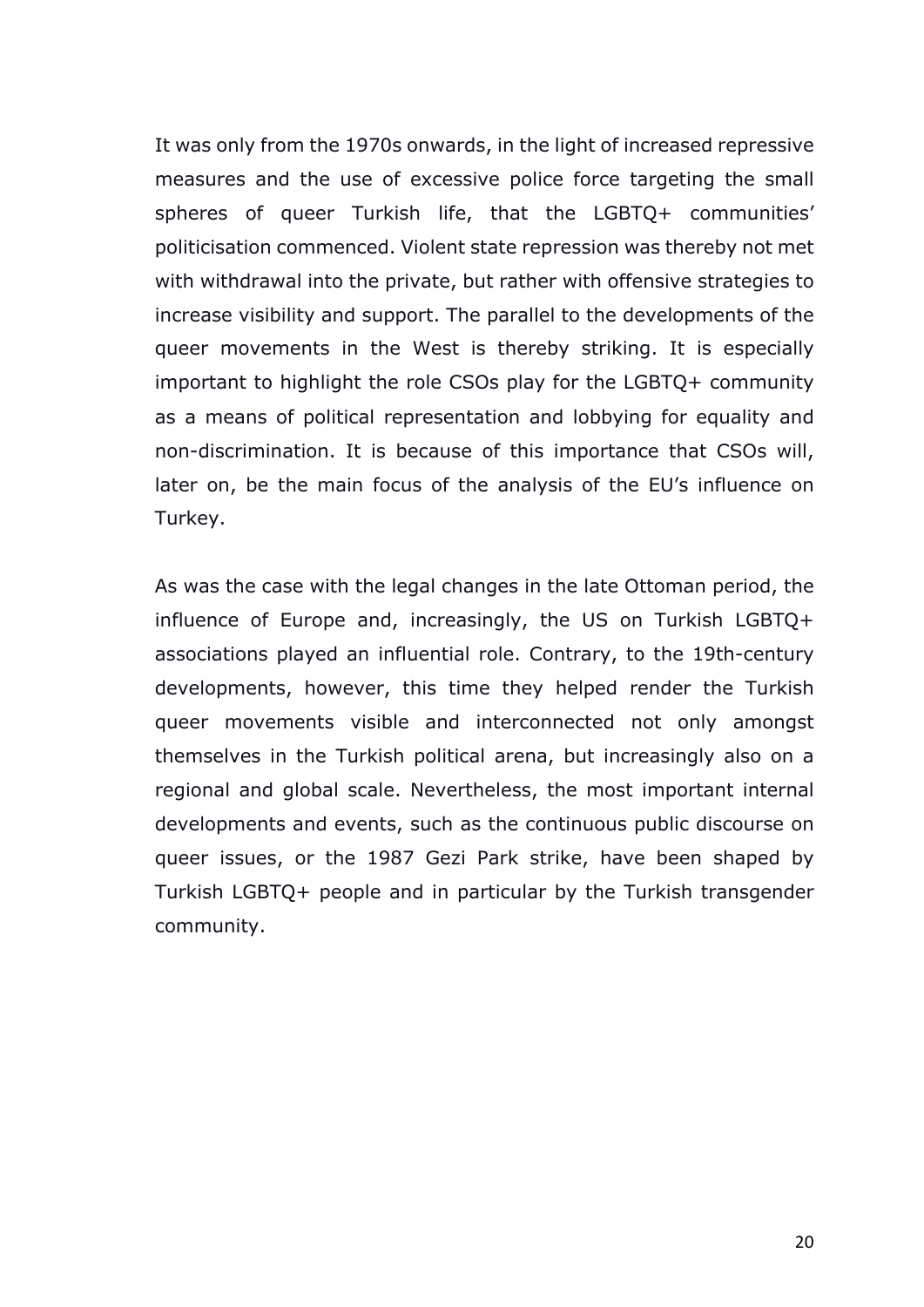It was only from the 1970s onwards, in the light of increased repressive measures and the use of excessive police force targeting the small spheres of queer Turkish life, that the LGBTQ+ communities' politicisation commenced. Violent state repression was thereby not met with withdrawal into the private, but rather with offensive strategies to increase visibility and support. The parallel to the developments of the queer movements in the West is thereby striking. It is especially important to highlight the role CSOs play for the LGBTQ+ community as a means of political representation and lobbying for equality and non-discrimination. It is because of this importance that CSOs will, later on, be the main focus of the analysis of the EU's influence on Turkey.

As was the case with the legal changes in the late Ottoman period, the influence of Europe and, increasingly, the US on Turkish LGBTQ+ associations played an influential role. Contrary, to the 19th-century developments, however, this time they helped render the Turkish queer movements visible and interconnected not only amongst themselves in the Turkish political arena, but increasingly also on a regional and global scale. Nevertheless, the most important internal developments and events, such as the continuous public discourse on queer issues, or the 1987 Gezi Park strike, have been shaped by Turkish LGBTQ+ people and in particular by the Turkish transgender community.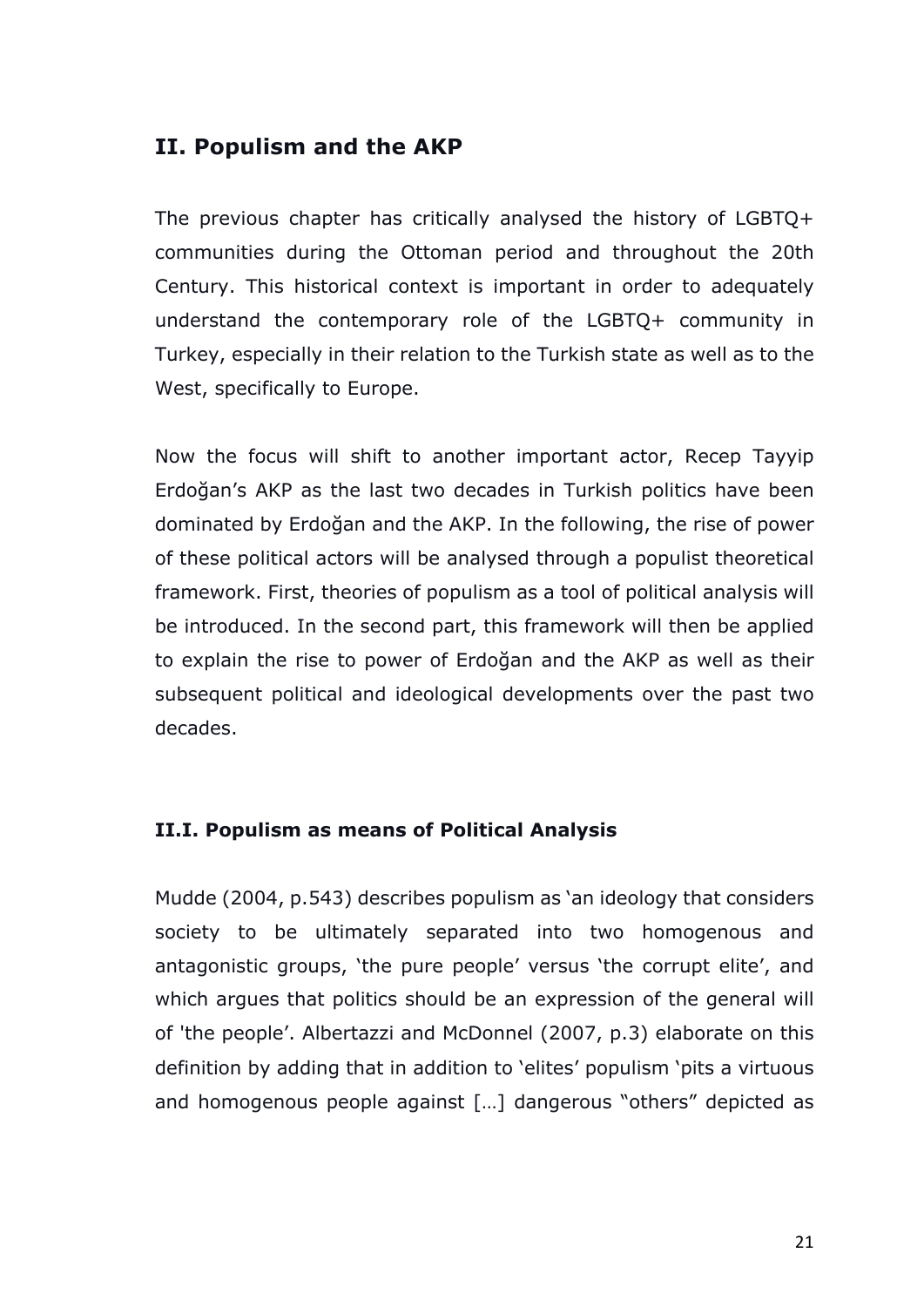# **II. Populism and the AKP**

The previous chapter has critically analysed the history of LGBTQ+ communities during the Ottoman period and throughout the 20th Century. This historical context is important in order to adequately understand the contemporary role of the LGBTQ+ community in Turkey, especially in their relation to the Turkish state as well as to the West, specifically to Europe.

Now the focus will shift to another important actor, Recep Tayyip Erdoğan's AKP as the last two decades in Turkish politics have been dominated by Erdoğan and the AKP. In the following, the rise of power of these political actors will be analysed through a populist theoretical framework. First, theories of populism as a tool of political analysis will be introduced. In the second part, this framework will then be applied to explain the rise to power of Erdoğan and the AKP as well as their subsequent political and ideological developments over the past two decades.

#### **II.I. Populism as means of Political Analysis**

Mudde (2004, p.543) describes populism as 'an ideology that considers society to be ultimately separated into two homogenous and antagonistic groups, 'the pure people' versus 'the corrupt elite', and which argues that politics should be an expression of the general will of 'the people'. Albertazzi and McDonnel (2007, p.3) elaborate on this definition by adding that in addition to 'elites' populism 'pits a virtuous and homogenous people against […] dangerous "others" depicted as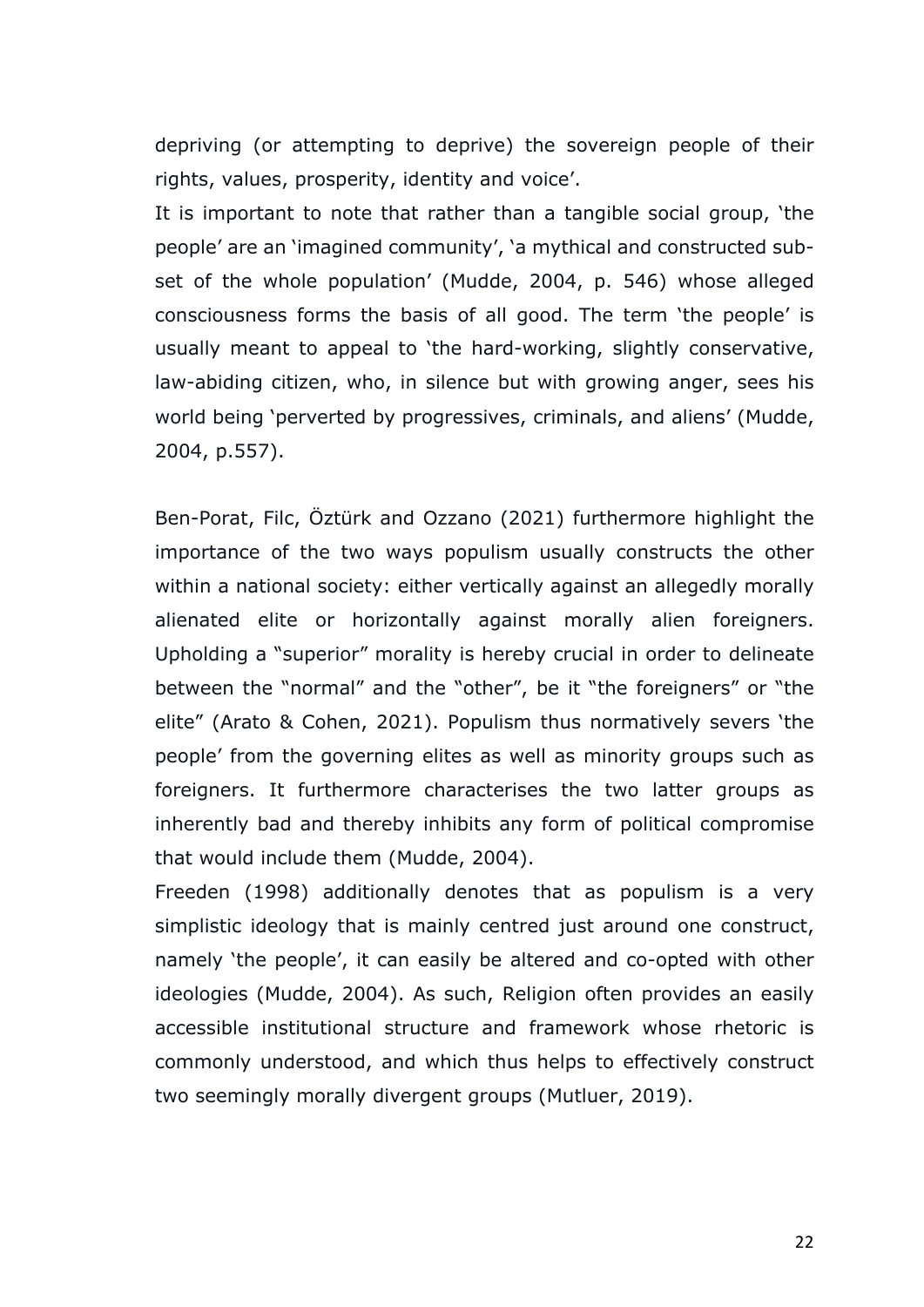depriving (or attempting to deprive) the sovereign people of their rights, values, prosperity, identity and voice'.

It is important to note that rather than a tangible social group, 'the people' are an 'imagined community', 'a mythical and constructed subset of the whole population' (Mudde, 2004, p. 546) whose alleged consciousness forms the basis of all good. The term 'the people' is usually meant to appeal to 'the hard-working, slightly conservative, law-abiding citizen, who, in silence but with growing anger, sees his world being 'perverted by progressives, criminals, and aliens' (Mudde, 2004, p.557).

Ben-Porat, Filc, Öztürk and Ozzano (2021) furthermore highlight the importance of the two ways populism usually constructs the other within a national society: either vertically against an allegedly morally alienated elite or horizontally against morally alien foreigners. Upholding a "superior" morality is hereby crucial in order to delineate between the "normal" and the "other", be it "the foreigners" or "the elite" (Arato & Cohen, 2021). Populism thus normatively severs 'the people' from the governing elites as well as minority groups such as foreigners. It furthermore characterises the two latter groups as inherently bad and thereby inhibits any form of political compromise that would include them (Mudde, 2004).

Freeden (1998) additionally denotes that as populism is a very simplistic ideology that is mainly centred just around one construct, namely 'the people', it can easily be altered and co-opted with other ideologies (Mudde, 2004). As such, Religion often provides an easily accessible institutional structure and framework whose rhetoric is commonly understood, and which thus helps to effectively construct two seemingly morally divergent groups (Mutluer, 2019).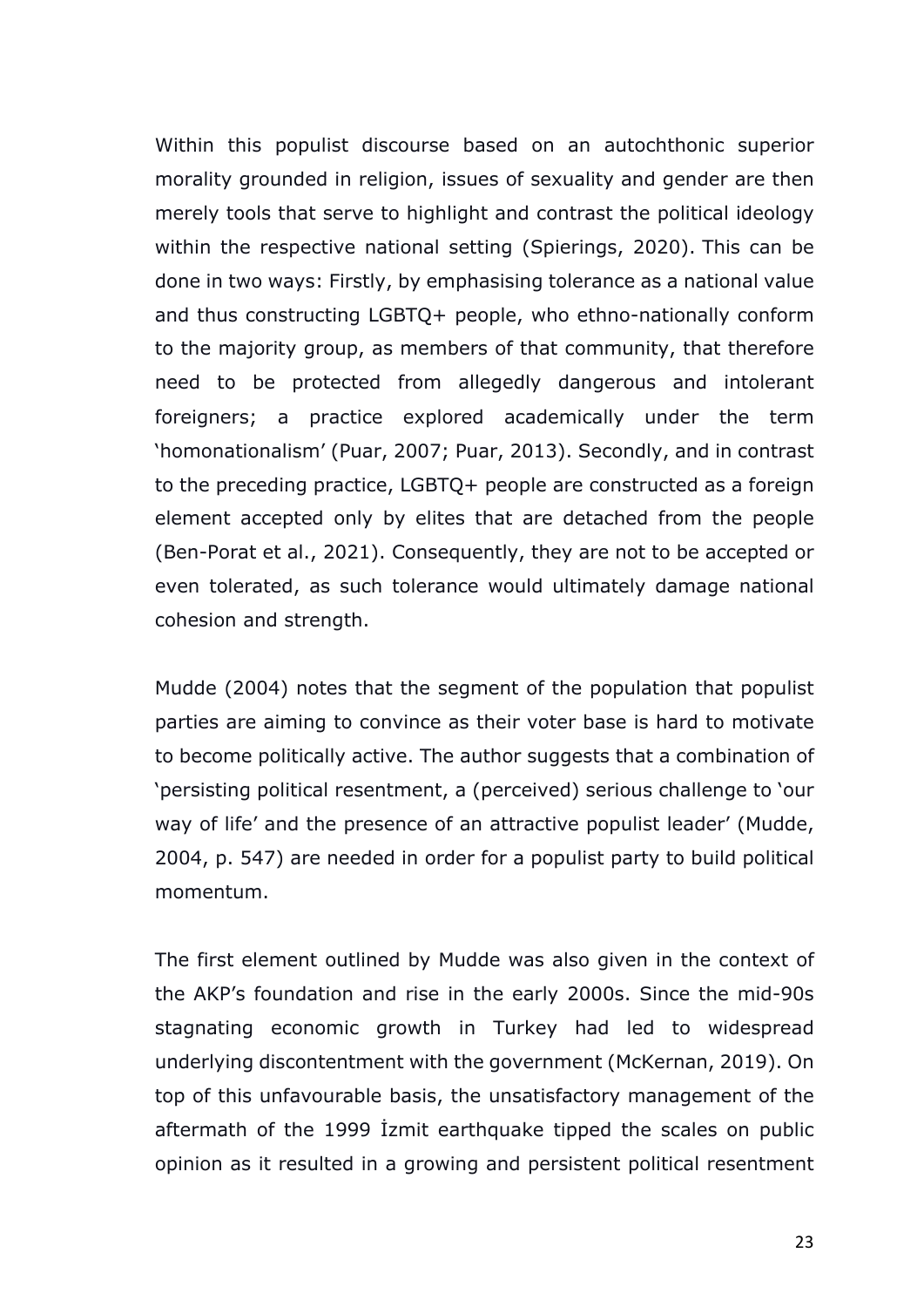Within this populist discourse based on an autochthonic superior morality grounded in religion, issues of sexuality and gender are then merely tools that serve to highlight and contrast the political ideology within the respective national setting (Spierings, 2020). This can be done in two ways: Firstly, by emphasising tolerance as a national value and thus constructing LGBTQ+ people, who ethno-nationally conform to the majority group, as members of that community, that therefore need to be protected from allegedly dangerous and intolerant foreigners; a practice explored academically under the term 'homonationalism' (Puar, 2007; Puar, 2013). Secondly, and in contrast to the preceding practice, LGBTQ+ people are constructed as a foreign element accepted only by elites that are detached from the people (Ben-Porat et al., 2021). Consequently, they are not to be accepted or even tolerated, as such tolerance would ultimately damage national cohesion and strength.

Mudde (2004) notes that the segment of the population that populist parties are aiming to convince as their voter base is hard to motivate to become politically active. The author suggests that a combination of 'persisting political resentment, a (perceived) serious challenge to 'our way of life' and the presence of an attractive populist leader' (Mudde, 2004, p. 547) are needed in order for a populist party to build political momentum.

The first element outlined by Mudde was also given in the context of the AKP's foundation and rise in the early 2000s. Since the mid-90s stagnating economic growth in Turkey had led to widespread underlying discontentment with the government (McKernan, 2019). On top of this unfavourable basis, the unsatisfactory management of the aftermath of the 1999 İzmit earthquake tipped the scales on public opinion as it resulted in a growing and persistent political resentment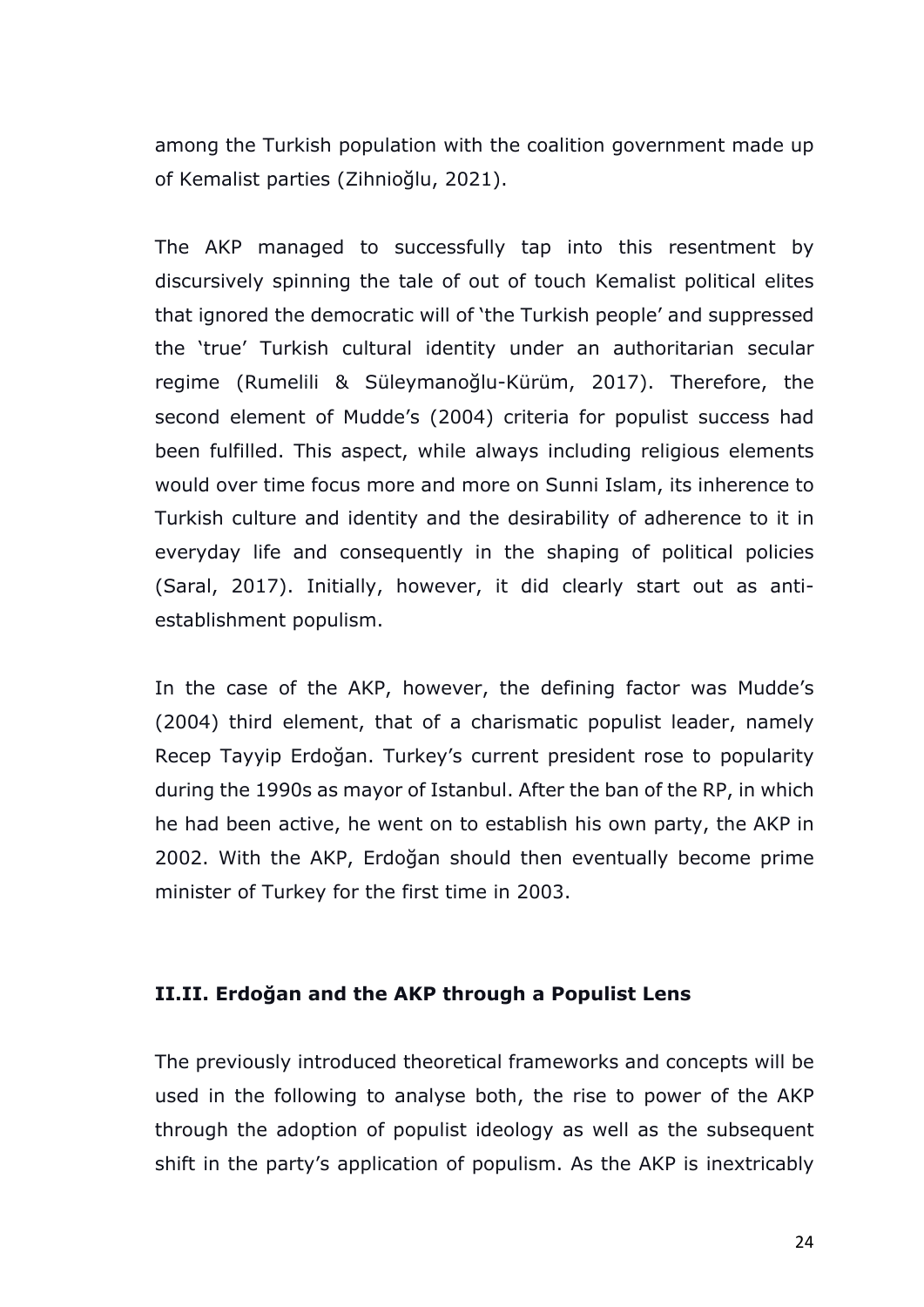among the Turkish population with the coalition government made up of Kemalist parties (Zihnioğlu, 2021).

The AKP managed to successfully tap into this resentment by discursively spinning the tale of out of touch Kemalist political elites that ignored the democratic will of 'the Turkish people' and suppressed the 'true' Turkish cultural identity under an authoritarian secular regime (Rumelili & Süleymanoğlu-Kürüm, 2017). Therefore, the second element of Mudde's (2004) criteria for populist success had been fulfilled. This aspect, while always including religious elements would over time focus more and more on Sunni Islam, its inherence to Turkish culture and identity and the desirability of adherence to it in everyday life and consequently in the shaping of political policies (Saral, 2017). Initially, however, it did clearly start out as antiestablishment populism.

In the case of the AKP, however, the defining factor was Mudde's (2004) third element, that of a charismatic populist leader, namely Recep Tayyip Erdoğan. Turkey's current president rose to popularity during the 1990s as mayor of Istanbul. After the ban of the RP, in which he had been active, he went on to establish his own party, the AKP in 2002. With the AKP, Erdoğan should then eventually become prime minister of Turkey for the first time in 2003.

#### **II.II. Erdoğan and the AKP through a Populist Lens**

The previously introduced theoretical frameworks and concepts will be used in the following to analyse both, the rise to power of the AKP through the adoption of populist ideology as well as the subsequent shift in the party's application of populism. As the AKP is inextricably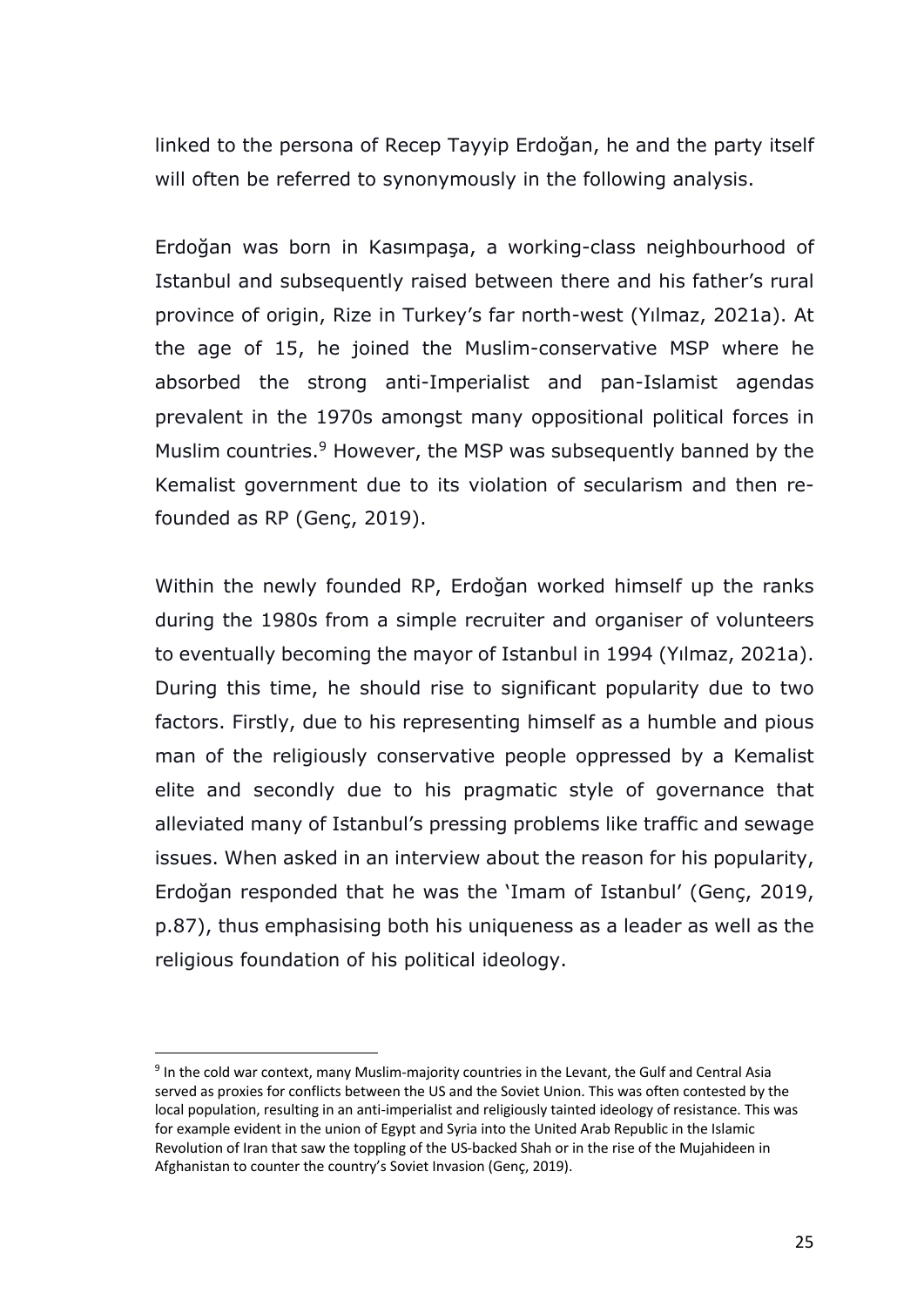linked to the persona of Recep Tayyip Erdoğan, he and the party itself will often be referred to synonymously in the following analysis.

Erdoğan was born in Kasımpaşa, a working-class neighbourhood of Istanbul and subsequently raised between there and his father's rural province of origin, Rize in Turkey's far north-west (Yılmaz, 2021a). At the age of 15, he joined the Muslim-conservative MSP where he absorbed the strong anti-Imperialist and pan-Islamist agendas prevalent in the 1970s amongst many oppositional political forces in Muslim countries.<sup>9</sup> However, the MSP was subsequently banned by the Kemalist government due to its violation of secularism and then refounded as RP (Genç, 2019).

Within the newly founded RP, Erdoğan worked himself up the ranks during the 1980s from a simple recruiter and organiser of volunteers to eventually becoming the mayor of Istanbul in 1994 (Yılmaz, 2021a). During this time, he should rise to significant popularity due to two factors. Firstly, due to his representing himself as a humble and pious man of the religiously conservative people oppressed by a Kemalist elite and secondly due to his pragmatic style of governance that alleviated many of Istanbul's pressing problems like traffic and sewage issues. When asked in an interview about the reason for his popularity, Erdoğan responded that he was the 'Imam of Istanbul' (Genç, 2019, p.87), thus emphasising both his uniqueness as a leader as well as the religious foundation of his political ideology.

<sup>9</sup> In the cold war context, many Muslim-majority countries in the Levant, the Gulf and Central Asia served as proxies for conflicts between the US and the Soviet Union. This was often contested by the local population, resulting in an anti-imperialist and religiously tainted ideology of resistance. This was for example evident in the union of Egypt and Syria into the United Arab Republic in the Islamic Revolution of Iran that saw the toppling of the US-backed Shah or in the rise of the Mujahideen in Afghanistan to counter the country's Soviet Invasion (Genç, 2019).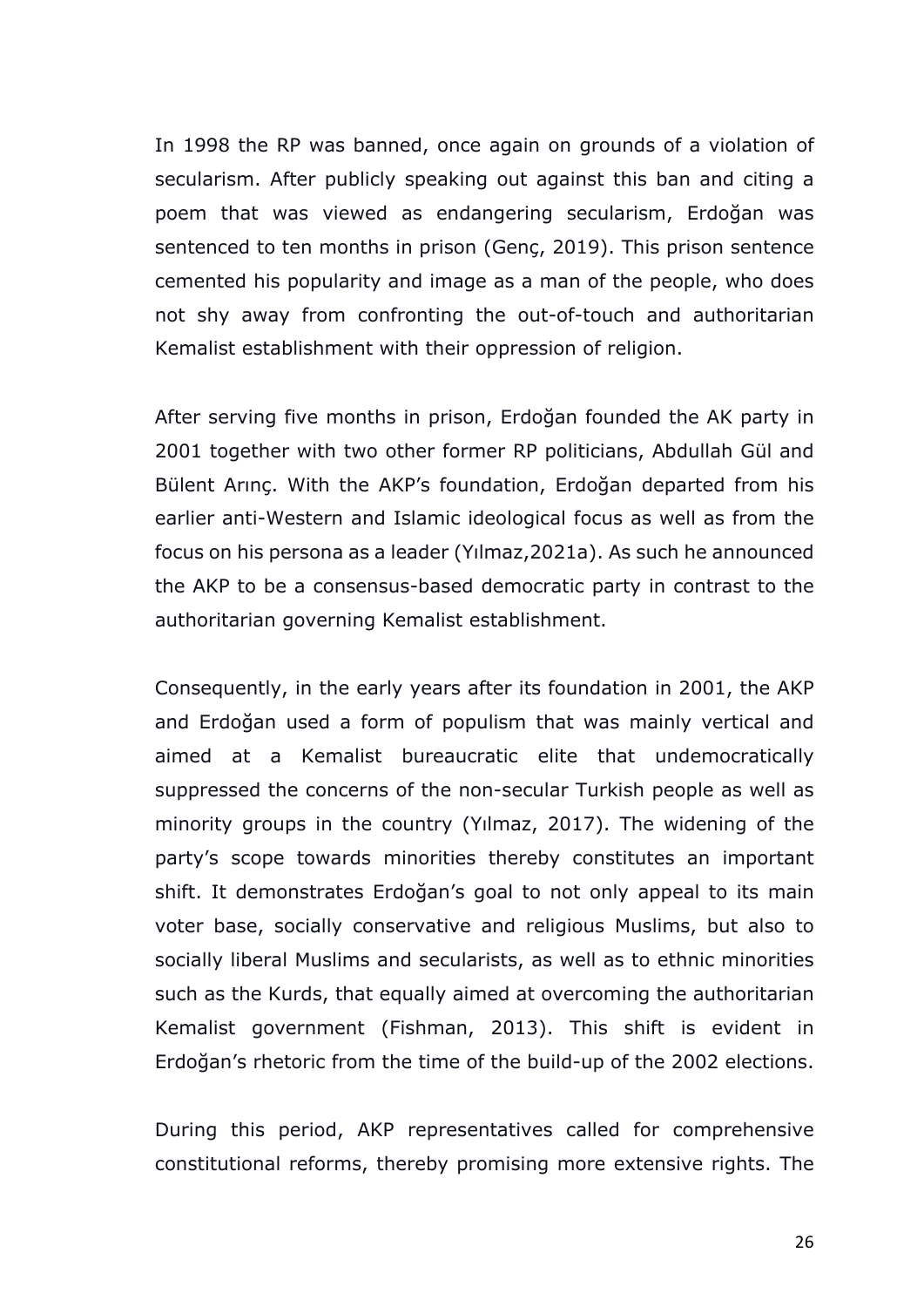In 1998 the RP was banned, once again on grounds of a violation of secularism. After publicly speaking out against this ban and citing a poem that was viewed as endangering secularism, Erdoğan was sentenced to ten months in prison (Genç, 2019). This prison sentence cemented his popularity and image as a man of the people, who does not shy away from confronting the out-of-touch and authoritarian Kemalist establishment with their oppression of religion.

After serving five months in prison, Erdoğan founded the AK party in 2001 together with two other former RP politicians, Abdullah Gül and Bülent Arınç. With the AKP's foundation, Erdoğan departed from his earlier anti-Western and Islamic ideological focus as well as from the focus on his persona as a leader (Yılmaz,2021a). As such he announced the AKP to be a consensus-based democratic party in contrast to the authoritarian governing Kemalist establishment.

Consequently, in the early years after its foundation in 2001, the AKP and Erdoğan used a form of populism that was mainly vertical and aimed at a Kemalist bureaucratic elite that undemocratically suppressed the concerns of the non-secular Turkish people as well as minority groups in the country (Yılmaz, 2017). The widening of the party's scope towards minorities thereby constitutes an important shift. It demonstrates Erdoğan's goal to not only appeal to its main voter base, socially conservative and religious Muslims, but also to socially liberal Muslims and secularists, as well as to ethnic minorities such as the Kurds, that equally aimed at overcoming the authoritarian Kemalist government (Fishman, 2013). This shift is evident in Erdoğan's rhetoric from the time of the build-up of the 2002 elections.

During this period, AKP representatives called for comprehensive constitutional reforms, thereby promising more extensive rights. The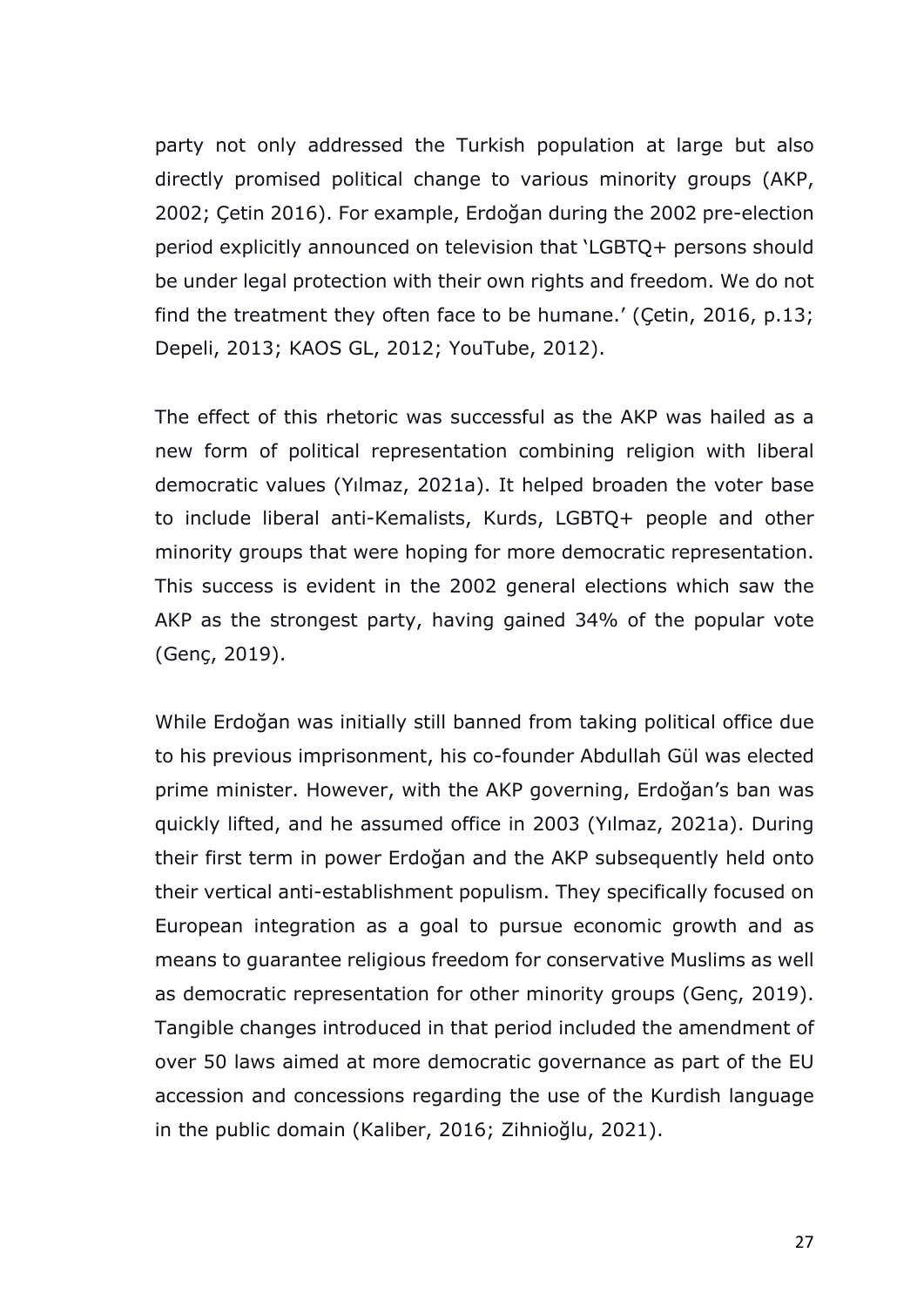party not only addressed the Turkish population at large but also directly promised political change to various minority groups (AKP, 2002; Çetin 2016). For example, Erdoğan during the 2002 pre-election period explicitly announced on television that 'LGBTQ+ persons should be under legal protection with their own rights and freedom. We do not find the treatment they often face to be humane.' (Çetin, 2016, p.13; Depeli, 2013; KAOS GL, 2012; YouTube, 2012).

The effect of this rhetoric was successful as the AKP was hailed as a new form of political representation combining religion with liberal democratic values (Yılmaz, 2021a). It helped broaden the voter base to include liberal anti-Kemalists, Kurds, LGBTQ+ people and other minority groups that were hoping for more democratic representation. This success is evident in the 2002 general elections which saw the AKP as the strongest party, having gained 34% of the popular vote (Genç, 2019).

While Erdoğan was initially still banned from taking political office due to his previous imprisonment, his co-founder Abdullah Gül was elected prime minister. However, with the AKP governing, Erdoğan's ban was quickly lifted, and he assumed office in 2003 (Yılmaz, 2021a). During their first term in power Erdoğan and the AKP subsequently held onto their vertical anti-establishment populism. They specifically focused on European integration as a goal to pursue economic growth and as means to guarantee religious freedom for conservative Muslims as well as democratic representation for other minority groups (Genç, 2019). Tangible changes introduced in that period included the amendment of over 50 laws aimed at more democratic governance as part of the EU accession and concessions regarding the use of the Kurdish language in the public domain (Kaliber, 2016; Zihnioğlu, 2021).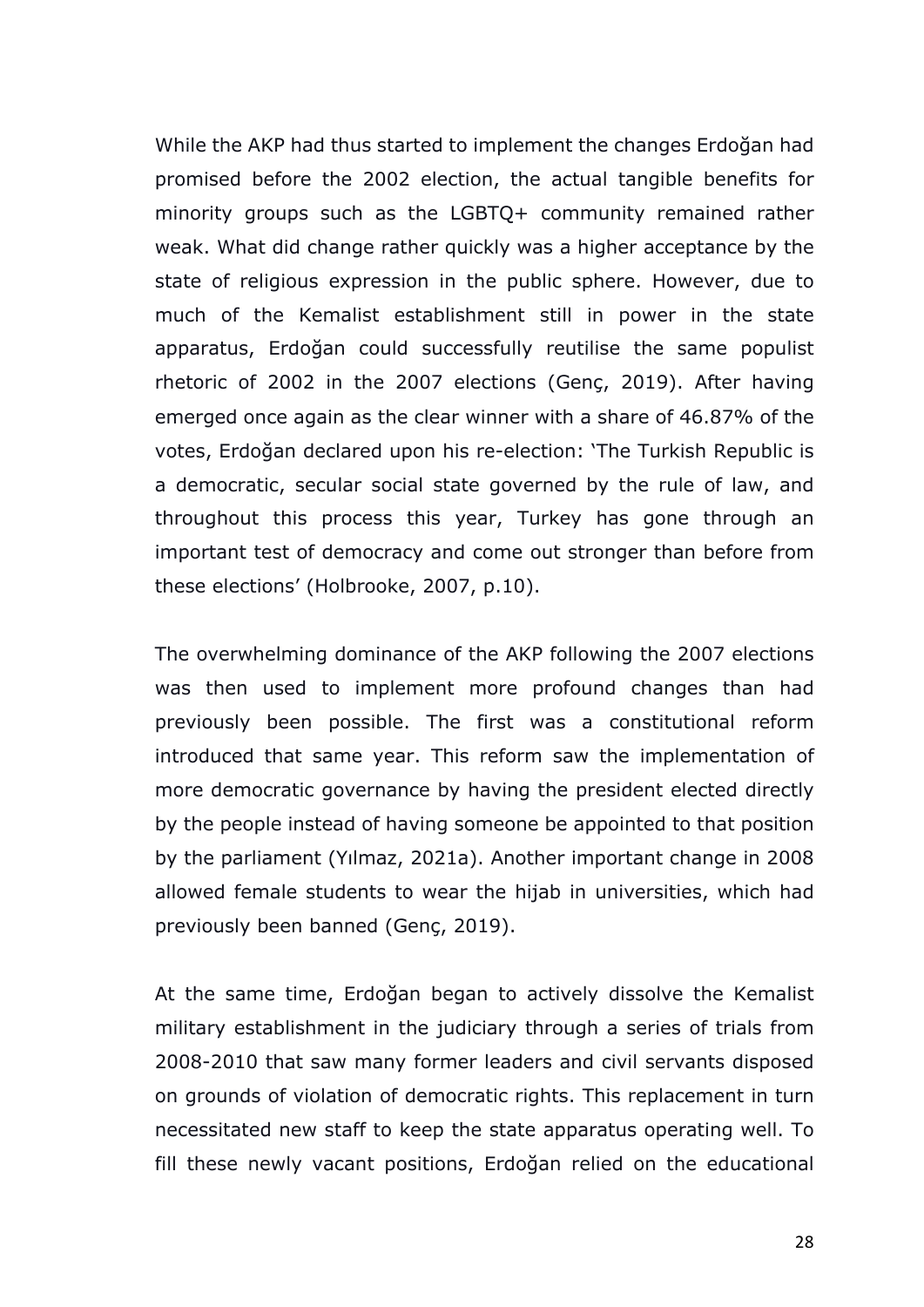While the AKP had thus started to implement the changes Erdoğan had promised before the 2002 election, the actual tangible benefits for minority groups such as the LGBTQ+ community remained rather weak. What did change rather quickly was a higher acceptance by the state of religious expression in the public sphere. However, due to much of the Kemalist establishment still in power in the state apparatus, Erdoğan could successfully reutilise the same populist rhetoric of 2002 in the 2007 elections (Genç, 2019). After having emerged once again as the clear winner with a share of 46.87% of the votes, Erdoğan declared upon his re-election: 'The Turkish Republic is a democratic, secular social state governed by the rule of law, and throughout this process this year, Turkey has gone through an important test of democracy and come out stronger than before from these elections' (Holbrooke, 2007, p.10).

The overwhelming dominance of the AKP following the 2007 elections was then used to implement more profound changes than had previously been possible. The first was a constitutional reform introduced that same year. This reform saw the implementation of more democratic governance by having the president elected directly by the people instead of having someone be appointed to that position by the parliament (Yılmaz, 2021a). Another important change in 2008 allowed female students to wear the hijab in universities, which had previously been banned (Genç, 2019).

At the same time, Erdoğan began to actively dissolve the Kemalist military establishment in the judiciary through a series of trials from 2008-2010 that saw many former leaders and civil servants disposed on grounds of violation of democratic rights. This replacement in turn necessitated new staff to keep the state apparatus operating well. To fill these newly vacant positions, Erdoğan relied on the educational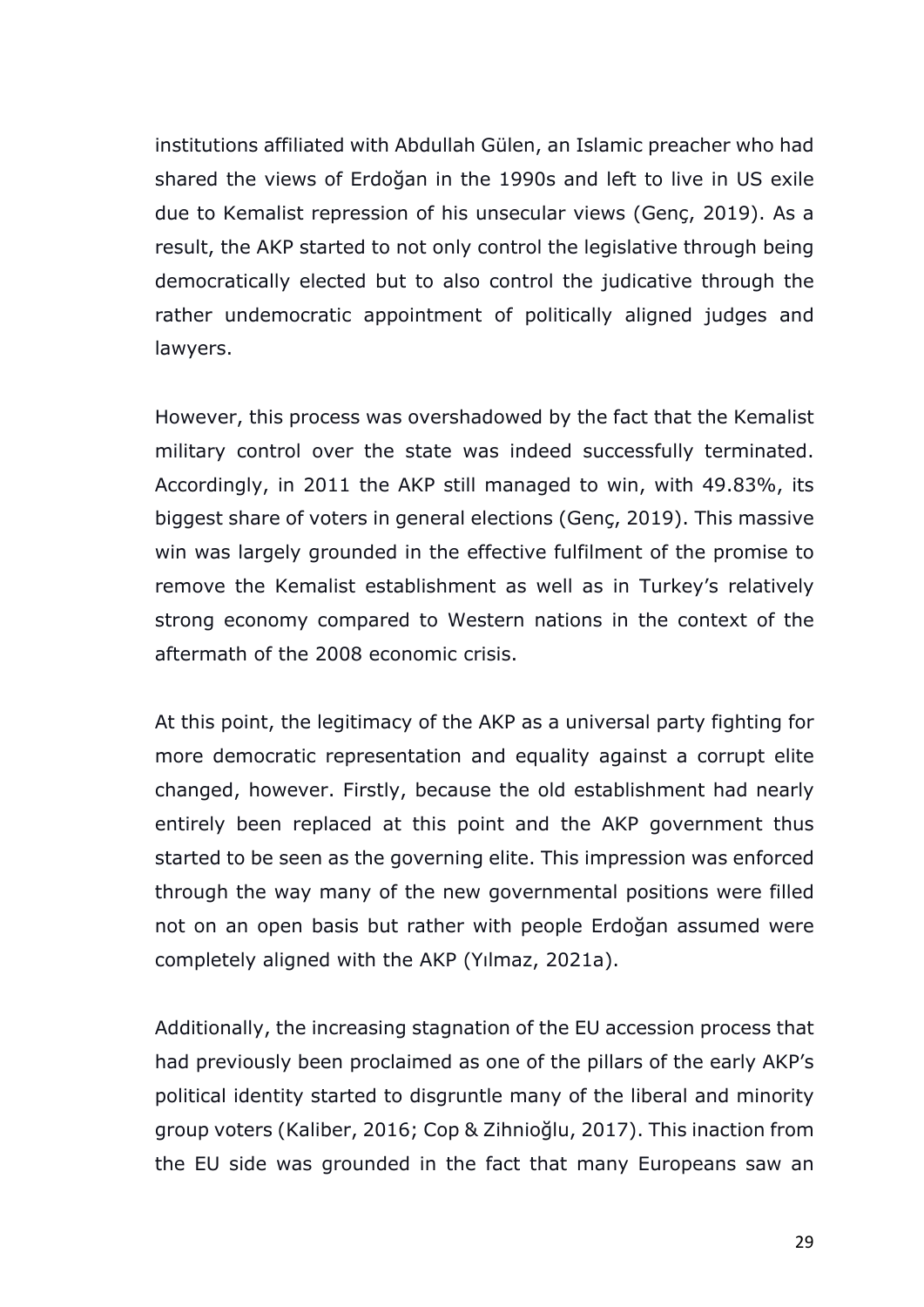institutions affiliated with Abdullah Gülen, an Islamic preacher who had shared the views of Erdoğan in the 1990s and left to live in US exile due to Kemalist repression of his unsecular views (Genç, 2019). As a result, the AKP started to not only control the legislative through being democratically elected but to also control the judicative through the rather undemocratic appointment of politically aligned judges and lawyers.

However, this process was overshadowed by the fact that the Kemalist military control over the state was indeed successfully terminated. Accordingly, in 2011 the AKP still managed to win, with 49.83%, its biggest share of voters in general elections (Genç, 2019). This massive win was largely grounded in the effective fulfilment of the promise to remove the Kemalist establishment as well as in Turkey's relatively strong economy compared to Western nations in the context of the aftermath of the 2008 economic crisis.

At this point, the legitimacy of the AKP as a universal party fighting for more democratic representation and equality against a corrupt elite changed, however. Firstly, because the old establishment had nearly entirely been replaced at this point and the AKP government thus started to be seen as the governing elite. This impression was enforced through the way many of the new governmental positions were filled not on an open basis but rather with people Erdoğan assumed were completely aligned with the AKP (Yılmaz, 2021a).

Additionally, the increasing stagnation of the EU accession process that had previously been proclaimed as one of the pillars of the early AKP's political identity started to disgruntle many of the liberal and minority group voters (Kaliber, 2016; Cop & Zihnioğlu, 2017). This inaction from the EU side was grounded in the fact that many Europeans saw an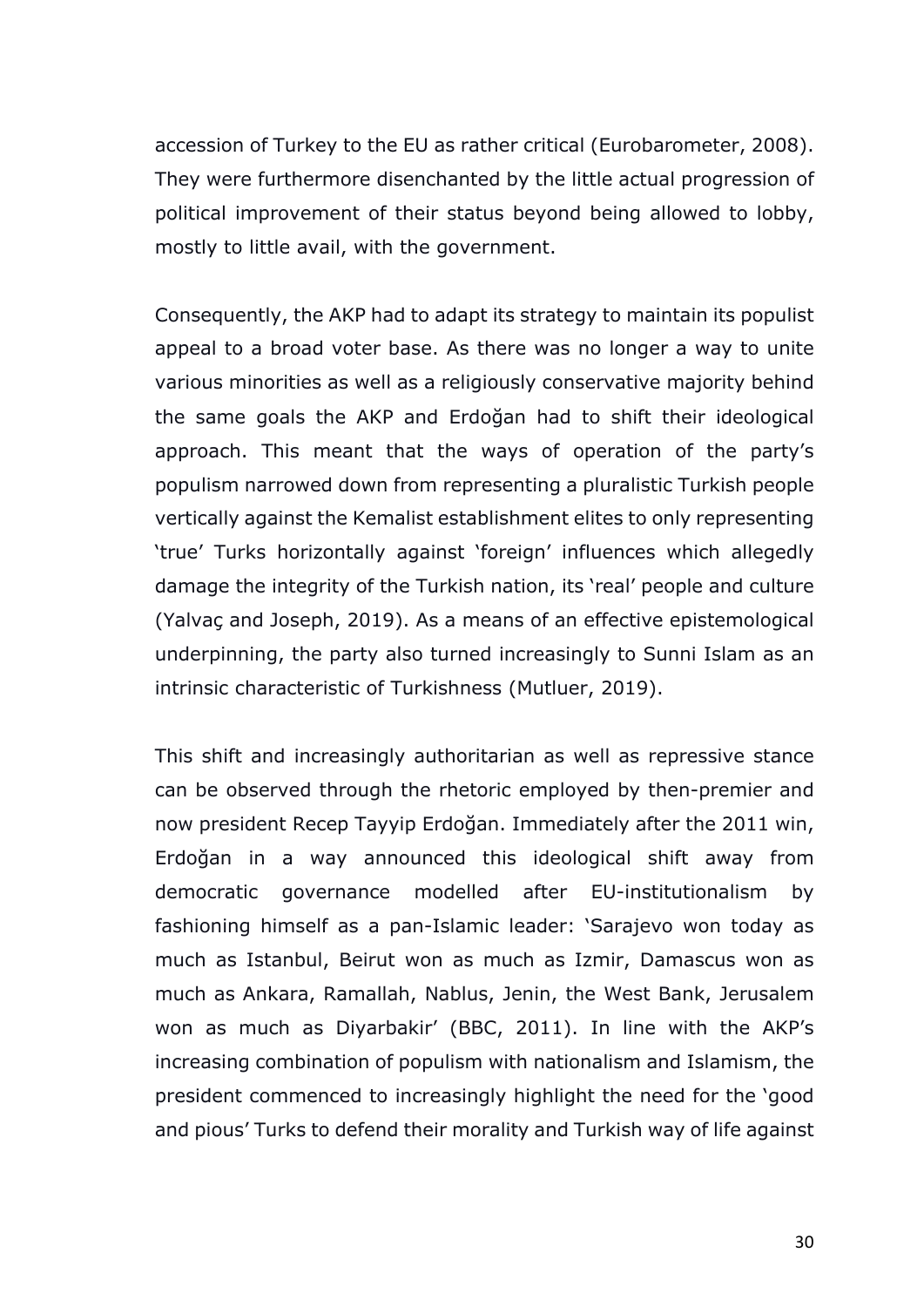accession of Turkey to the EU as rather critical (Eurobarometer, 2008). They were furthermore disenchanted by the little actual progression of political improvement of their status beyond being allowed to lobby, mostly to little avail, with the government.

Consequently, the AKP had to adapt its strategy to maintain its populist appeal to a broad voter base. As there was no longer a way to unite various minorities as well as a religiously conservative majority behind the same goals the AKP and Erdoğan had to shift their ideological approach. This meant that the ways of operation of the party's populism narrowed down from representing a pluralistic Turkish people vertically against the Kemalist establishment elites to only representing 'true' Turks horizontally against 'foreign' influences which allegedly damage the integrity of the Turkish nation, its 'real' people and culture (Yalvaç and Joseph, 2019). As a means of an effective epistemological underpinning, the party also turned increasingly to Sunni Islam as an intrinsic characteristic of Turkishness (Mutluer, 2019).

This shift and increasingly authoritarian as well as repressive stance can be observed through the rhetoric employed by then-premier and now president Recep Tayyip Erdoğan. Immediately after the 2011 win, Erdoğan in a way announced this ideological shift away from democratic governance modelled after EU-institutionalism by fashioning himself as a pan-Islamic leader: 'Sarajevo won today as much as Istanbul, Beirut won as much as Izmir, Damascus won as much as Ankara, Ramallah, Nablus, Jenin, the West Bank, Jerusalem won as much as Diyarbakir' (BBC, 2011). In line with the AKP's increasing combination of populism with nationalism and Islamism, the president commenced to increasingly highlight the need for the 'good and pious' Turks to defend their morality and Turkish way of life against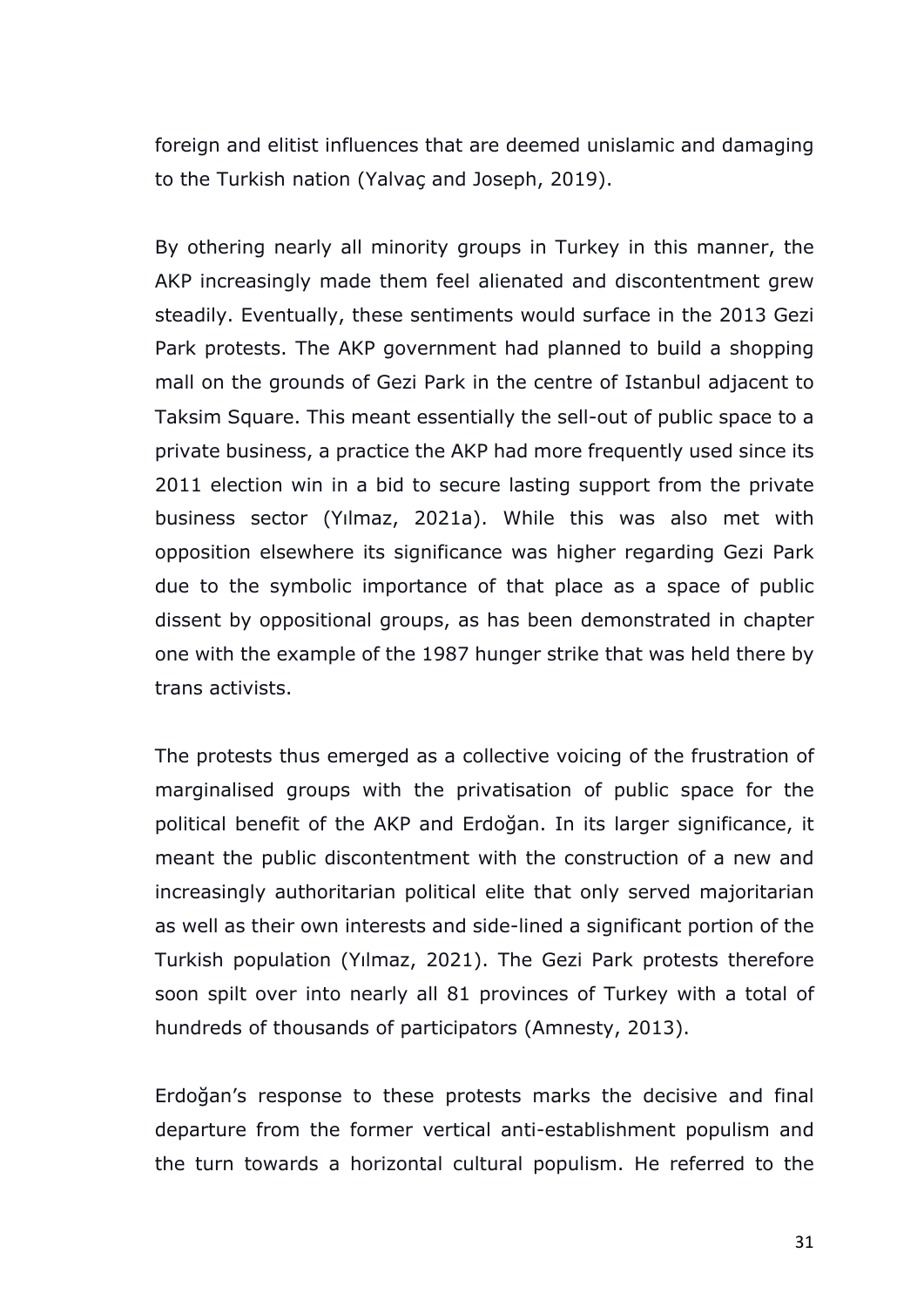foreign and elitist influences that are deemed unislamic and damaging to the Turkish nation (Yalvaç and Joseph, 2019).

By othering nearly all minority groups in Turkey in this manner, the AKP increasingly made them feel alienated and discontentment grew steadily. Eventually, these sentiments would surface in the 2013 Gezi Park protests. The AKP government had planned to build a shopping mall on the grounds of Gezi Park in the centre of Istanbul adjacent to Taksim Square. This meant essentially the sell-out of public space to a private business, a practice the AKP had more frequently used since its 2011 election win in a bid to secure lasting support from the private business sector (Yılmaz, 2021a). While this was also met with opposition elsewhere its significance was higher regarding Gezi Park due to the symbolic importance of that place as a space of public dissent by oppositional groups, as has been demonstrated in chapter one with the example of the 1987 hunger strike that was held there by trans activists.

The protests thus emerged as a collective voicing of the frustration of marginalised groups with the privatisation of public space for the political benefit of the AKP and Erdoğan. In its larger significance, it meant the public discontentment with the construction of a new and increasingly authoritarian political elite that only served majoritarian as well as their own interests and side-lined a significant portion of the Turkish population (Yılmaz, 2021). The Gezi Park protests therefore soon spilt over into nearly all 81 provinces of Turkey with a total of hundreds of thousands of participators (Amnesty, 2013).

Erdoğan's response to these protests marks the decisive and final departure from the former vertical anti-establishment populism and the turn towards a horizontal cultural populism. He referred to the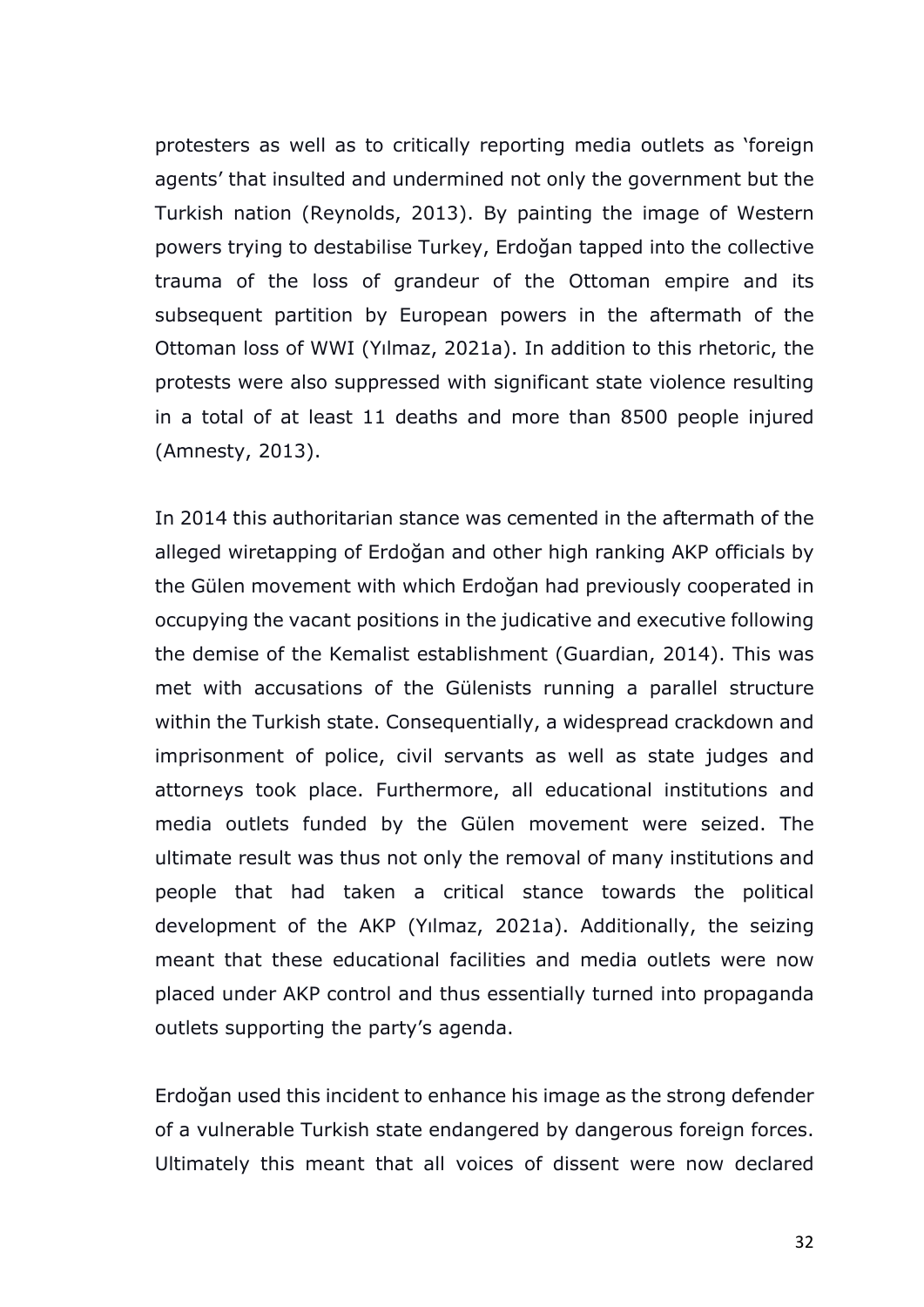protesters as well as to critically reporting media outlets as 'foreign agents' that insulted and undermined not only the government but the Turkish nation (Reynolds, 2013). By painting the image of Western powers trying to destabilise Turkey, Erdoğan tapped into the collective trauma of the loss of grandeur of the Ottoman empire and its subsequent partition by European powers in the aftermath of the Ottoman loss of WWI (Yılmaz, 2021a). In addition to this rhetoric, the protests were also suppressed with significant state violence resulting in a total of at least 11 deaths and more than 8500 people injured (Amnesty, 2013).

In 2014 this authoritarian stance was cemented in the aftermath of the alleged wiretapping of Erdoğan and other high ranking AKP officials by the Gülen movement with which Erdoğan had previously cooperated in occupying the vacant positions in the judicative and executive following the demise of the Kemalist establishment (Guardian, 2014). This was met with accusations of the Gülenists running a parallel structure within the Turkish state. Consequentially, a widespread crackdown and imprisonment of police, civil servants as well as state judges and attorneys took place. Furthermore, all educational institutions and media outlets funded by the Gülen movement were seized. The ultimate result was thus not only the removal of many institutions and people that had taken a critical stance towards the political development of the AKP (Yılmaz, 2021a). Additionally, the seizing meant that these educational facilities and media outlets were now placed under AKP control and thus essentially turned into propaganda outlets supporting the party's agenda.

Erdoğan used this incident to enhance his image as the strong defender of a vulnerable Turkish state endangered by dangerous foreign forces. Ultimately this meant that all voices of dissent were now declared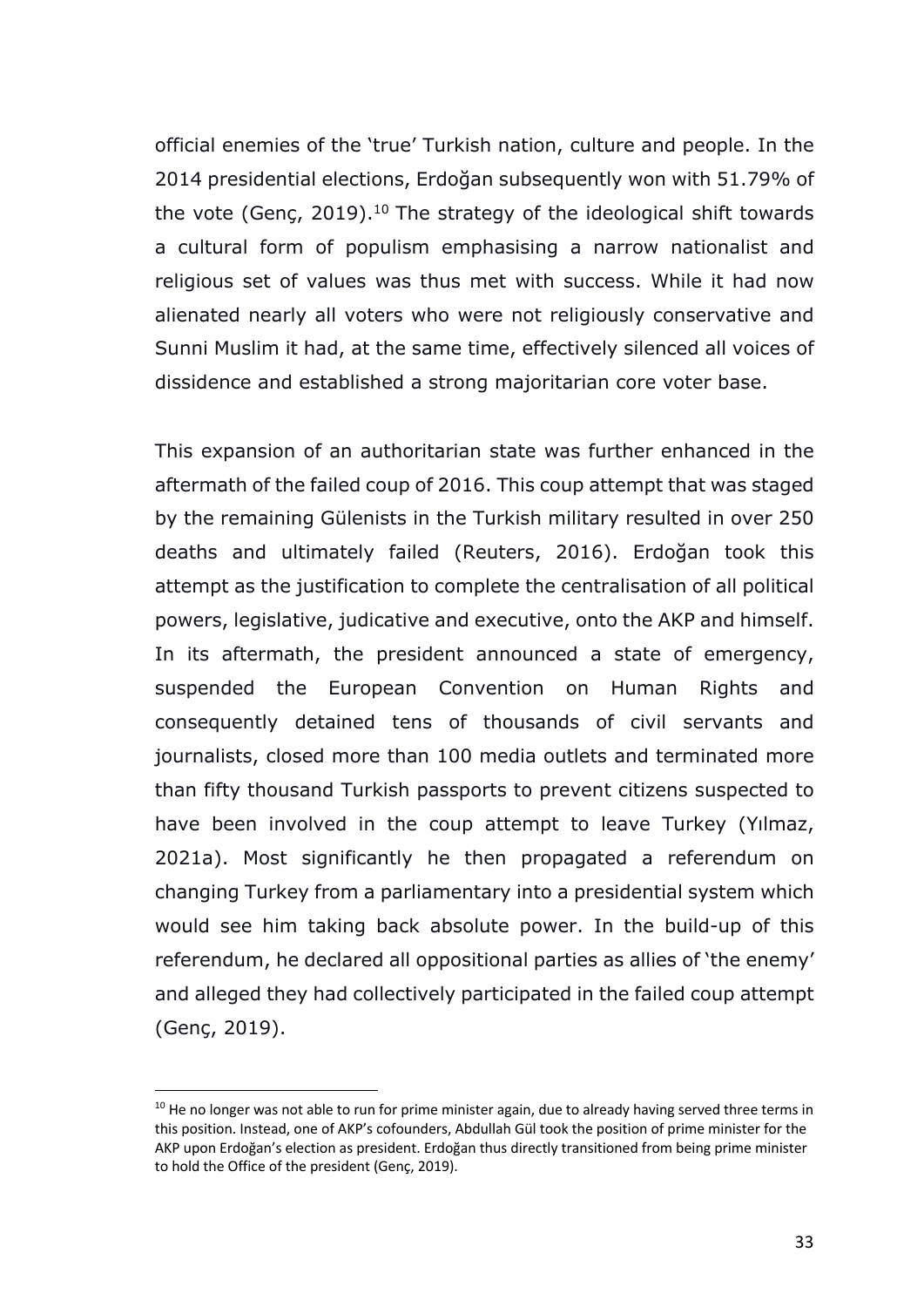official enemies of the 'true' Turkish nation, culture and people. In the 2014 presidential elections, Erdoğan subsequently won with 51.79% of the vote (Genç, 2019).<sup>10</sup> The strategy of the ideological shift towards a cultural form of populism emphasising a narrow nationalist and religious set of values was thus met with success. While it had now alienated nearly all voters who were not religiously conservative and Sunni Muslim it had, at the same time, effectively silenced all voices of dissidence and established a strong majoritarian core voter base.

This expansion of an authoritarian state was further enhanced in the aftermath of the failed coup of 2016. This coup attempt that was staged by the remaining Gülenists in the Turkish military resulted in over 250 deaths and ultimately failed (Reuters, 2016). Erdoğan took this attempt as the justification to complete the centralisation of all political powers, legislative, judicative and executive, onto the AKP and himself. In its aftermath, the president announced a state of emergency, suspended the European Convention on Human Rights and consequently detained tens of thousands of civil servants and journalists, closed more than 100 media outlets and terminated more than fifty thousand Turkish passports to prevent citizens suspected to have been involved in the coup attempt to leave Turkey (Yılmaz, 2021a). Most significantly he then propagated a referendum on changing Turkey from a parliamentary into a presidential system which would see him taking back absolute power. In the build-up of this referendum, he declared all oppositional parties as allies of 'the enemy' and alleged they had collectively participated in the failed coup attempt (Genç, 2019).

 $10$  He no longer was not able to run for prime minister again, due to already having served three terms in this position. Instead, one of AKP's cofounders, Abdullah Gül took the position of prime minister for the AKP upon Erdoğan's election as president. Erdoğan thus directly transitioned from being prime minister to hold the Office of the president (Genç, 2019).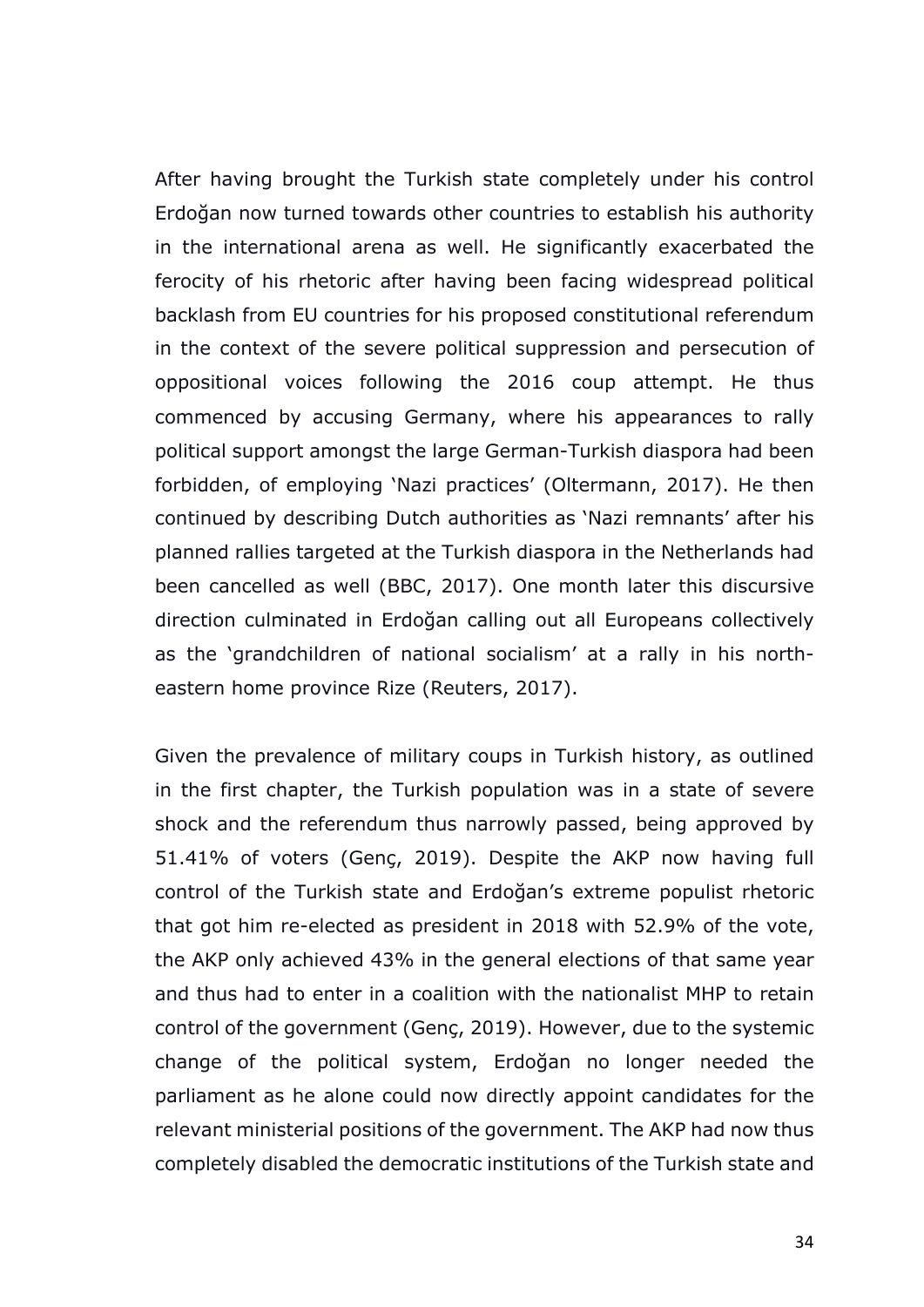After having brought the Turkish state completely under his control Erdoğan now turned towards other countries to establish his authority in the international arena as well. He significantly exacerbated the ferocity of his rhetoric after having been facing widespread political backlash from EU countries for his proposed constitutional referendum in the context of the severe political suppression and persecution of oppositional voices following the 2016 coup attempt. He thus commenced by accusing Germany, where his appearances to rally political support amongst the large German-Turkish diaspora had been forbidden, of employing 'Nazi practices' (Oltermann, 2017). He then continued by describing Dutch authorities as 'Nazi remnants' after his planned rallies targeted at the Turkish diaspora in the Netherlands had been cancelled as well (BBC, 2017). One month later this discursive direction culminated in Erdoğan calling out all Europeans collectively as the 'grandchildren of national socialism' at a rally in his northeastern home province Rize (Reuters, 2017).

Given the prevalence of military coups in Turkish history, as outlined in the first chapter, the Turkish population was in a state of severe shock and the referendum thus narrowly passed, being approved by 51.41% of voters (Genç, 2019). Despite the AKP now having full control of the Turkish state and Erdoğan's extreme populist rhetoric that got him re-elected as president in 2018 with 52.9% of the vote, the AKP only achieved 43% in the general elections of that same year and thus had to enter in a coalition with the nationalist MHP to retain control of the government (Genç, 2019). However, due to the systemic change of the political system, Erdoğan no longer needed the parliament as he alone could now directly appoint candidates for the relevant ministerial positions of the government. The AKP had now thus completely disabled the democratic institutions of the Turkish state and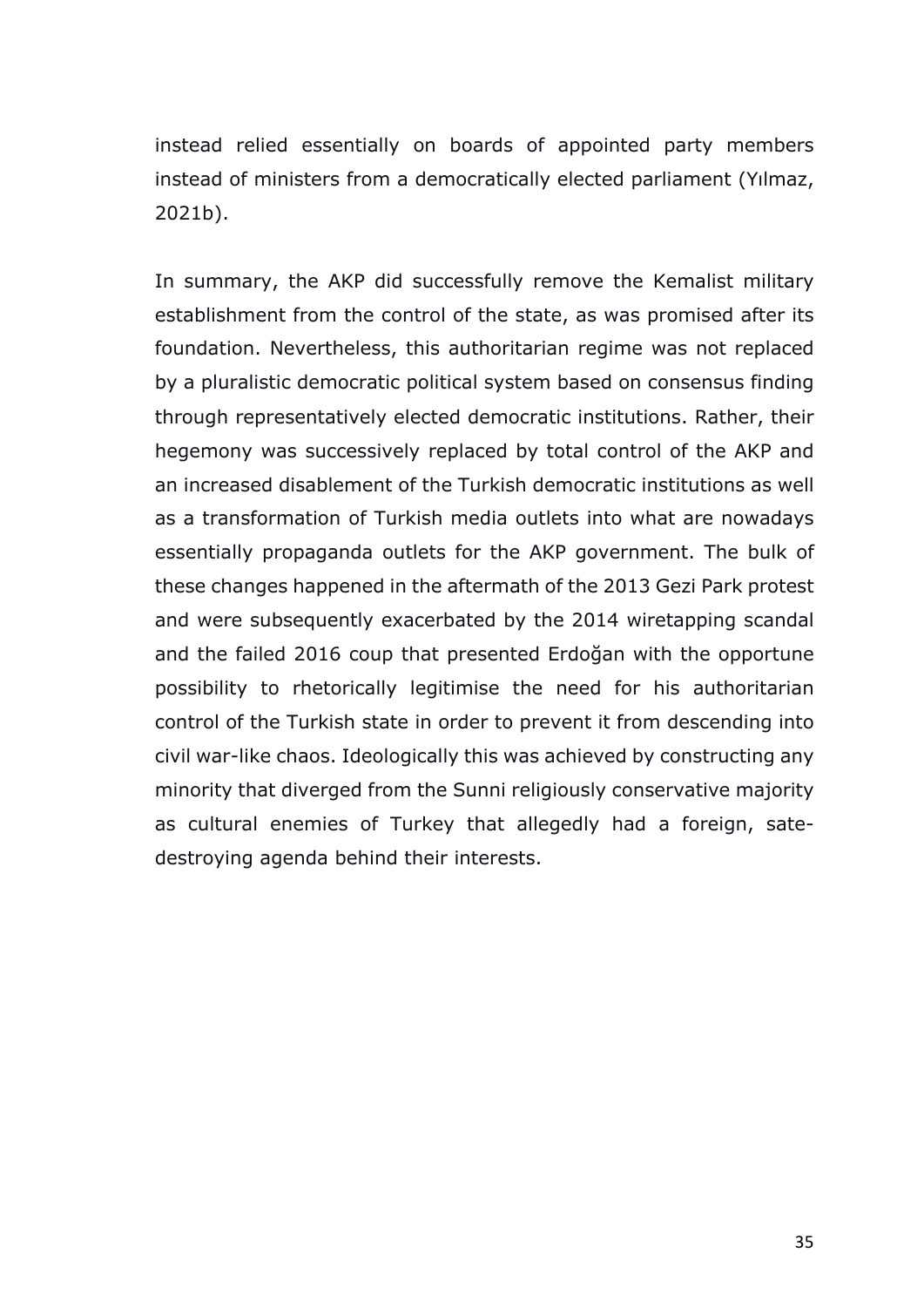instead relied essentially on boards of appointed party members instead of ministers from a democratically elected parliament (Yılmaz, 2021b).

In summary, the AKP did successfully remove the Kemalist military establishment from the control of the state, as was promised after its foundation. Nevertheless, this authoritarian regime was not replaced by a pluralistic democratic political system based on consensus finding through representatively elected democratic institutions. Rather, their hegemony was successively replaced by total control of the AKP and an increased disablement of the Turkish democratic institutions as well as a transformation of Turkish media outlets into what are nowadays essentially propaganda outlets for the AKP government. The bulk of these changes happened in the aftermath of the 2013 Gezi Park protest and were subsequently exacerbated by the 2014 wiretapping scandal and the failed 2016 coup that presented Erdoğan with the opportune possibility to rhetorically legitimise the need for his authoritarian control of the Turkish state in order to prevent it from descending into civil war-like chaos. Ideologically this was achieved by constructing any minority that diverged from the Sunni religiously conservative majority as cultural enemies of Turkey that allegedly had a foreign, satedestroying agenda behind their interests.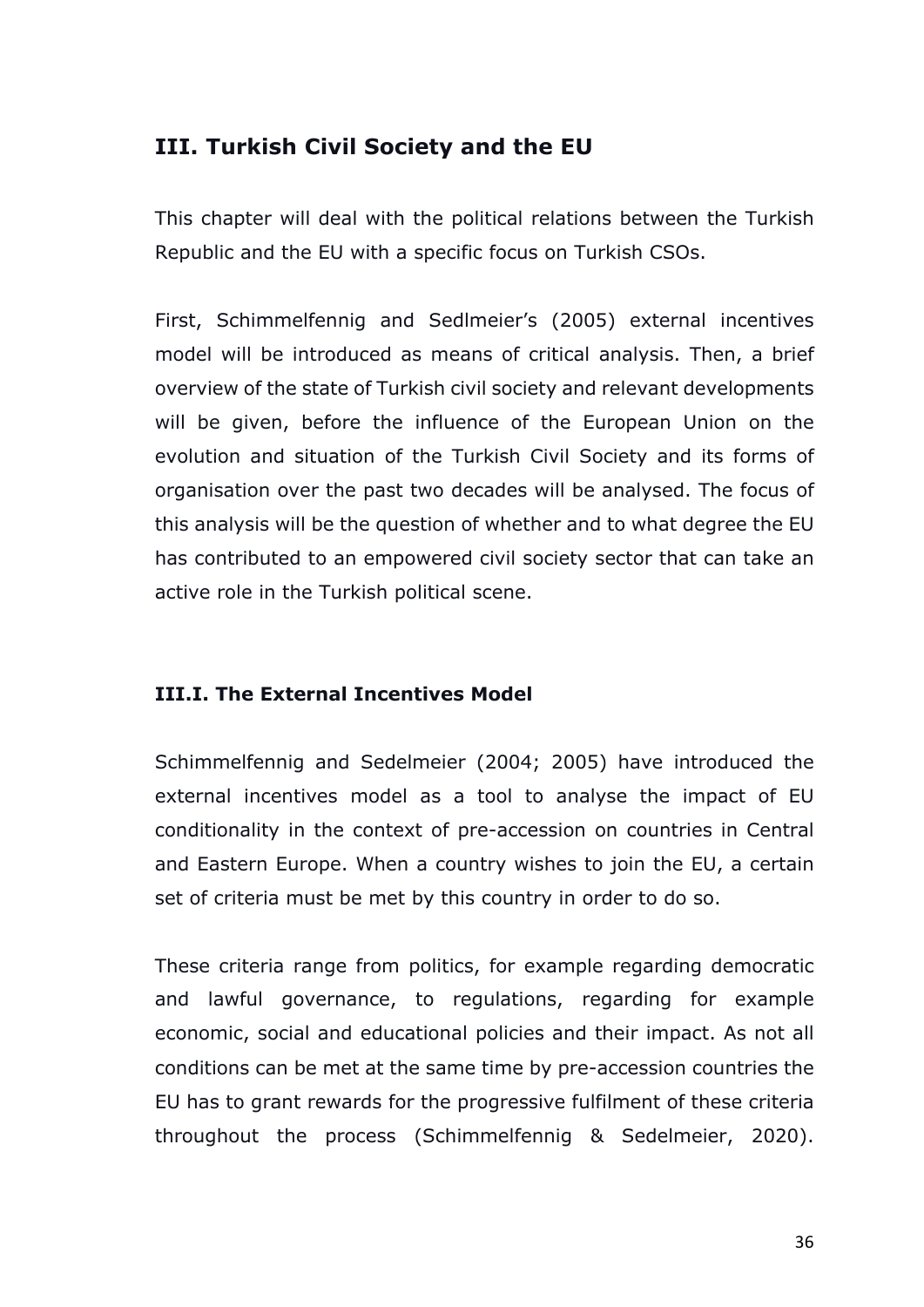# **III. Turkish Civil Society and the EU**

This chapter will deal with the political relations between the Turkish Republic and the EU with a specific focus on Turkish CSOs.

First, Schimmelfennig and Sedlmeier's (2005) external incentives model will be introduced as means of critical analysis. Then, a brief overview of the state of Turkish civil society and relevant developments will be given, before the influence of the European Union on the evolution and situation of the Turkish Civil Society and its forms of organisation over the past two decades will be analysed. The focus of this analysis will be the question of whether and to what degree the EU has contributed to an empowered civil society sector that can take an active role in the Turkish political scene.

## **III.I. The External Incentives Model**

Schimmelfennig and Sedelmeier (2004; 2005) have introduced the external incentives model as a tool to analyse the impact of EU conditionality in the context of pre-accession on countries in Central and Eastern Europe. When a country wishes to join the EU, a certain set of criteria must be met by this country in order to do so.

These criteria range from politics, for example regarding democratic and lawful governance, to regulations, regarding for example economic, social and educational policies and their impact. As not all conditions can be met at the same time by pre-accession countries the EU has to grant rewards for the progressive fulfilment of these criteria throughout the process (Schimmelfennig & Sedelmeier, 2020).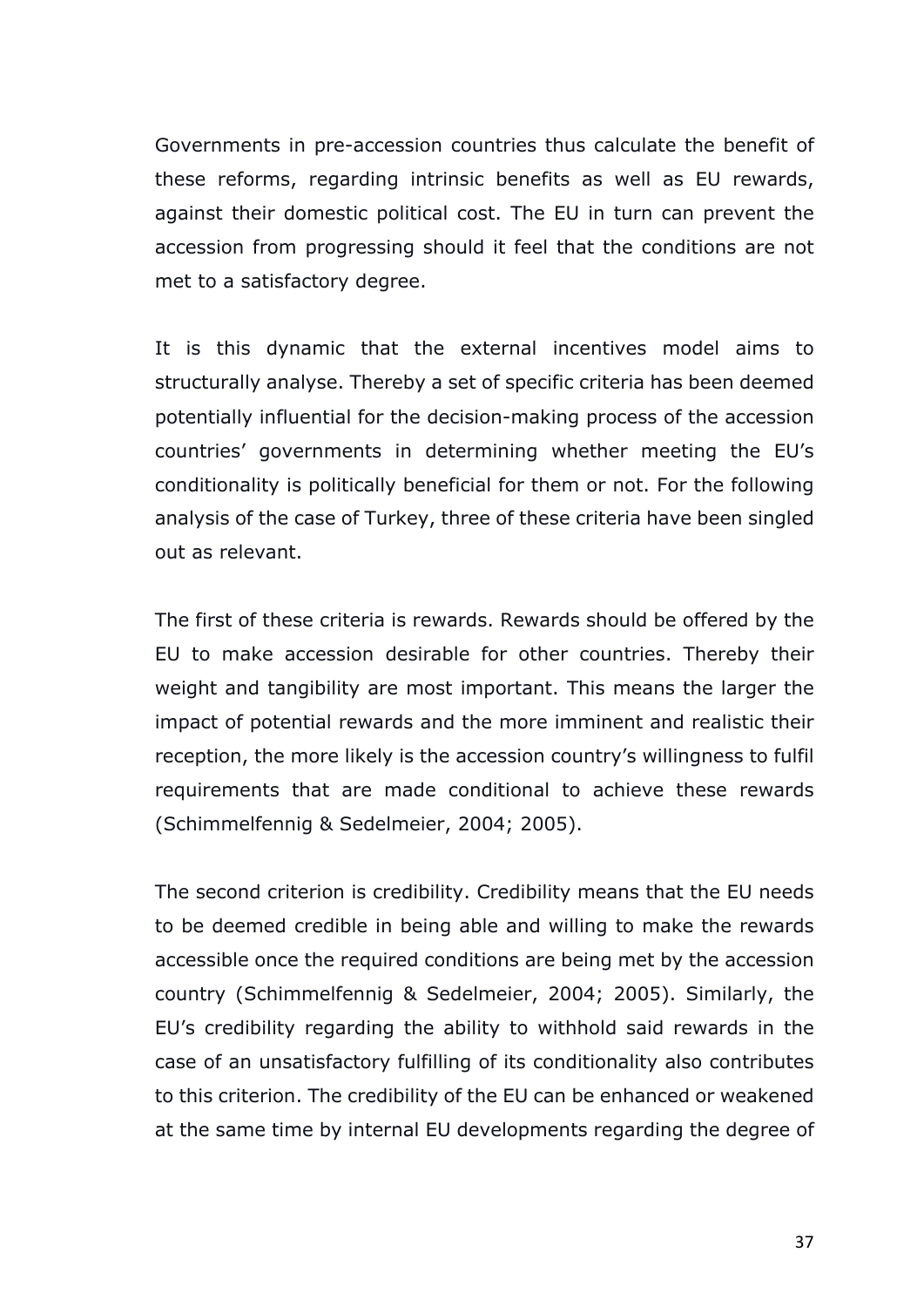Governments in pre-accession countries thus calculate the benefit of these reforms, regarding intrinsic benefits as well as EU rewards, against their domestic political cost. The EU in turn can prevent the accession from progressing should it feel that the conditions are not met to a satisfactory degree.

It is this dynamic that the external incentives model aims to structurally analyse. Thereby a set of specific criteria has been deemed potentially influential for the decision-making process of the accession countries' governments in determining whether meeting the EU's conditionality is politically beneficial for them or not. For the following analysis of the case of Turkey, three of these criteria have been singled out as relevant.

The first of these criteria is rewards. Rewards should be offered by the EU to make accession desirable for other countries. Thereby their weight and tangibility are most important. This means the larger the impact of potential rewards and the more imminent and realistic their reception, the more likely is the accession country's willingness to fulfil requirements that are made conditional to achieve these rewards (Schimmelfennig & Sedelmeier, 2004; 2005).

The second criterion is credibility. Credibility means that the EU needs to be deemed credible in being able and willing to make the rewards accessible once the required conditions are being met by the accession country (Schimmelfennig & Sedelmeier, 2004; 2005). Similarly, the EU's credibility regarding the ability to withhold said rewards in the case of an unsatisfactory fulfilling of its conditionality also contributes to this criterion. The credibility of the EU can be enhanced or weakened at the same time by internal EU developments regarding the degree of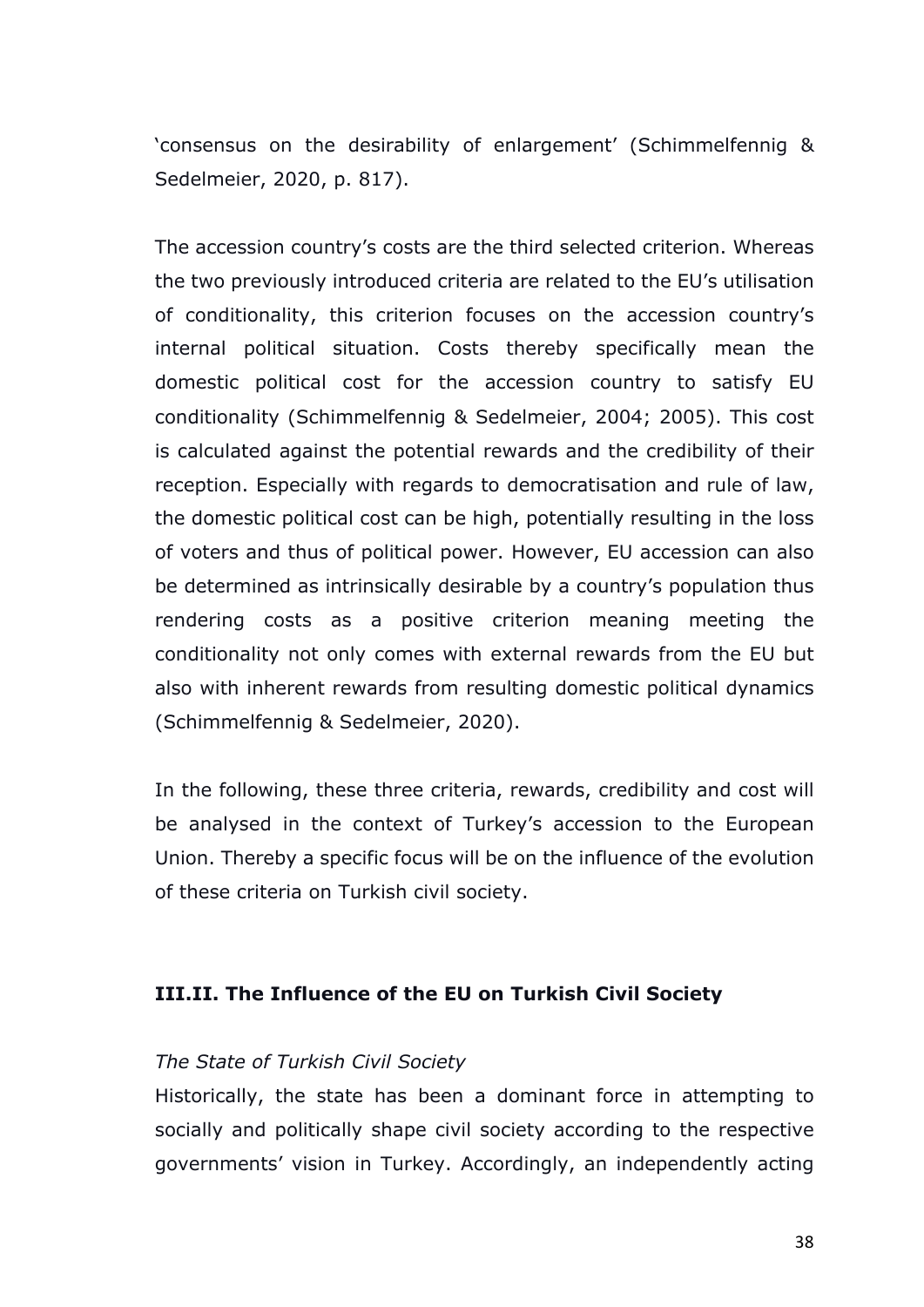'consensus on the desirability of enlargement' (Schimmelfennig & Sedelmeier, 2020, p. 817).

The accession country's costs are the third selected criterion. Whereas the two previously introduced criteria are related to the EU's utilisation of conditionality, this criterion focuses on the accession country's internal political situation. Costs thereby specifically mean the domestic political cost for the accession country to satisfy EU conditionality (Schimmelfennig & Sedelmeier, 2004; 2005). This cost is calculated against the potential rewards and the credibility of their reception. Especially with regards to democratisation and rule of law, the domestic political cost can be high, potentially resulting in the loss of voters and thus of political power. However, EU accession can also be determined as intrinsically desirable by a country's population thus rendering costs as a positive criterion meaning meeting the conditionality not only comes with external rewards from the EU but also with inherent rewards from resulting domestic political dynamics (Schimmelfennig & Sedelmeier, 2020).

In the following, these three criteria, rewards, credibility and cost will be analysed in the context of Turkey's accession to the European Union. Thereby a specific focus will be on the influence of the evolution of these criteria on Turkish civil society.

#### **III.II. The Influence of the EU on Turkish Civil Society**

#### *The State of Turkish Civil Society*

Historically, the state has been a dominant force in attempting to socially and politically shape civil society according to the respective governments' vision in Turkey. Accordingly, an independently acting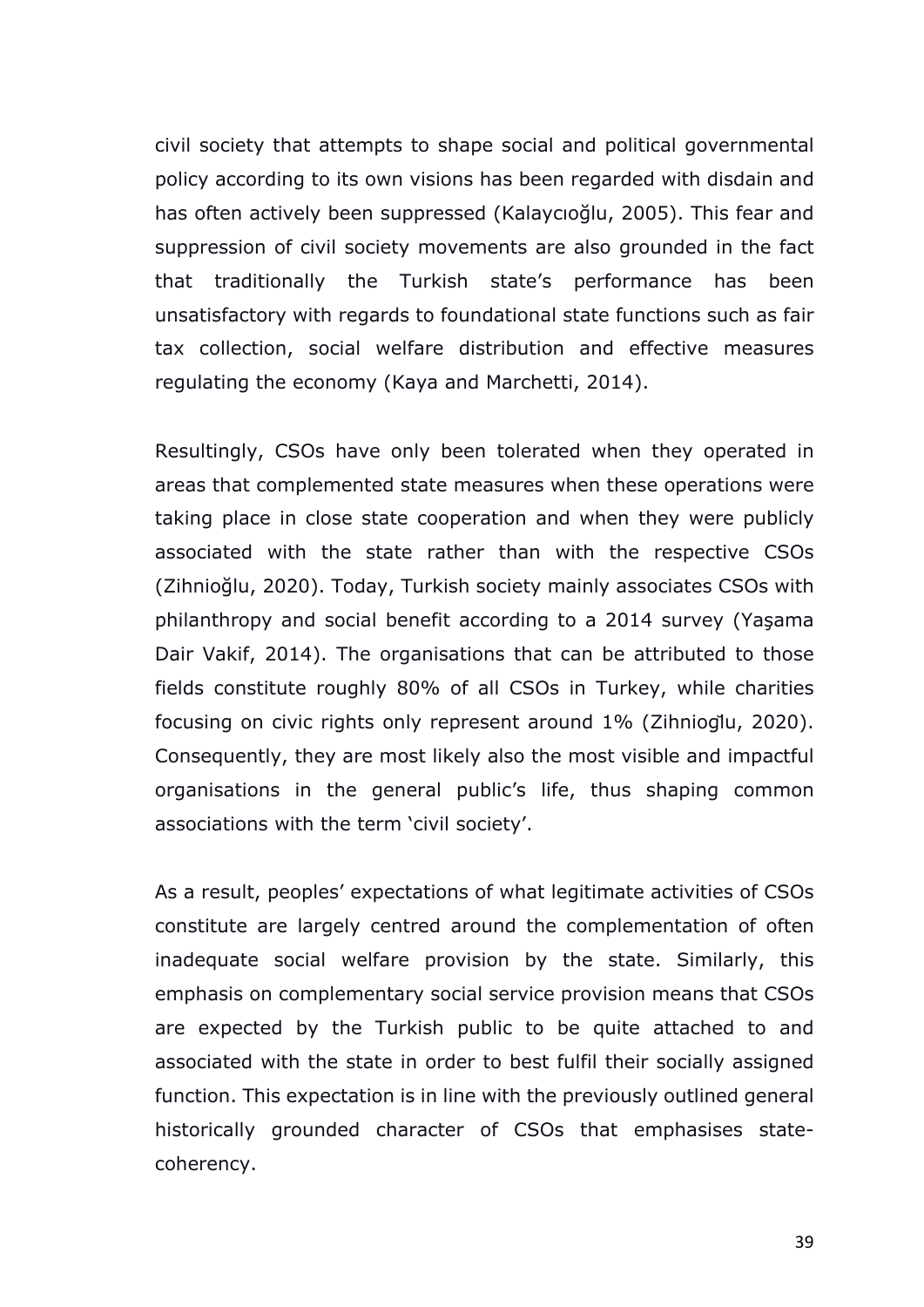civil society that attempts to shape social and political governmental policy according to its own visions has been regarded with disdain and has often actively been suppressed (Kalaycıoğlu, 2005). This fear and suppression of civil society movements are also grounded in the fact that traditionally the Turkish state's performance has been unsatisfactory with regards to foundational state functions such as fair tax collection, social welfare distribution and effective measures regulating the economy (Kaya and Marchetti, 2014).

Resultingly, CSOs have only been tolerated when they operated in areas that complemented state measures when these operations were taking place in close state cooperation and when they were publicly associated with the state rather than with the respective CSOs (Zihnioğlu, 2020). Today, Turkish society mainly associates CSOs with philanthropy and social benefit according to a 2014 survey (Yaşama Dair Vakif, 2014). The organisations that can be attributed to those fields constitute roughly 80% of all CSOs in Turkey, while charities focusing on civic rights only represent around 1% (Zihnioglu, 2020). Consequently, they are most likely also the most visible and impactful organisations in the general public's life, thus shaping common associations with the term 'civil society'.

As a result, peoples' expectations of what legitimate activities of CSOs constitute are largely centred around the complementation of often inadequate social welfare provision by the state. Similarly, this emphasis on complementary social service provision means that CSOs are expected by the Turkish public to be quite attached to and associated with the state in order to best fulfil their socially assigned function. This expectation is in line with the previously outlined general historically grounded character of CSOs that emphasises statecoherency.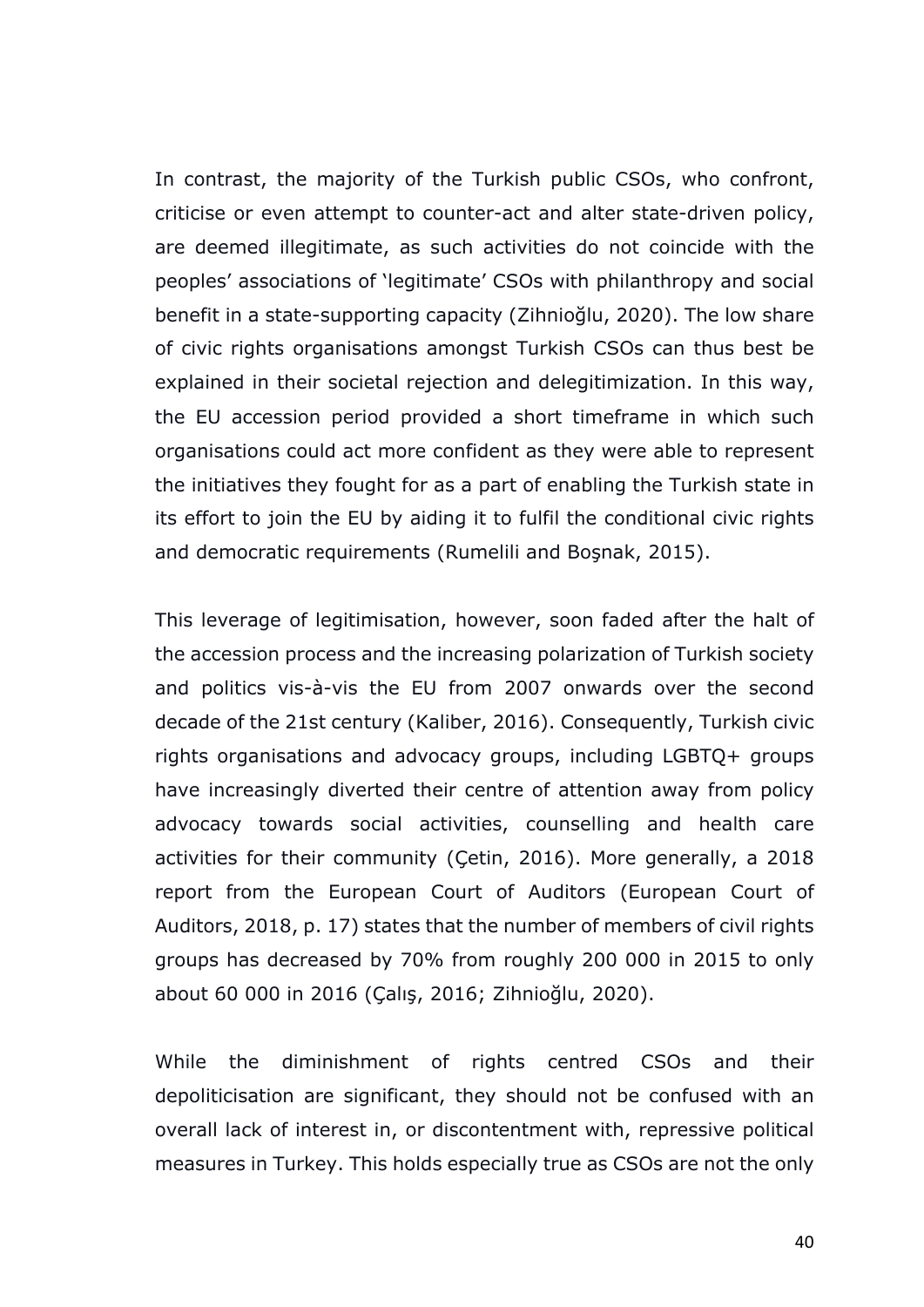In contrast, the majority of the Turkish public CSOs, who confront, criticise or even attempt to counter-act and alter state-driven policy, are deemed illegitimate, as such activities do not coincide with the peoples' associations of 'legitimate' CSOs with philanthropy and social benefit in a state-supporting capacity (Zihnioğlu, 2020). The low share of civic rights organisations amongst Turkish CSOs can thus best be explained in their societal rejection and delegitimization. In this way, the EU accession period provided a short timeframe in which such organisations could act more confident as they were able to represent the initiatives they fought for as a part of enabling the Turkish state in its effort to join the EU by aiding it to fulfil the conditional civic rights and democratic requirements (Rumelili and Boşnak, 2015).

This leverage of legitimisation, however, soon faded after the halt of the accession process and the increasing polarization of Turkish society and politics vis-à-vis the EU from 2007 onwards over the second decade of the 21st century (Kaliber, 2016). Consequently, Turkish civic rights organisations and advocacy groups, including LGBTQ+ groups have increasingly diverted their centre of attention away from policy advocacy towards social activities, counselling and health care activities for their community (Çetin, 2016). More generally, a 2018 report from the European Court of Auditors (European Court of Auditors, 2018, p. 17) states that the number of members of civil rights groups has decreased by 70% from roughly 200 000 in 2015 to only about 60 000 in 2016 (Çalış, 2016; Zihnioğlu, 2020).

While the diminishment of rights centred CSOs and their depoliticisation are significant, they should not be confused with an overall lack of interest in, or discontentment with, repressive political measures in Turkey. This holds especially true as CSOs are not the only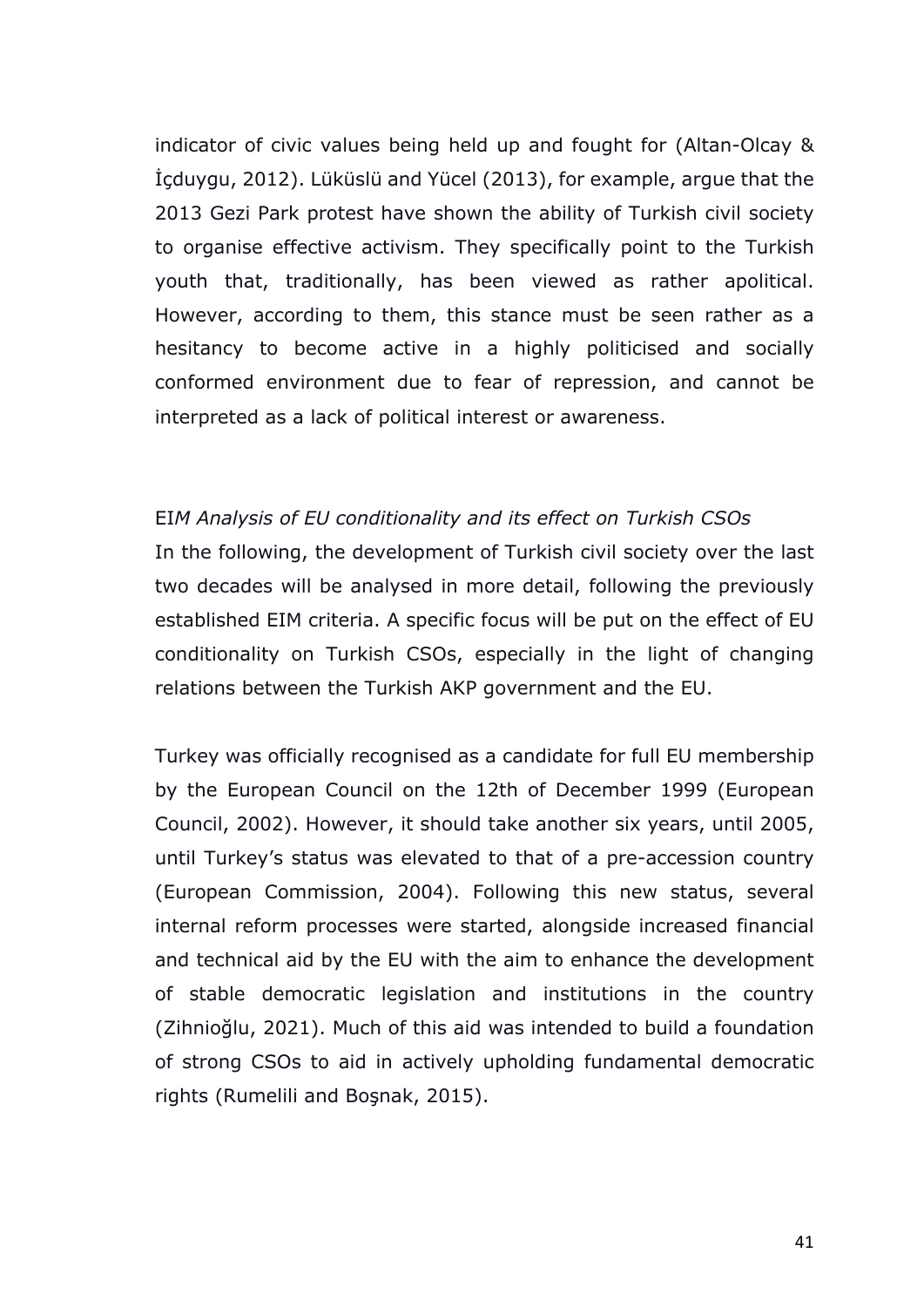indicator of civic values being held up and fought for (Altan-Olcay & İçduygu, 2012). Lüküslü and Yücel (2013), for example, argue that the 2013 Gezi Park protest have shown the ability of Turkish civil society to organise effective activism. They specifically point to the Turkish youth that, traditionally, has been viewed as rather apolitical. However, according to them, this stance must be seen rather as a hesitancy to become active in a highly politicised and socially conformed environment due to fear of repression, and cannot be interpreted as a lack of political interest or awareness.

#### EI*M Analysis of EU conditionality and its effect on Turkish CSOs*

In the following, the development of Turkish civil society over the last two decades will be analysed in more detail, following the previously established EIM criteria. A specific focus will be put on the effect of EU conditionality on Turkish CSOs, especially in the light of changing relations between the Turkish AKP government and the EU.

Turkey was officially recognised as a candidate for full EU membership by the European Council on the 12th of December 1999 (European Council, 2002). However, it should take another six years, until 2005, until Turkey's status was elevated to that of a pre-accession country (European Commission, 2004). Following this new status, several internal reform processes were started, alongside increased financial and technical aid by the EU with the aim to enhance the development of stable democratic legislation and institutions in the country (Zihnioğlu, 2021). Much of this aid was intended to build a foundation of strong CSOs to aid in actively upholding fundamental democratic rights (Rumelili and Boşnak, 2015).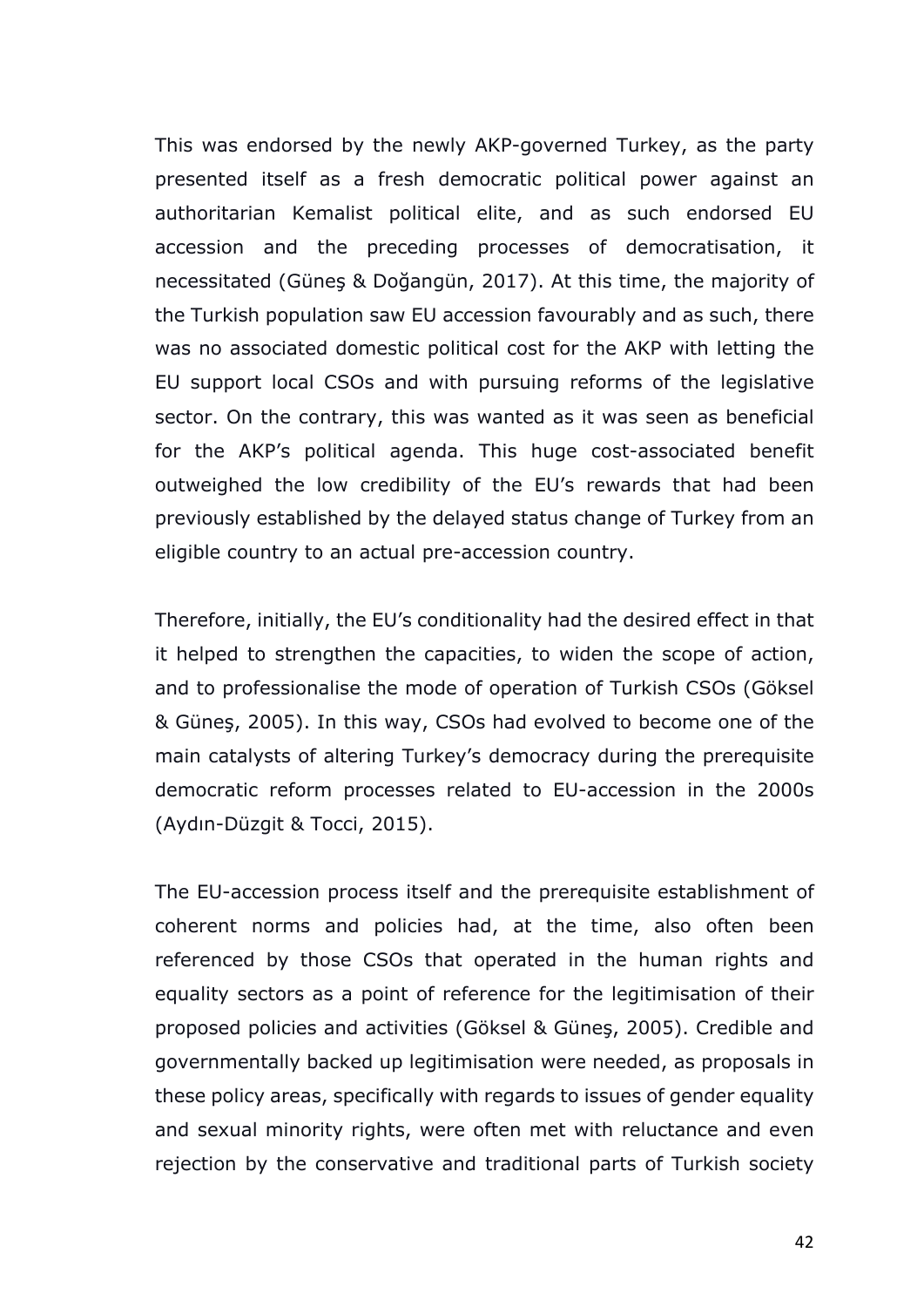This was endorsed by the newly AKP-governed Turkey, as the party presented itself as a fresh democratic political power against an authoritarian Kemalist political elite, and as such endorsed EU accession and the preceding processes of democratisation, it necessitated (Güneş & Doğangün, 2017). At this time, the majority of the Turkish population saw EU accession favourably and as such, there was no associated domestic political cost for the AKP with letting the EU support local CSOs and with pursuing reforms of the legislative sector. On the contrary, this was wanted as it was seen as beneficial for the AKP's political agenda. This huge cost-associated benefit outweighed the low credibility of the EU's rewards that had been previously established by the delayed status change of Turkey from an eligible country to an actual pre-accession country.

Therefore, initially, the EU's conditionality had the desired effect in that it helped to strengthen the capacities, to widen the scope of action, and to professionalise the mode of operation of Turkish CSOs (Göksel & Güneş, 2005). In this way, CSOs had evolved to become one of the main catalysts of altering Turkey's democracy during the prerequisite democratic reform processes related to EU-accession in the 2000s (Aydın-Düzgit & Tocci, 2015).

The EU-accession process itself and the prerequisite establishment of coherent norms and policies had, at the time, also often been referenced by those CSOs that operated in the human rights and equality sectors as a point of reference for the legitimisation of their proposed policies and activities (Göksel & Güneş, 2005). Credible and governmentally backed up legitimisation were needed, as proposals in these policy areas, specifically with regards to issues of gender equality and sexual minority rights, were often met with reluctance and even rejection by the conservative and traditional parts of Turkish society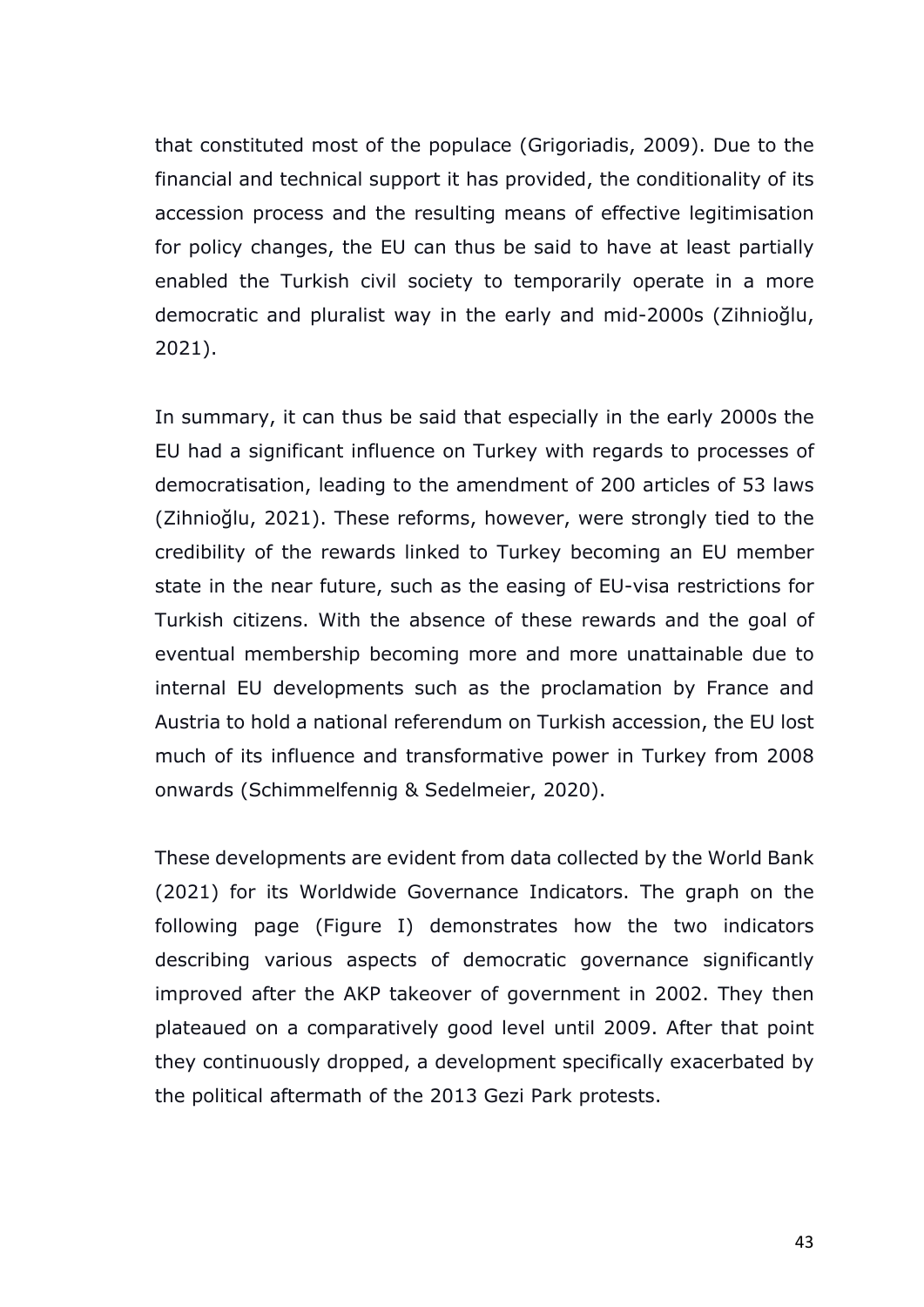that constituted most of the populace (Grigoriadis, 2009). Due to the financial and technical support it has provided, the conditionality of its accession process and the resulting means of effective legitimisation for policy changes, the EU can thus be said to have at least partially enabled the Turkish civil society to temporarily operate in a more democratic and pluralist way in the early and mid-2000s (Zihnioğlu, 2021).

In summary, it can thus be said that especially in the early 2000s the EU had a significant influence on Turkey with regards to processes of democratisation, leading to the amendment of 200 articles of 53 laws (Zihnioğlu, 2021). These reforms, however, were strongly tied to the credibility of the rewards linked to Turkey becoming an EU member state in the near future, such as the easing of EU-visa restrictions for Turkish citizens. With the absence of these rewards and the goal of eventual membership becoming more and more unattainable due to internal EU developments such as the proclamation by France and Austria to hold a national referendum on Turkish accession, the EU lost much of its influence and transformative power in Turkey from 2008 onwards (Schimmelfennig & Sedelmeier, 2020).

These developments are evident from data collected by the World Bank (2021) for its Worldwide Governance Indicators. The graph on the following page (Figure I) demonstrates how the two indicators describing various aspects of democratic governance significantly improved after the AKP takeover of government in 2002. They then plateaued on a comparatively good level until 2009. After that point they continuously dropped, a development specifically exacerbated by the political aftermath of the 2013 Gezi Park protests.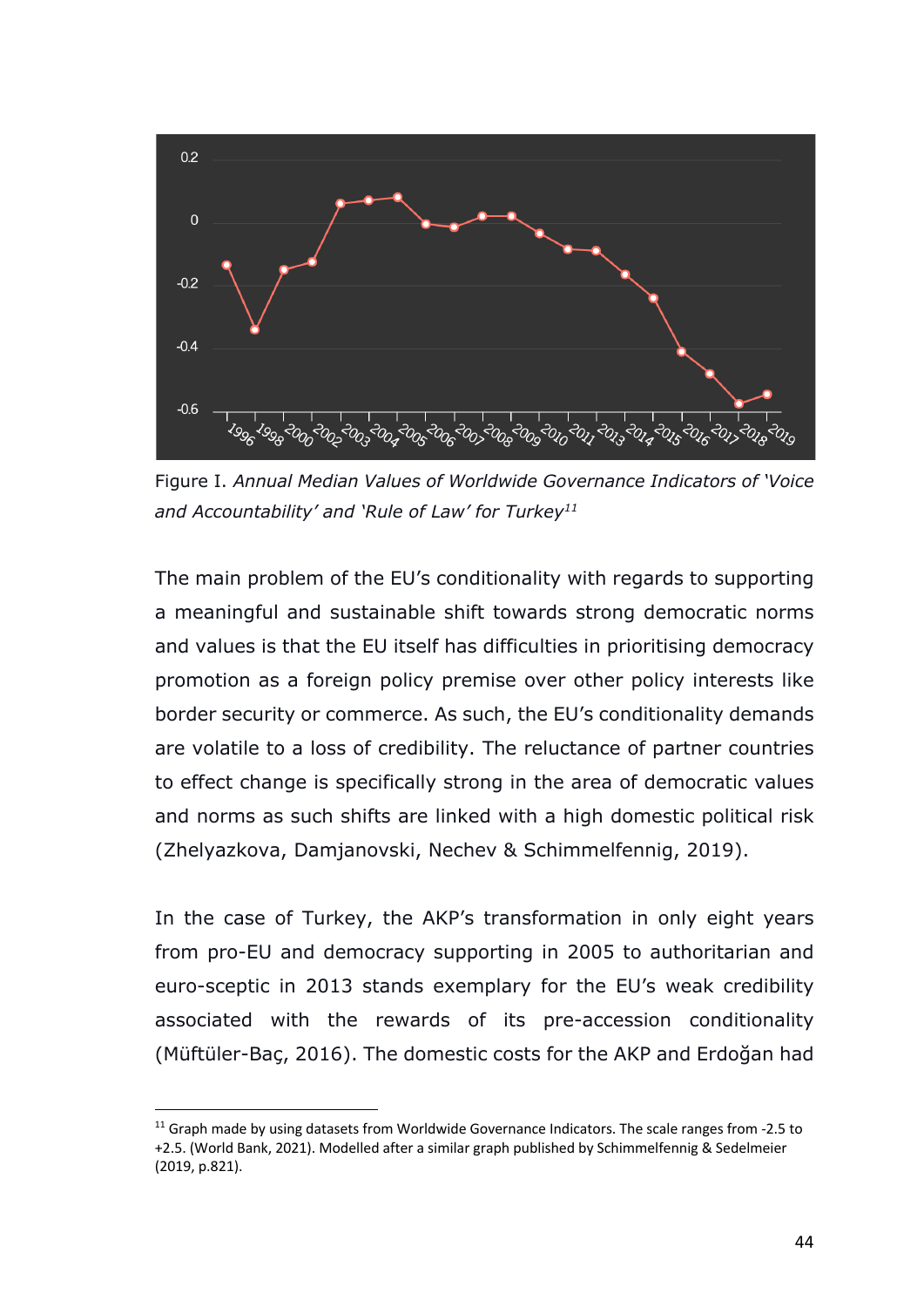

Figure I. *Annual Median Values of Worldwide Governance Indicators of 'Voice and Accountability' and 'Rule of Law' for Turkey11*

The main problem of the EU's conditionality with regards to supporting a meaningful and sustainable shift towards strong democratic norms and values is that the EU itself has difficulties in prioritising democracy promotion as a foreign policy premise over other policy interests like border security or commerce. As such, the EU's conditionality demands are volatile to a loss of credibility. The reluctance of partner countries to effect change is specifically strong in the area of democratic values and norms as such shifts are linked with a high domestic political risk (Zhelyazkova, Damjanovski, Nechev & Schimmelfennig, 2019).

In the case of Turkey, the AKP's transformation in only eight years from pro-EU and democracy supporting in 2005 to authoritarian and euro-sceptic in 2013 stands exemplary for the EU's weak credibility associated with the rewards of its pre-accession conditionality (Müftüler-Baç, 2016). The domestic costs for the AKP and Erdoğan had

<sup>&</sup>lt;sup>11</sup> Graph made by using datasets from Worldwide Governance Indicators. The scale ranges from -2.5 to +2.5. (World Bank, 2021). Modelled after a similar graph published by Schimmelfennig & Sedelmeier (2019, p.821).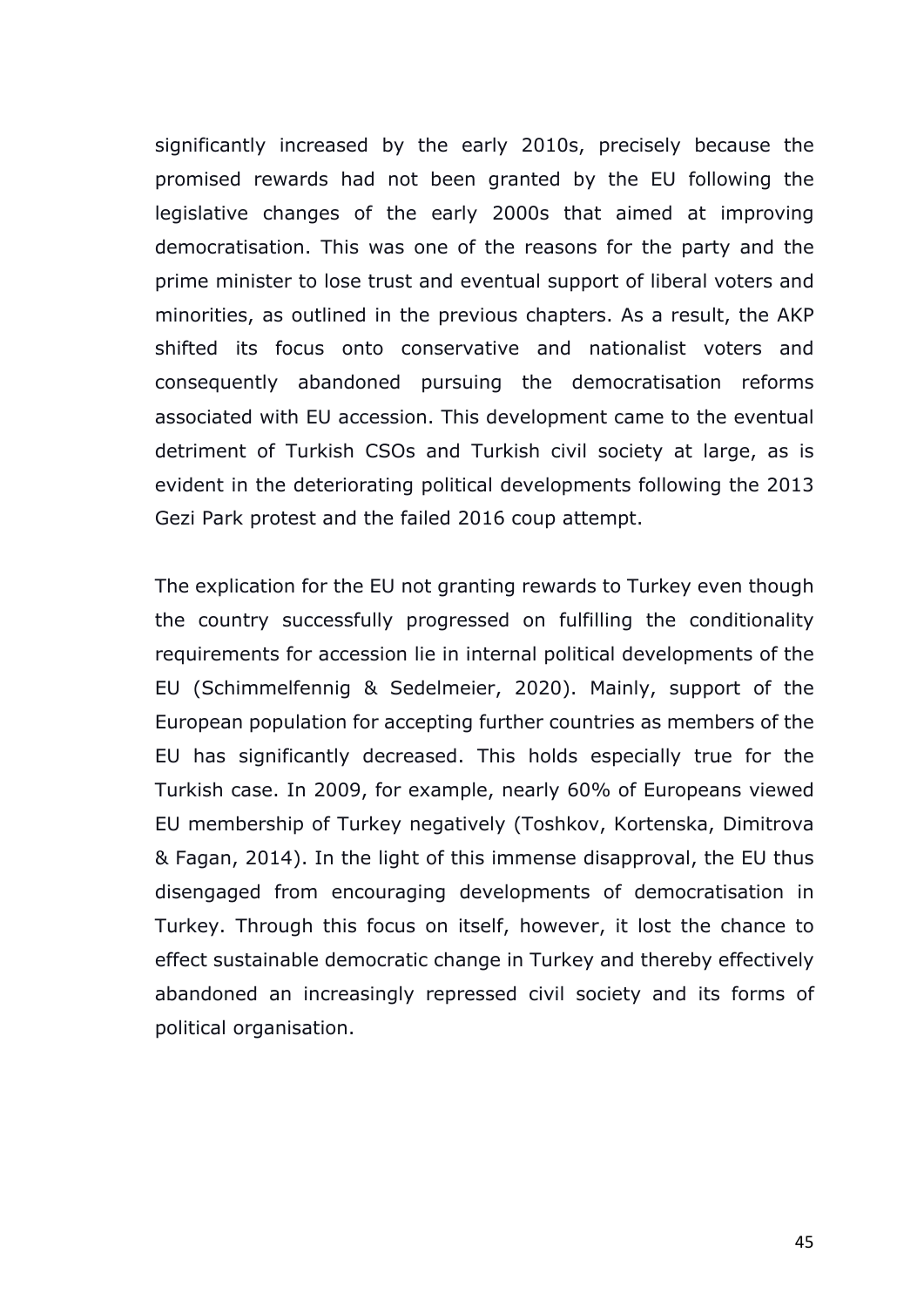significantly increased by the early 2010s, precisely because the promised rewards had not been granted by the EU following the legislative changes of the early 2000s that aimed at improving democratisation. This was one of the reasons for the party and the prime minister to lose trust and eventual support of liberal voters and minorities, as outlined in the previous chapters. As a result, the AKP shifted its focus onto conservative and nationalist voters and consequently abandoned pursuing the democratisation reforms associated with EU accession. This development came to the eventual detriment of Turkish CSOs and Turkish civil society at large, as is evident in the deteriorating political developments following the 2013 Gezi Park protest and the failed 2016 coup attempt.

The explication for the EU not granting rewards to Turkey even though the country successfully progressed on fulfilling the conditionality requirements for accession lie in internal political developments of the EU (Schimmelfennig & Sedelmeier, 2020). Mainly, support of the European population for accepting further countries as members of the EU has significantly decreased. This holds especially true for the Turkish case. In 2009, for example, nearly 60% of Europeans viewed EU membership of Turkey negatively (Toshkov, Kortenska, Dimitrova & Fagan, 2014). In the light of this immense disapproval, the EU thus disengaged from encouraging developments of democratisation in Turkey. Through this focus on itself, however, it lost the chance to effect sustainable democratic change in Turkey and thereby effectively abandoned an increasingly repressed civil society and its forms of political organisation.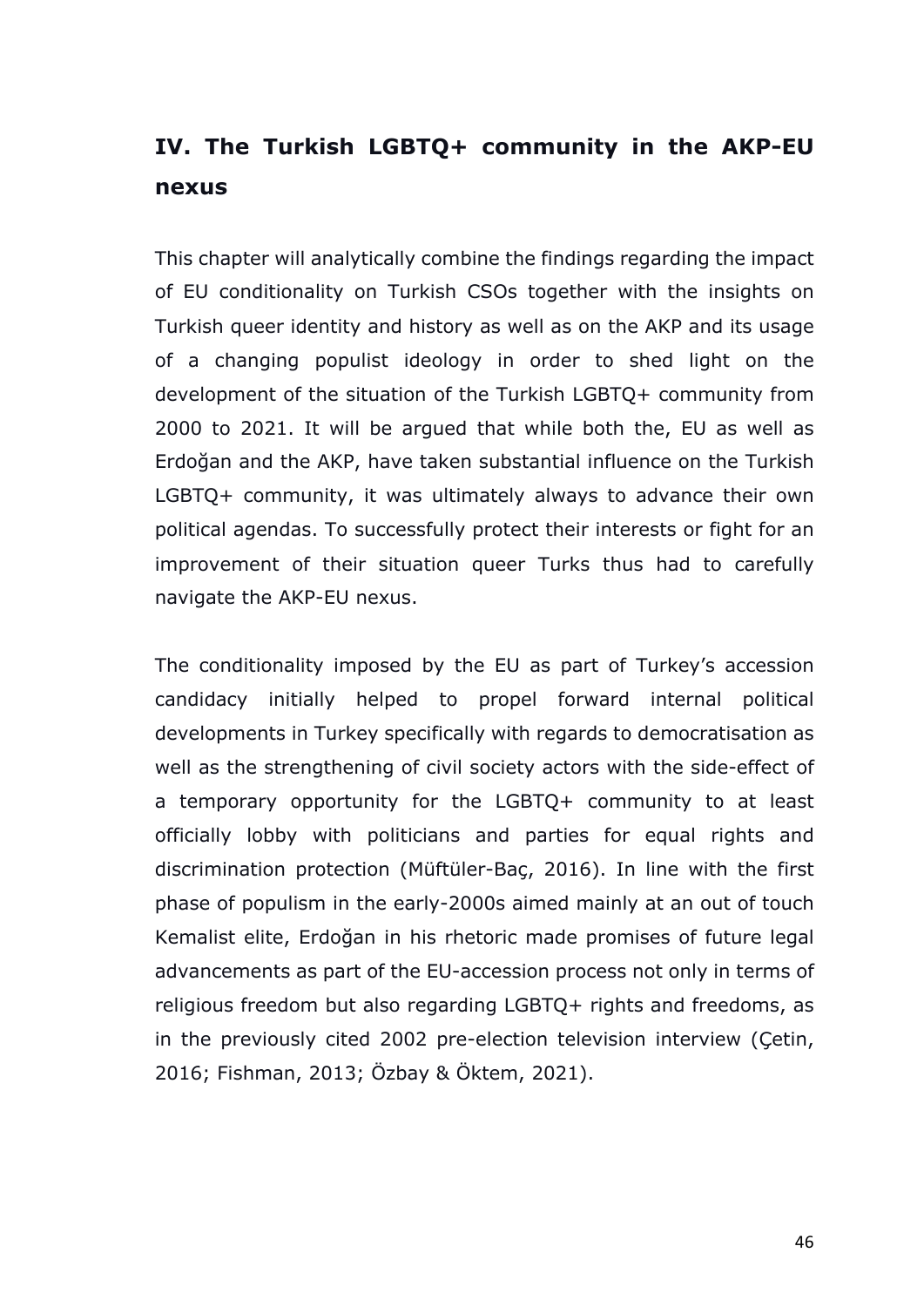# **IV. The Turkish LGBTQ+ community in the AKP-EU nexus**

This chapter will analytically combine the findings regarding the impact of EU conditionality on Turkish CSOs together with the insights on Turkish queer identity and history as well as on the AKP and its usage of a changing populist ideology in order to shed light on the development of the situation of the Turkish LGBTQ+ community from 2000 to 2021. It will be argued that while both the, EU as well as Erdoğan and the AKP, have taken substantial influence on the Turkish LGBTQ+ community, it was ultimately always to advance their own political agendas. To successfully protect their interests or fight for an improvement of their situation queer Turks thus had to carefully navigate the AKP-EU nexus.

The conditionality imposed by the EU as part of Turkey's accession candidacy initially helped to propel forward internal political developments in Turkey specifically with regards to democratisation as well as the strengthening of civil society actors with the side-effect of a temporary opportunity for the LGBTQ+ community to at least officially lobby with politicians and parties for equal rights and discrimination protection (Müftüler-Baç, 2016). In line with the first phase of populism in the early-2000s aimed mainly at an out of touch Kemalist elite, Erdoğan in his rhetoric made promises of future legal advancements as part of the EU-accession process not only in terms of religious freedom but also regarding LGBTQ+ rights and freedoms, as in the previously cited 2002 pre-election television interview (Çetin, 2016; Fishman, 2013; Özbay & Öktem, 2021).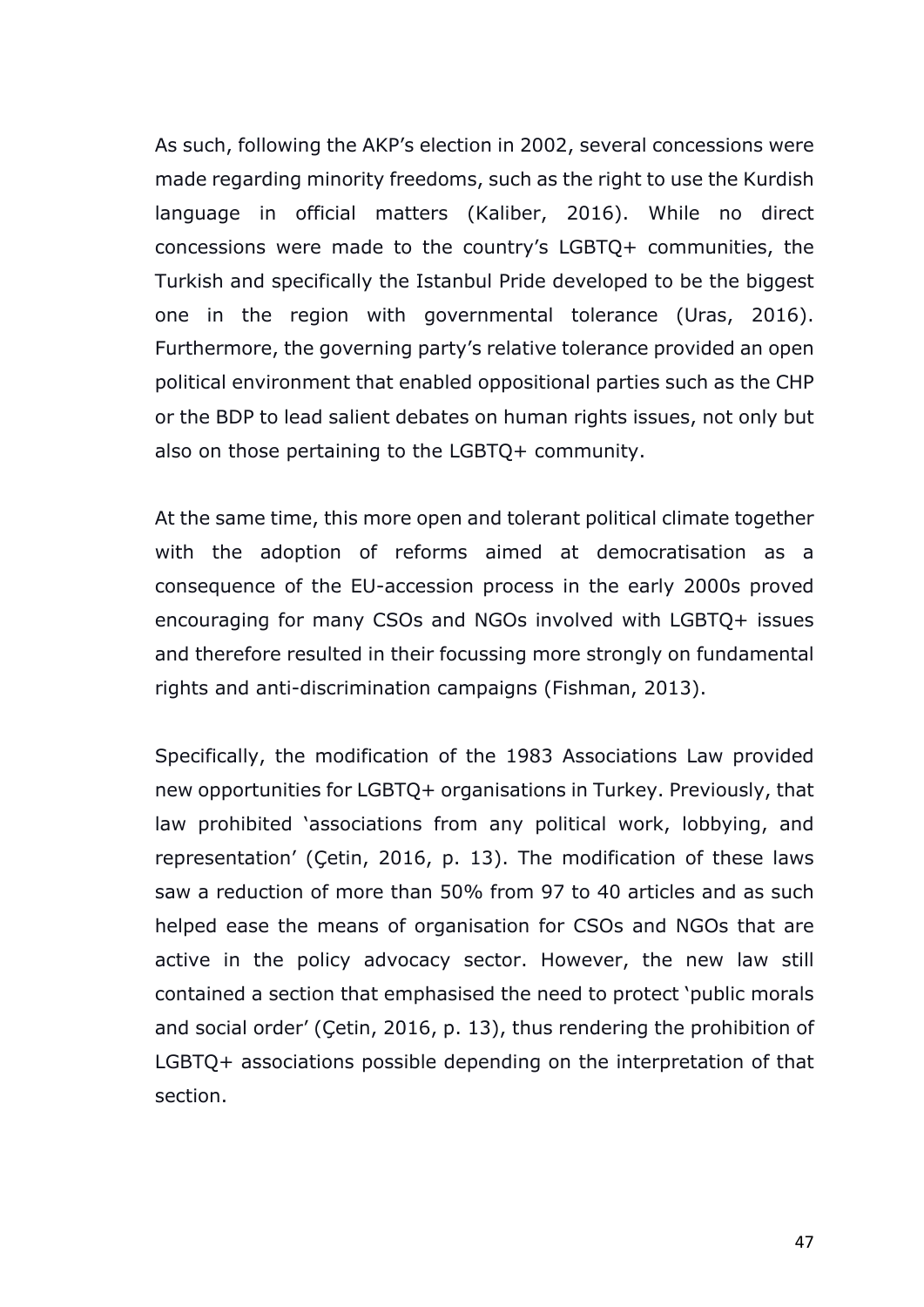As such, following the AKP's election in 2002, several concessions were made regarding minority freedoms, such as the right to use the Kurdish language in official matters (Kaliber, 2016). While no direct concessions were made to the country's LGBTQ+ communities, the Turkish and specifically the Istanbul Pride developed to be the biggest one in the region with governmental tolerance (Uras, 2016). Furthermore, the governing party's relative tolerance provided an open political environment that enabled oppositional parties such as the CHP or the BDP to lead salient debates on human rights issues, not only but also on those pertaining to the LGBTQ+ community.

At the same time, this more open and tolerant political climate together with the adoption of reforms aimed at democratisation as a consequence of the EU-accession process in the early 2000s proved encouraging for many CSOs and NGOs involved with LGBTQ+ issues and therefore resulted in their focussing more strongly on fundamental rights and anti-discrimination campaigns (Fishman, 2013).

Specifically, the modification of the 1983 Associations Law provided new opportunities for LGBTQ+ organisations in Turkey. Previously, that law prohibited 'associations from any political work, lobbying, and representation' (Çetin, 2016, p. 13). The modification of these laws saw a reduction of more than 50% from 97 to 40 articles and as such helped ease the means of organisation for CSOs and NGOs that are active in the policy advocacy sector. However, the new law still contained a section that emphasised the need to protect 'public morals and social order' (Çetin, 2016, p. 13), thus rendering the prohibition of LGBTQ+ associations possible depending on the interpretation of that section.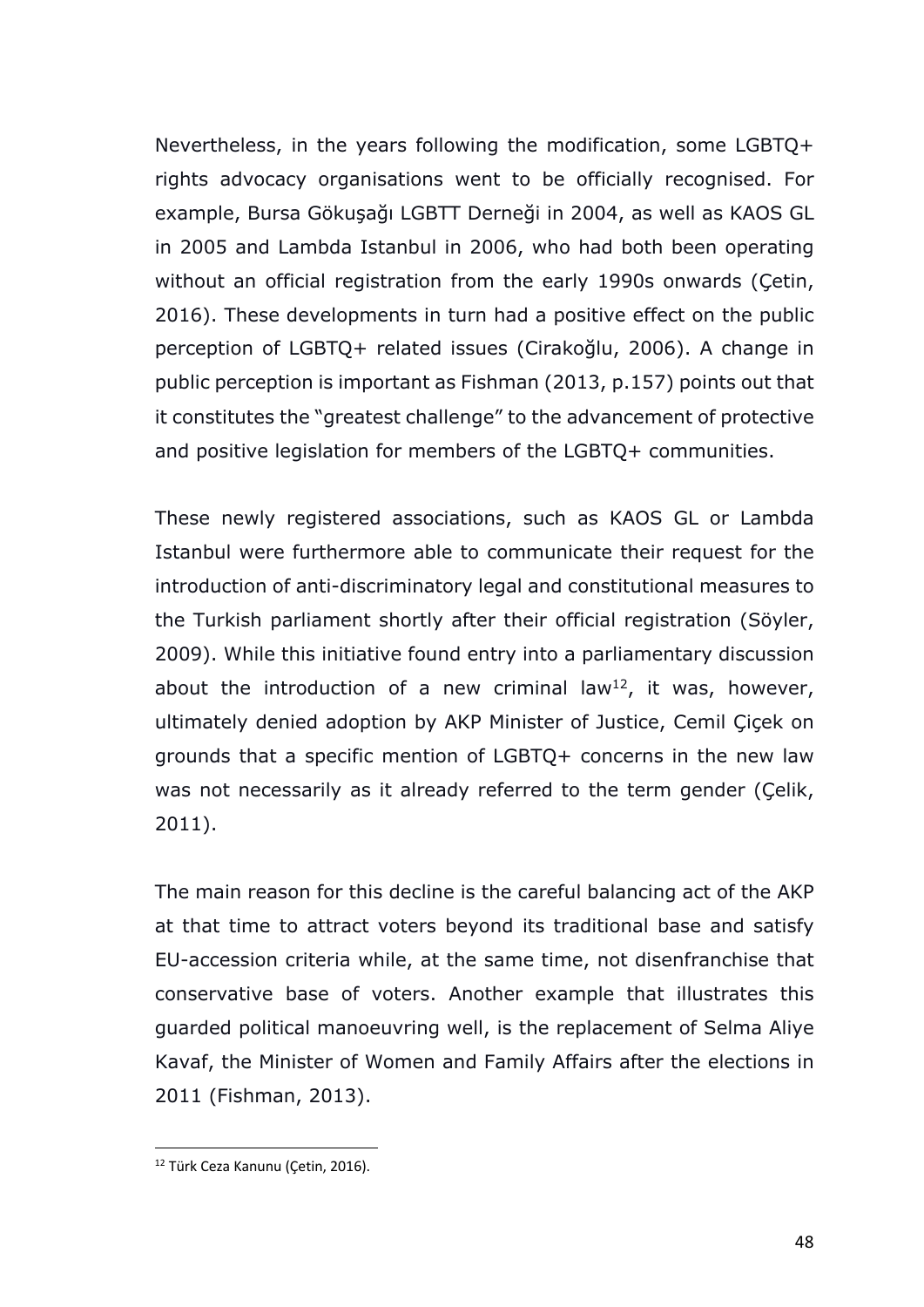Nevertheless, in the years following the modification, some LGBTQ+ rights advocacy organisations went to be officially recognised. For example, Bursa Gökuşağı LGBTT Derneği in 2004, as well as KAOS GL in 2005 and Lambda Istanbul in 2006, who had both been operating without an official registration from the early 1990s onwards (Cetin, 2016). These developments in turn had a positive effect on the public perception of LGBTQ+ related issues (Cirakoğlu, 2006). A change in public perception is important as Fishman (2013, p.157) points out that it constitutes the "greatest challenge" to the advancement of protective and positive legislation for members of the LGBTQ+ communities.

These newly registered associations, such as KAOS GL or Lambda Istanbul were furthermore able to communicate their request for the introduction of anti-discriminatory legal and constitutional measures to the Turkish parliament shortly after their official registration (Söyler, 2009). While this initiative found entry into a parliamentary discussion about the introduction of a new criminal law<sup>12</sup>, it was, however, ultimately denied adoption by AKP Minister of Justice, Cemil Çiçek on grounds that a specific mention of LGBTQ+ concerns in the new law was not necessarily as it already referred to the term gender (Çelik, 2011).

The main reason for this decline is the careful balancing act of the AKP at that time to attract voters beyond its traditional base and satisfy EU-accession criteria while, at the same time, not disenfranchise that conservative base of voters. Another example that illustrates this guarded political manoeuvring well, is the replacement of Selma Aliye Kavaf, the Minister of Women and Family Affairs after the elections in 2011 (Fishman, 2013).

<sup>&</sup>lt;sup>12</sup> Türk Ceza Kanunu (Cetin, 2016).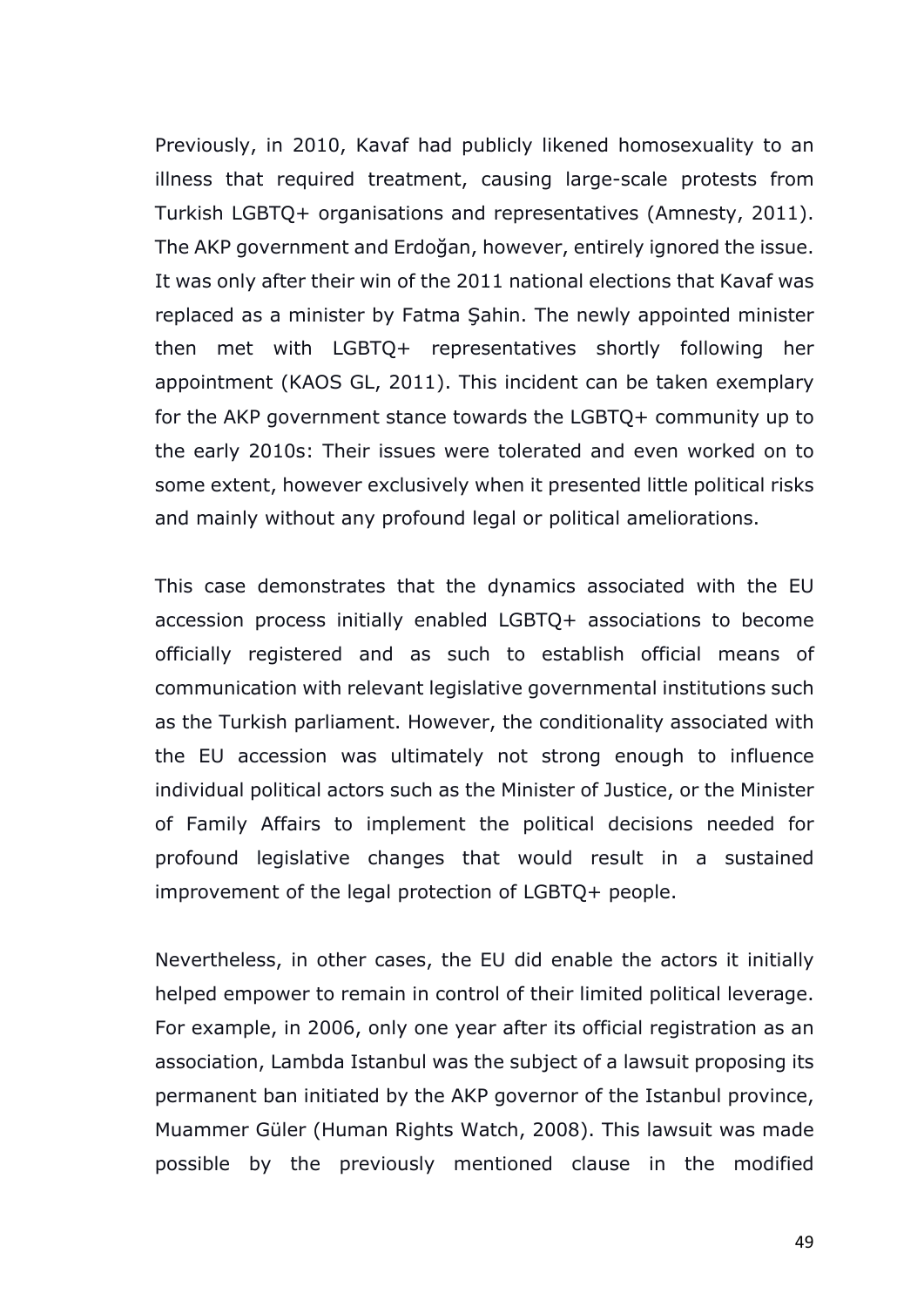Previously, in 2010, Kavaf had publicly likened homosexuality to an illness that required treatment, causing large-scale protests from Turkish LGBTQ+ organisations and representatives (Amnesty, 2011). The AKP government and Erdoğan, however, entirely ignored the issue. It was only after their win of the 2011 national elections that Kavaf was replaced as a minister by Fatma Şahin. The newly appointed minister then met with LGBTQ+ representatives shortly following her appointment (KAOS GL, 2011). This incident can be taken exemplary for the AKP government stance towards the LGBTQ+ community up to the early 2010s: Their issues were tolerated and even worked on to some extent, however exclusively when it presented little political risks and mainly without any profound legal or political ameliorations.

This case demonstrates that the dynamics associated with the EU accession process initially enabled LGBTQ+ associations to become officially registered and as such to establish official means of communication with relevant legislative governmental institutions such as the Turkish parliament. However, the conditionality associated with the EU accession was ultimately not strong enough to influence individual political actors such as the Minister of Justice, or the Minister of Family Affairs to implement the political decisions needed for profound legislative changes that would result in a sustained improvement of the legal protection of LGBTQ+ people.

Nevertheless, in other cases, the EU did enable the actors it initially helped empower to remain in control of their limited political leverage. For example, in 2006, only one year after its official registration as an association, Lambda Istanbul was the subject of a lawsuit proposing its permanent ban initiated by the AKP governor of the Istanbul province, Muammer Güler (Human Rights Watch, 2008). This lawsuit was made possible by the previously mentioned clause in the modified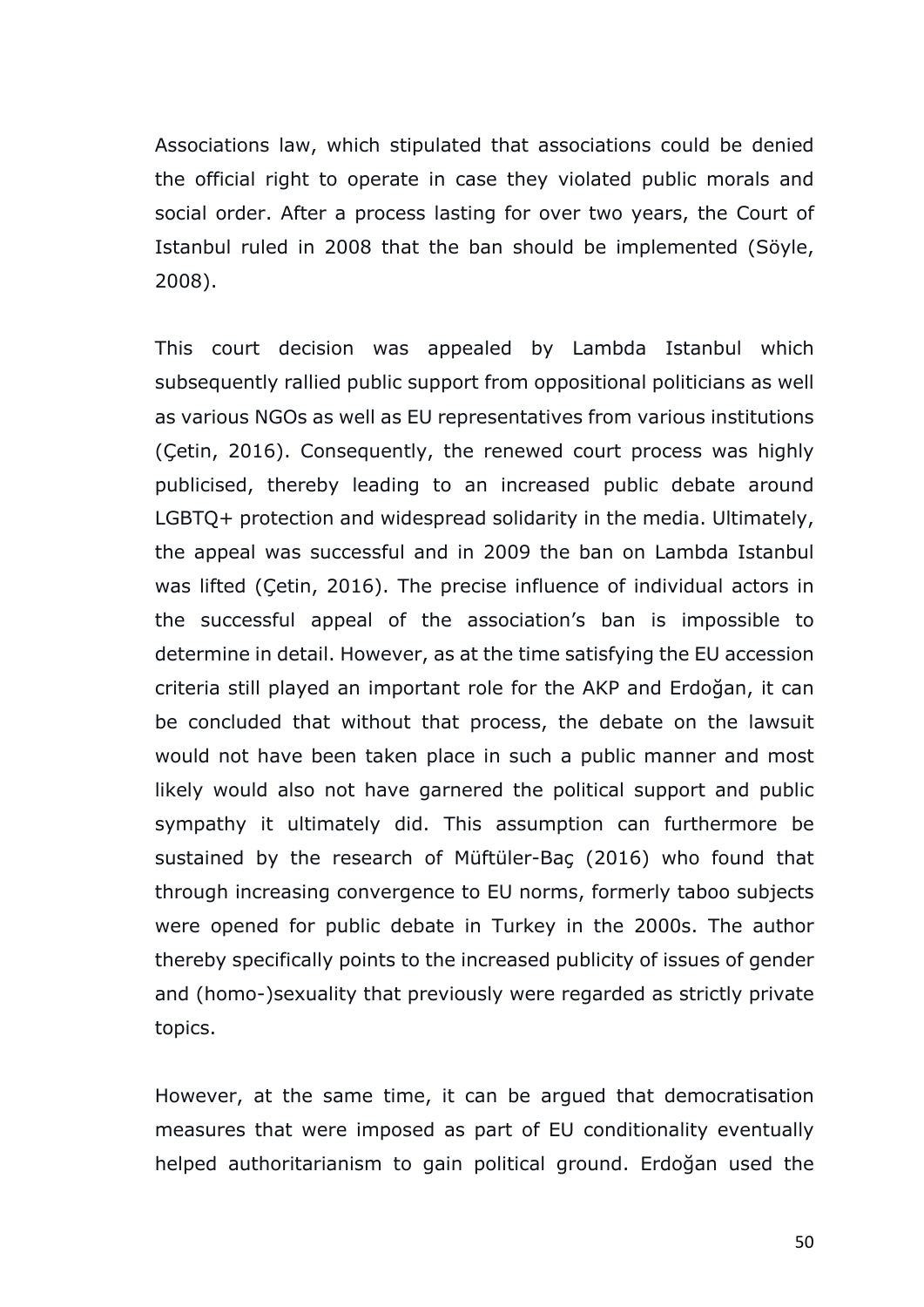Associations law, which stipulated that associations could be denied the official right to operate in case they violated public morals and social order. After a process lasting for over two years, the Court of Istanbul ruled in 2008 that the ban should be implemented (Söyle, 2008).

This court decision was appealed by Lambda Istanbul which subsequently rallied public support from oppositional politicians as well as various NGOs as well as EU representatives from various institutions (Çetin, 2016). Consequently, the renewed court process was highly publicised, thereby leading to an increased public debate around LGBTQ+ protection and widespread solidarity in the media. Ultimately, the appeal was successful and in 2009 the ban on Lambda Istanbul was lifted (Çetin, 2016). The precise influence of individual actors in the successful appeal of the association's ban is impossible to determine in detail. However, as at the time satisfying the EU accession criteria still played an important role for the AKP and Erdoğan, it can be concluded that without that process, the debate on the lawsuit would not have been taken place in such a public manner and most likely would also not have garnered the political support and public sympathy it ultimately did. This assumption can furthermore be sustained by the research of Müftüler-Baç (2016) who found that through increasing convergence to EU norms, formerly taboo subjects were opened for public debate in Turkey in the 2000s. The author thereby specifically points to the increased publicity of issues of gender and (homo-)sexuality that previously were regarded as strictly private topics.

However, at the same time, it can be argued that democratisation measures that were imposed as part of EU conditionality eventually helped authoritarianism to gain political ground. Erdoğan used the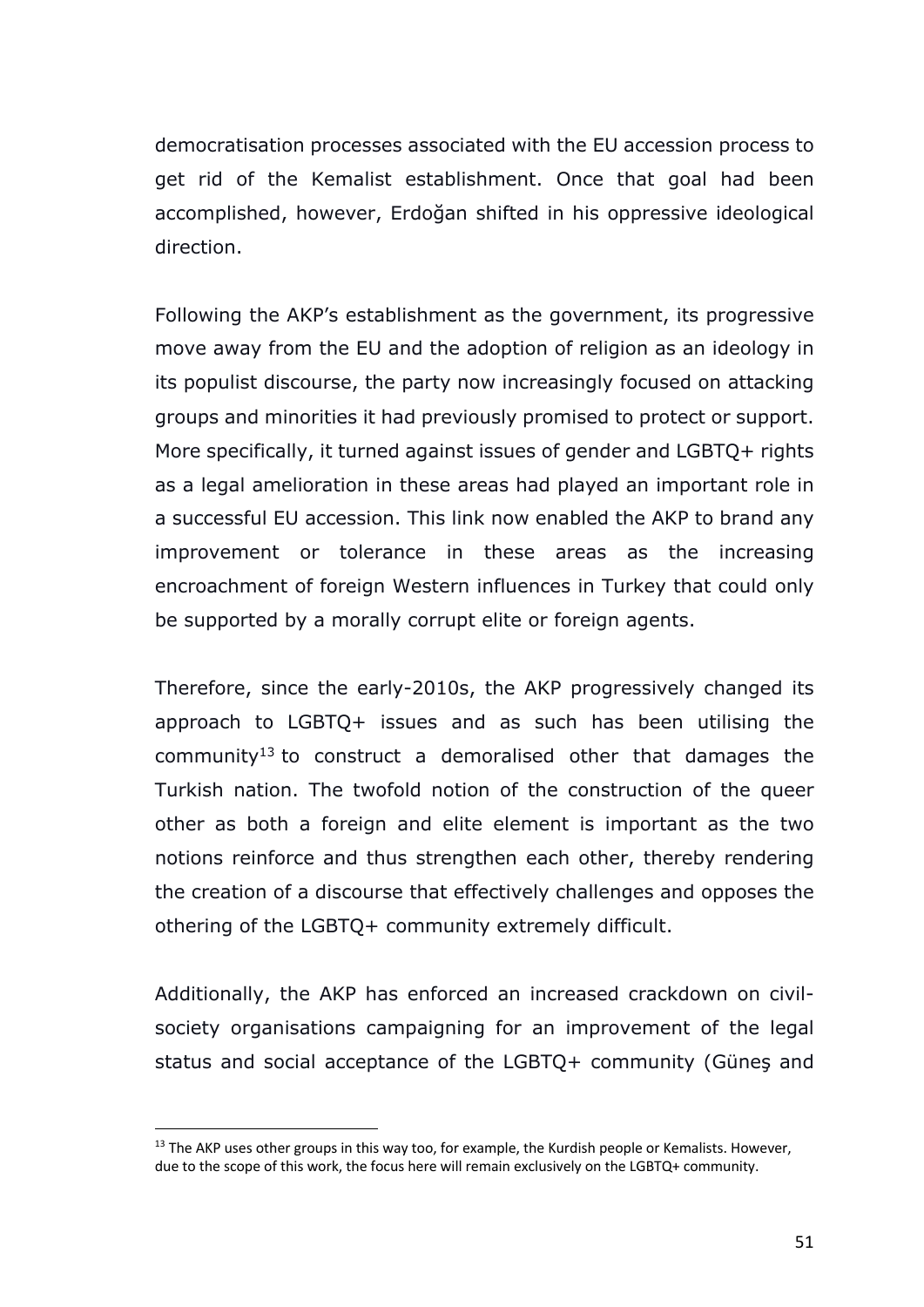democratisation processes associated with the EU accession process to get rid of the Kemalist establishment. Once that goal had been accomplished, however, Erdoğan shifted in his oppressive ideological direction.

Following the AKP's establishment as the government, its progressive move away from the EU and the adoption of religion as an ideology in its populist discourse, the party now increasingly focused on attacking groups and minorities it had previously promised to protect or support. More specifically, it turned against issues of gender and LGBTQ+ rights as a legal amelioration in these areas had played an important role in a successful EU accession. This link now enabled the AKP to brand any improvement or tolerance in these areas as the increasing encroachment of foreign Western influences in Turkey that could only be supported by a morally corrupt elite or foreign agents.

Therefore, since the early-2010s, the AKP progressively changed its approach to LGBTQ+ issues and as such has been utilising the community<sup>13</sup> to construct a demoralised other that damages the Turkish nation. The twofold notion of the construction of the queer other as both a foreign and elite element is important as the two notions reinforce and thus strengthen each other, thereby rendering the creation of a discourse that effectively challenges and opposes the othering of the LGBTQ+ community extremely difficult.

Additionally, the AKP has enforced an increased crackdown on civilsociety organisations campaigning for an improvement of the legal status and social acceptance of the LGBTQ+ community (Güneş and

 $13$  The AKP uses other groups in this way too, for example, the Kurdish people or Kemalists. However, due to the scope of this work, the focus here will remain exclusively on the LGBTQ+ community.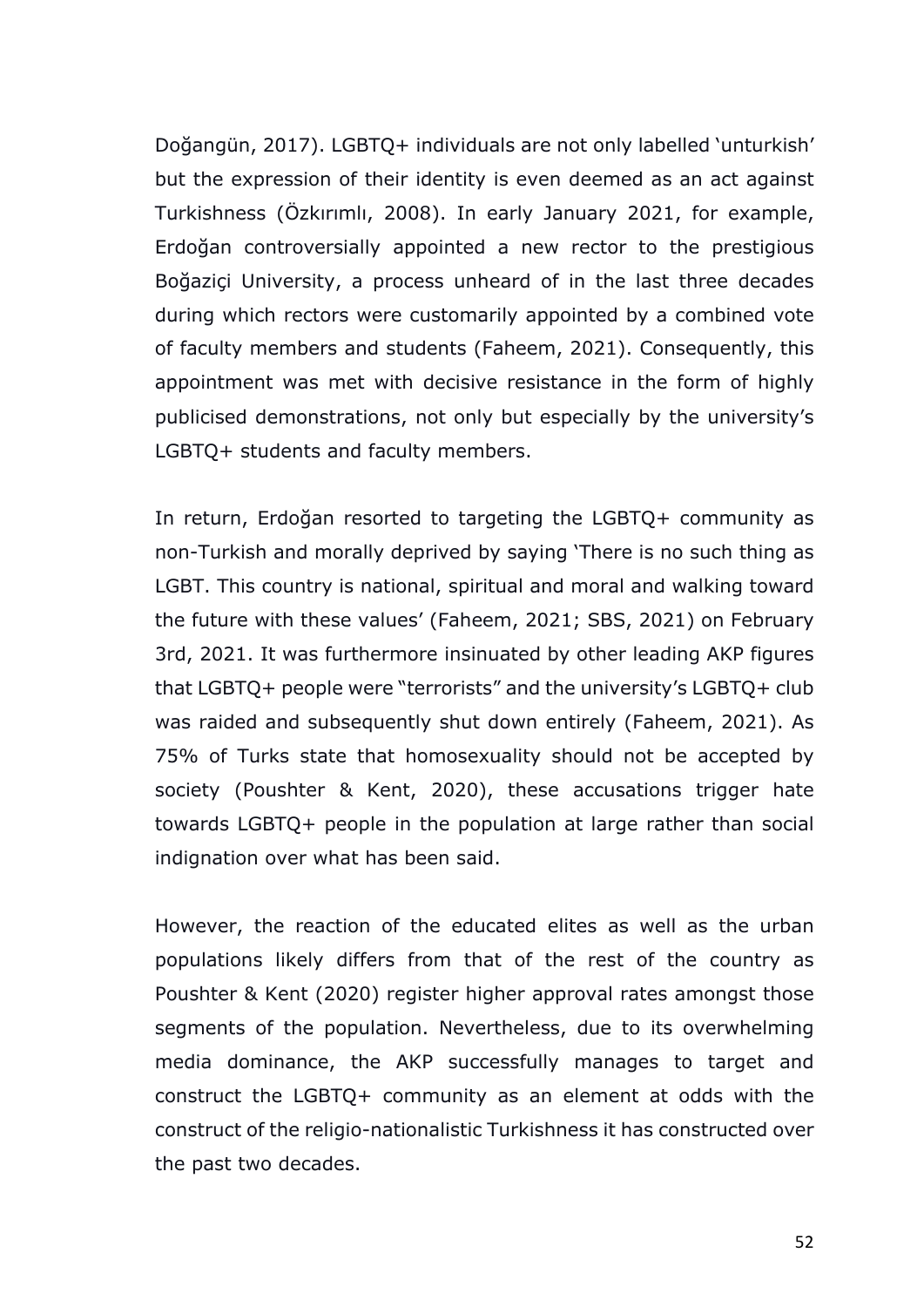Doğangün, 2017). LGBTQ+ individuals are not only labelled 'unturkish' but the expression of their identity is even deemed as an act against Turkishness (Özkırımlı, 2008). In early January 2021, for example, Erdoğan controversially appointed a new rector to the prestigious Boğaziçi University, a process unheard of in the last three decades during which rectors were customarily appointed by a combined vote of faculty members and students (Faheem, 2021). Consequently, this appointment was met with decisive resistance in the form of highly publicised demonstrations, not only but especially by the university's LGBTQ+ students and faculty members.

In return, Erdoğan resorted to targeting the LGBTQ+ community as non-Turkish and morally deprived by saying 'There is no such thing as LGBT. This country is national, spiritual and moral and walking toward the future with these values' (Faheem, 2021; SBS, 2021) on February 3rd, 2021. It was furthermore insinuated by other leading AKP figures that LGBTQ+ people were "terrorists" and the university's LGBTQ+ club was raided and subsequently shut down entirely (Faheem, 2021). As 75% of Turks state that homosexuality should not be accepted by society (Poushter & Kent, 2020), these accusations trigger hate towards LGBTQ+ people in the population at large rather than social indignation over what has been said.

However, the reaction of the educated elites as well as the urban populations likely differs from that of the rest of the country as Poushter & Kent (2020) register higher approval rates amongst those segments of the population. Nevertheless, due to its overwhelming media dominance, the AKP successfully manages to target and construct the LGBTQ+ community as an element at odds with the construct of the religio-nationalistic Turkishness it has constructed over the past two decades.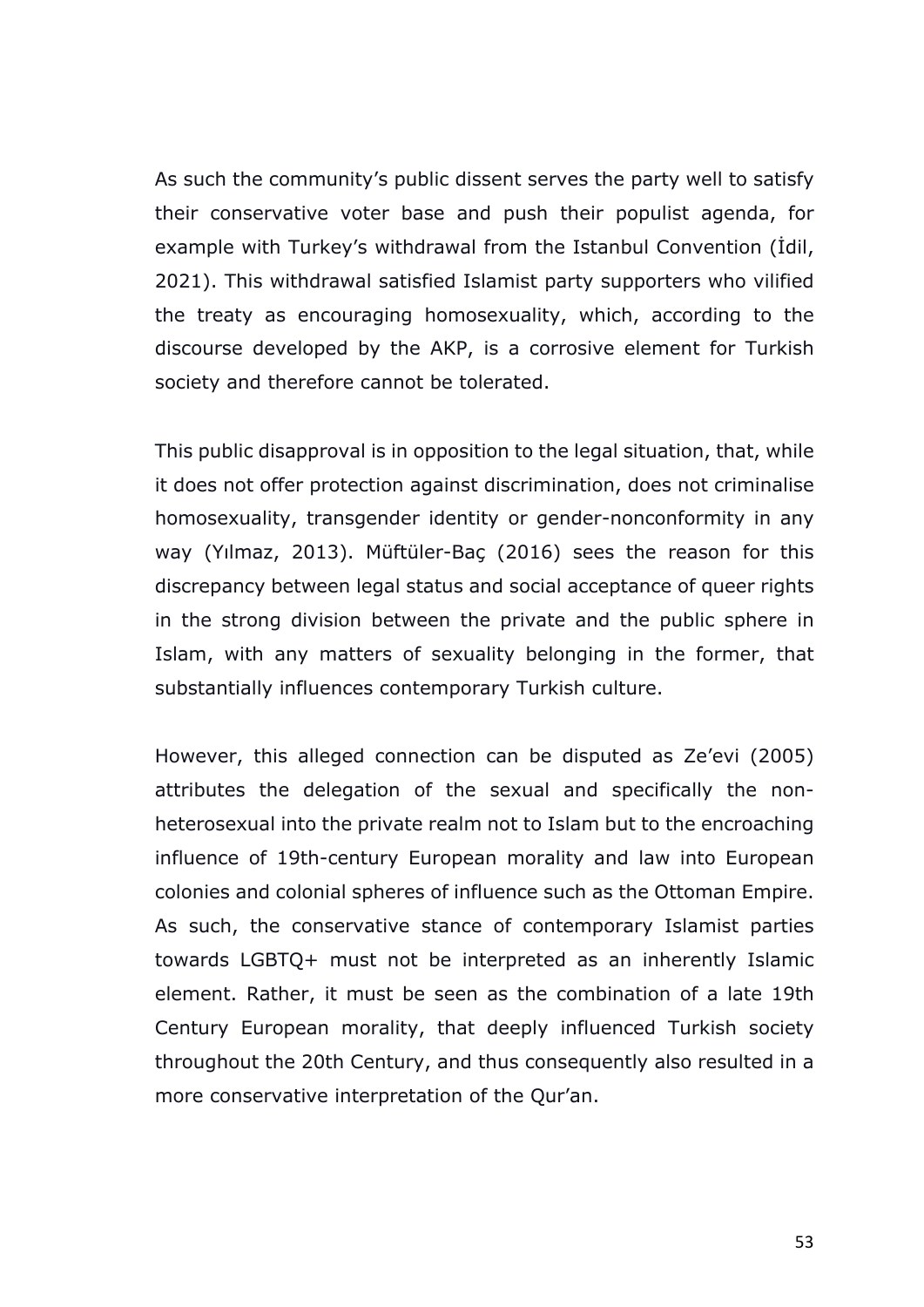As such the community's public dissent serves the party well to satisfy their conservative voter base and push their populist agenda, for example with Turkey's withdrawal from the Istanbul Convention (İdil, 2021). This withdrawal satisfied Islamist party supporters who vilified the treaty as encouraging homosexuality, which, according to the discourse developed by the AKP, is a corrosive element for Turkish society and therefore cannot be tolerated.

This public disapproval is in opposition to the legal situation, that, while it does not offer protection against discrimination, does not criminalise homosexuality, transgender identity or gender-nonconformity in any way (Yılmaz, 2013). Müftüler-Baç (2016) sees the reason for this discrepancy between legal status and social acceptance of queer rights in the strong division between the private and the public sphere in Islam, with any matters of sexuality belonging in the former, that substantially influences contemporary Turkish culture.

However, this alleged connection can be disputed as Ze'evi (2005) attributes the delegation of the sexual and specifically the nonheterosexual into the private realm not to Islam but to the encroaching influence of 19th-century European morality and law into European colonies and colonial spheres of influence such as the Ottoman Empire. As such, the conservative stance of contemporary Islamist parties towards LGBTQ+ must not be interpreted as an inherently Islamic element. Rather, it must be seen as the combination of a late 19th Century European morality, that deeply influenced Turkish society throughout the 20th Century, and thus consequently also resulted in a more conservative interpretation of the Qur'an.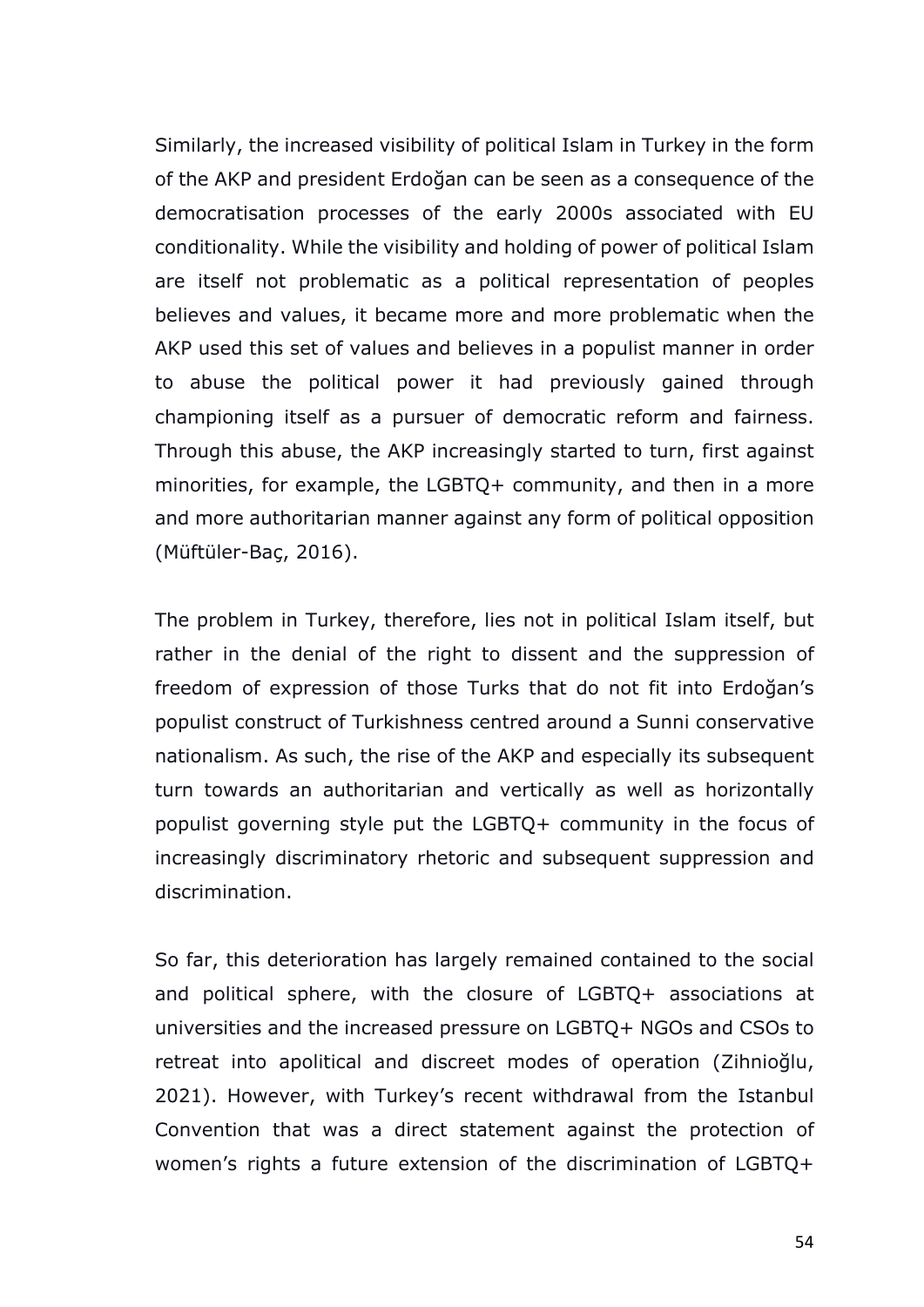Similarly, the increased visibility of political Islam in Turkey in the form of the AKP and president Erdoğan can be seen as a consequence of the democratisation processes of the early 2000s associated with EU conditionality. While the visibility and holding of power of political Islam are itself not problematic as a political representation of peoples believes and values, it became more and more problematic when the AKP used this set of values and believes in a populist manner in order to abuse the political power it had previously gained through championing itself as a pursuer of democratic reform and fairness. Through this abuse, the AKP increasingly started to turn, first against minorities, for example, the LGBTQ+ community, and then in a more and more authoritarian manner against any form of political opposition (Müftüler-Baç, 2016).

The problem in Turkey, therefore, lies not in political Islam itself, but rather in the denial of the right to dissent and the suppression of freedom of expression of those Turks that do not fit into Erdoğan's populist construct of Turkishness centred around a Sunni conservative nationalism. As such, the rise of the AKP and especially its subsequent turn towards an authoritarian and vertically as well as horizontally populist governing style put the LGBTQ+ community in the focus of increasingly discriminatory rhetoric and subsequent suppression and discrimination.

So far, this deterioration has largely remained contained to the social and political sphere, with the closure of LGBTQ+ associations at universities and the increased pressure on LGBTQ+ NGOs and CSOs to retreat into apolitical and discreet modes of operation (Zihnioğlu, 2021). However, with Turkey's recent withdrawal from the Istanbul Convention that was a direct statement against the protection of women's rights a future extension of the discrimination of LGBTQ+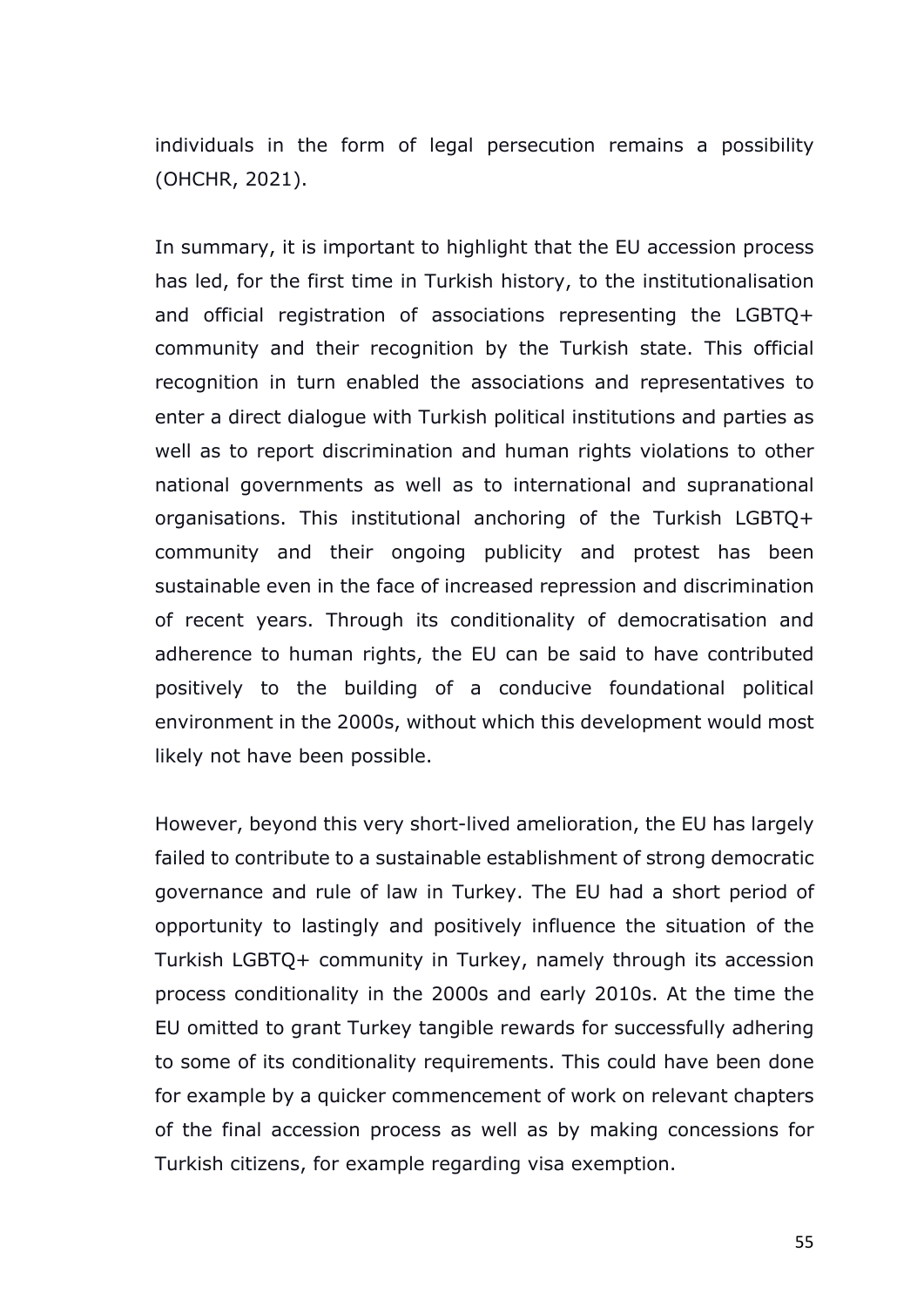individuals in the form of legal persecution remains a possibility (OHCHR, 2021).

In summary, it is important to highlight that the EU accession process has led, for the first time in Turkish history, to the institutionalisation and official registration of associations representing the LGBTQ+ community and their recognition by the Turkish state. This official recognition in turn enabled the associations and representatives to enter a direct dialogue with Turkish political institutions and parties as well as to report discrimination and human rights violations to other national governments as well as to international and supranational organisations. This institutional anchoring of the Turkish LGBTQ+ community and their ongoing publicity and protest has been sustainable even in the face of increased repression and discrimination of recent years. Through its conditionality of democratisation and adherence to human rights, the EU can be said to have contributed positively to the building of a conducive foundational political environment in the 2000s, without which this development would most likely not have been possible.

However, beyond this very short-lived amelioration, the EU has largely failed to contribute to a sustainable establishment of strong democratic governance and rule of law in Turkey. The EU had a short period of opportunity to lastingly and positively influence the situation of the Turkish LGBTQ+ community in Turkey, namely through its accession process conditionality in the 2000s and early 2010s. At the time the EU omitted to grant Turkey tangible rewards for successfully adhering to some of its conditionality requirements. This could have been done for example by a quicker commencement of work on relevant chapters of the final accession process as well as by making concessions for Turkish citizens, for example regarding visa exemption.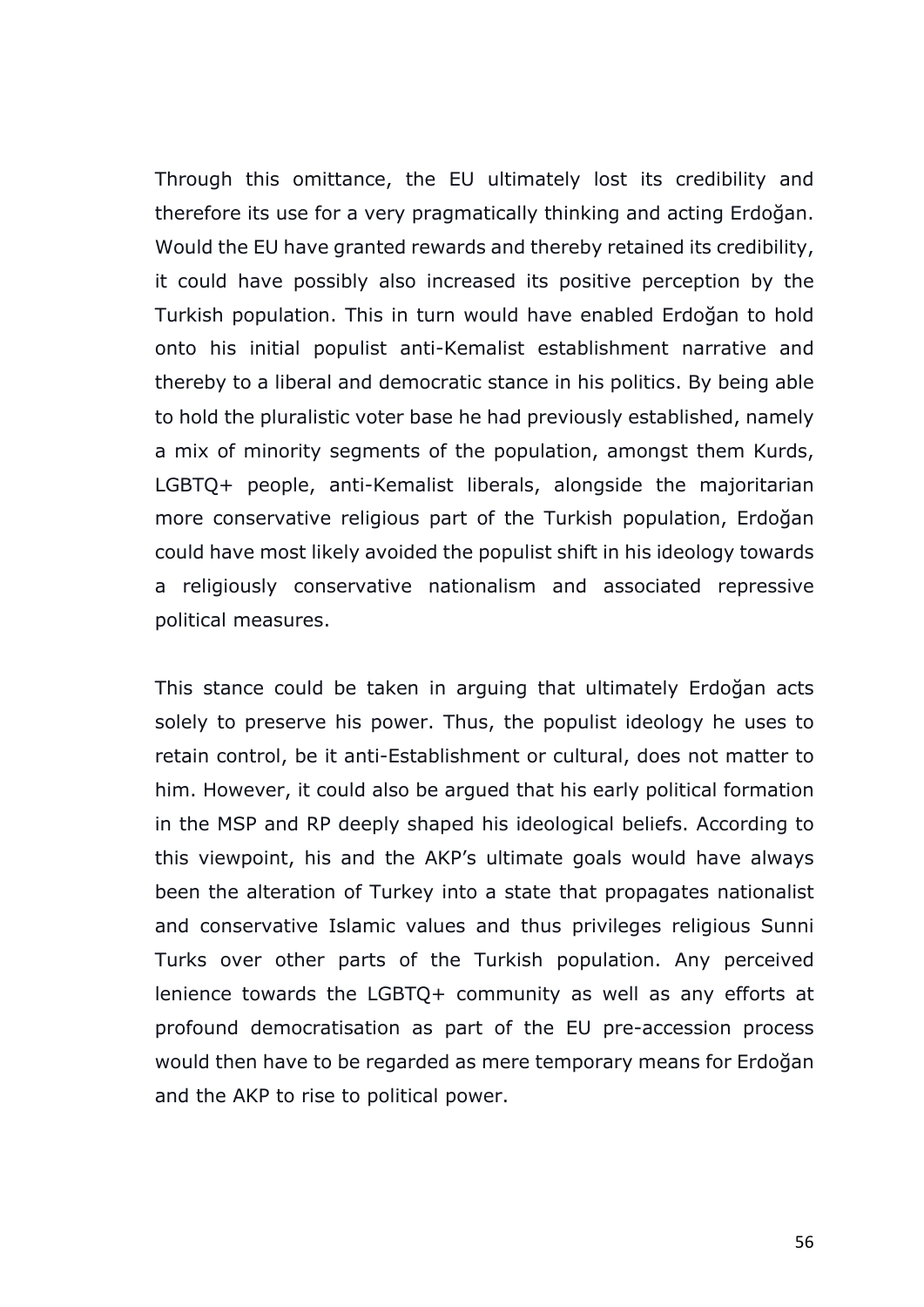Through this omittance, the EU ultimately lost its credibility and therefore its use for a very pragmatically thinking and acting Erdoğan. Would the EU have granted rewards and thereby retained its credibility, it could have possibly also increased its positive perception by the Turkish population. This in turn would have enabled Erdoğan to hold onto his initial populist anti-Kemalist establishment narrative and thereby to a liberal and democratic stance in his politics. By being able to hold the pluralistic voter base he had previously established, namely a mix of minority segments of the population, amongst them Kurds, LGBTQ+ people, anti-Kemalist liberals, alongside the majoritarian more conservative religious part of the Turkish population, Erdoğan could have most likely avoided the populist shift in his ideology towards a religiously conservative nationalism and associated repressive political measures.

This stance could be taken in arguing that ultimately Erdoğan acts solely to preserve his power. Thus, the populist ideology he uses to retain control, be it anti-Establishment or cultural, does not matter to him. However, it could also be argued that his early political formation in the MSP and RP deeply shaped his ideological beliefs. According to this viewpoint, his and the AKP's ultimate goals would have always been the alteration of Turkey into a state that propagates nationalist and conservative Islamic values and thus privileges religious Sunni Turks over other parts of the Turkish population. Any perceived lenience towards the LGBTQ+ community as well as any efforts at profound democratisation as part of the EU pre-accession process would then have to be regarded as mere temporary means for Erdoğan and the AKP to rise to political power.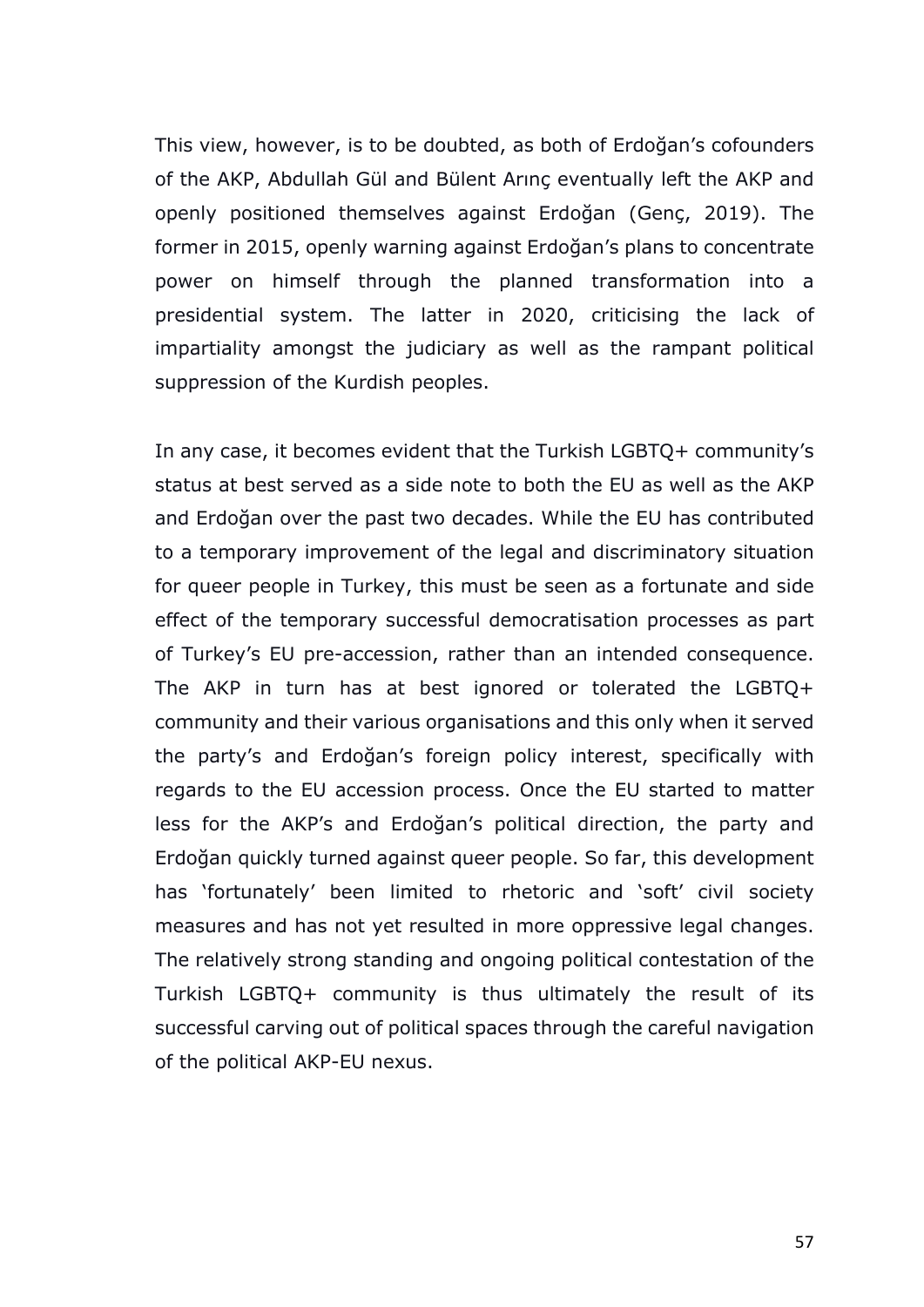This view, however, is to be doubted, as both of Erdoğan's cofounders of the AKP, Abdullah Gül and Bülent Arınç eventually left the AKP and openly positioned themselves against Erdoğan (Genç, 2019). The former in 2015, openly warning against Erdoğan's plans to concentrate power on himself through the planned transformation into a presidential system. The latter in 2020, criticising the lack of impartiality amongst the judiciary as well as the rampant political suppression of the Kurdish peoples.

In any case, it becomes evident that the Turkish LGBTQ+ community's status at best served as a side note to both the EU as well as the AKP and Erdoğan over the past two decades. While the EU has contributed to a temporary improvement of the legal and discriminatory situation for queer people in Turkey, this must be seen as a fortunate and side effect of the temporary successful democratisation processes as part of Turkey's EU pre-accession, rather than an intended consequence. The AKP in turn has at best ignored or tolerated the LGBTQ+ community and their various organisations and this only when it served the party's and Erdoğan's foreign policy interest, specifically with regards to the EU accession process. Once the EU started to matter less for the AKP's and Erdoğan's political direction, the party and Erdoğan quickly turned against queer people. So far, this development has 'fortunately' been limited to rhetoric and 'soft' civil society measures and has not yet resulted in more oppressive legal changes. The relatively strong standing and ongoing political contestation of the Turkish LGBTQ+ community is thus ultimately the result of its successful carving out of political spaces through the careful navigation of the political AKP-EU nexus.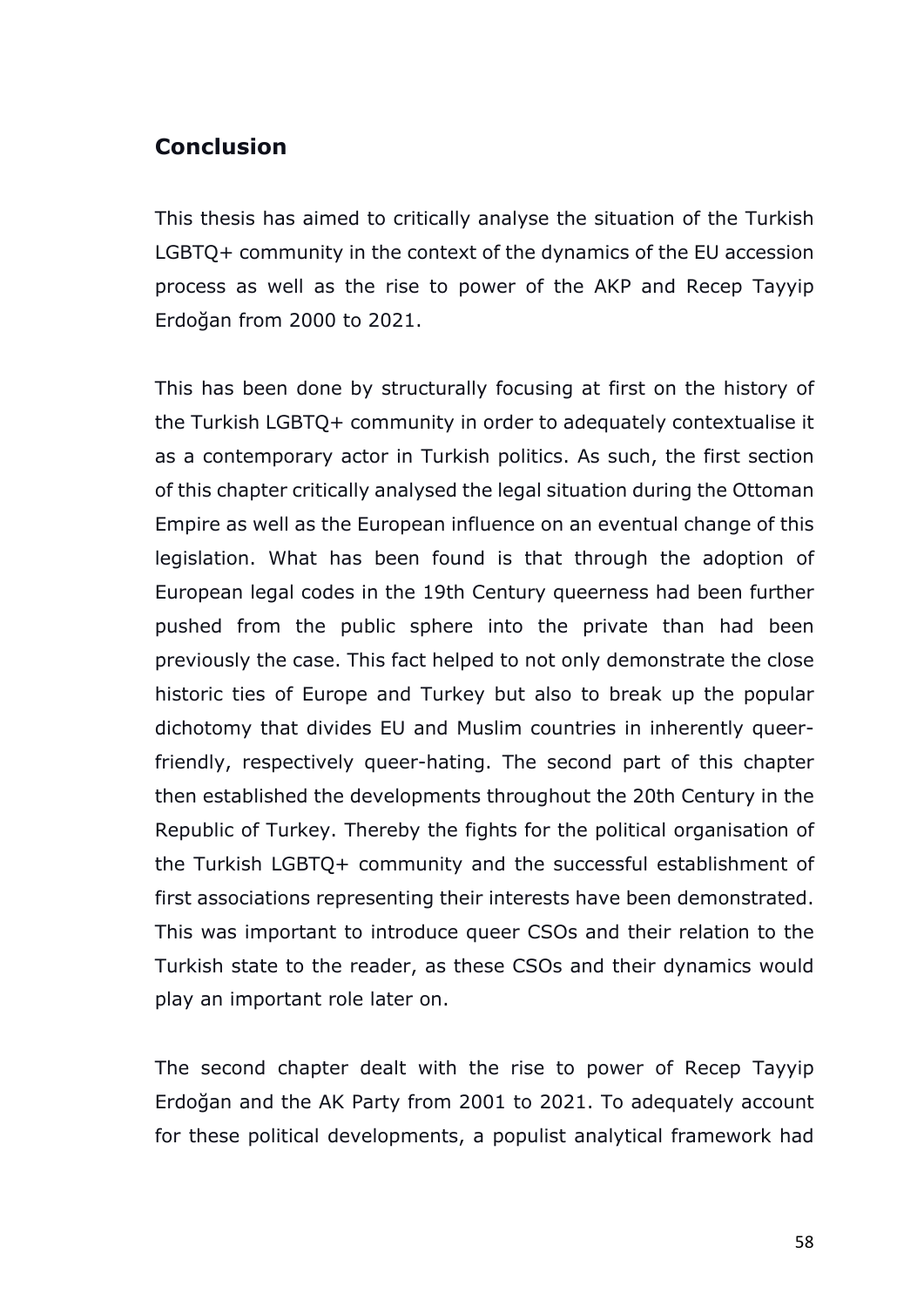# **Conclusion**

This thesis has aimed to critically analyse the situation of the Turkish LGBTQ+ community in the context of the dynamics of the EU accession process as well as the rise to power of the AKP and Recep Tayyip Erdoğan from 2000 to 2021.

This has been done by structurally focusing at first on the history of the Turkish LGBTQ+ community in order to adequately contextualise it as a contemporary actor in Turkish politics. As such, the first section of this chapter critically analysed the legal situation during the Ottoman Empire as well as the European influence on an eventual change of this legislation. What has been found is that through the adoption of European legal codes in the 19th Century queerness had been further pushed from the public sphere into the private than had been previously the case. This fact helped to not only demonstrate the close historic ties of Europe and Turkey but also to break up the popular dichotomy that divides EU and Muslim countries in inherently queerfriendly, respectively queer-hating. The second part of this chapter then established the developments throughout the 20th Century in the Republic of Turkey. Thereby the fights for the political organisation of the Turkish LGBTQ+ community and the successful establishment of first associations representing their interests have been demonstrated. This was important to introduce queer CSOs and their relation to the Turkish state to the reader, as these CSOs and their dynamics would play an important role later on.

The second chapter dealt with the rise to power of Recep Tayyip Erdoğan and the AK Party from 2001 to 2021. To adequately account for these political developments, a populist analytical framework had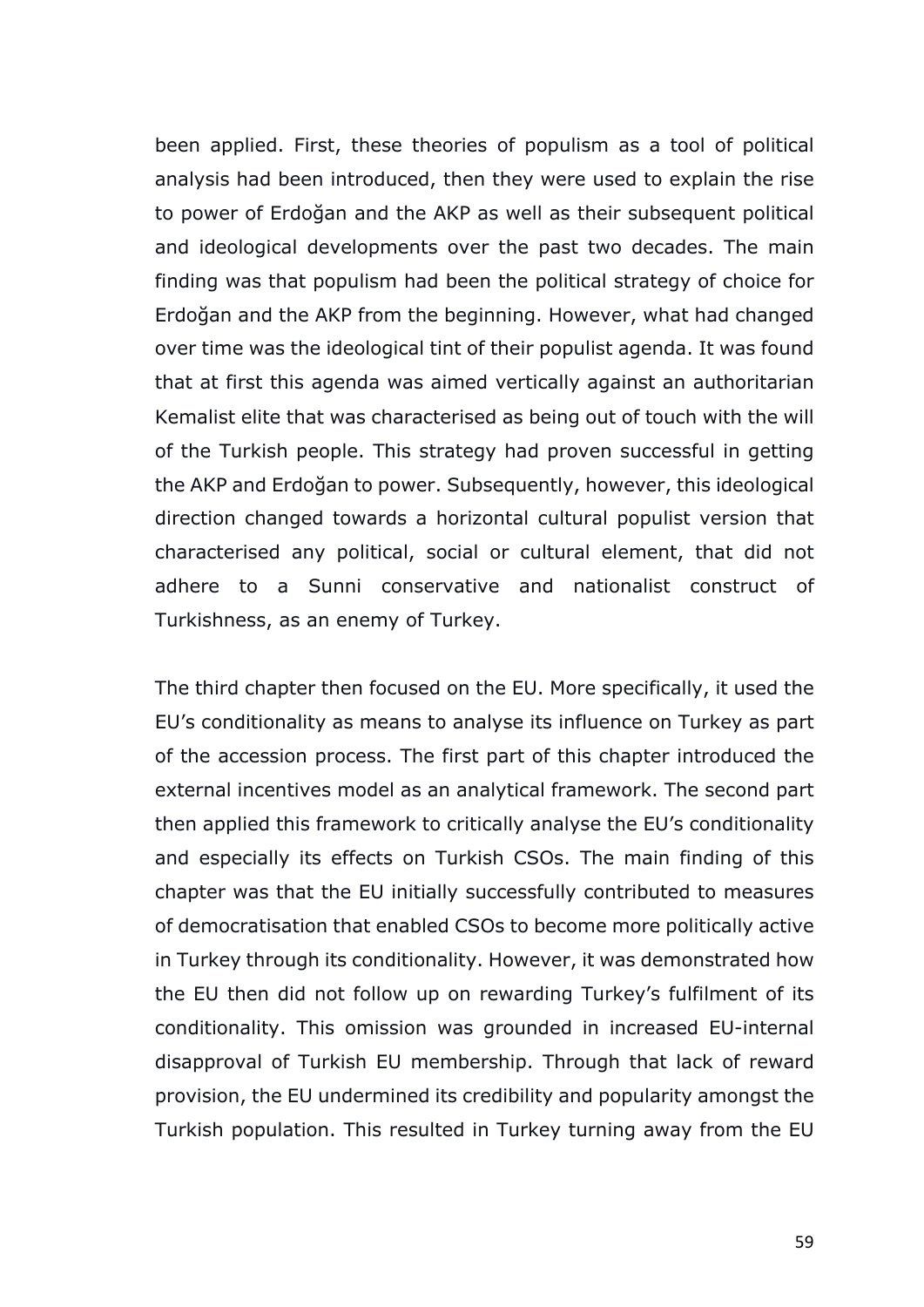been applied. First, these theories of populism as a tool of political analysis had been introduced, then they were used to explain the rise to power of Erdoğan and the AKP as well as their subsequent political and ideological developments over the past two decades. The main finding was that populism had been the political strategy of choice for Erdoğan and the AKP from the beginning. However, what had changed over time was the ideological tint of their populist agenda. It was found that at first this agenda was aimed vertically against an authoritarian Kemalist elite that was characterised as being out of touch with the will of the Turkish people. This strategy had proven successful in getting the AKP and Erdoğan to power. Subsequently, however, this ideological direction changed towards a horizontal cultural populist version that characterised any political, social or cultural element, that did not adhere to a Sunni conservative and nationalist construct of Turkishness, as an enemy of Turkey.

The third chapter then focused on the EU. More specifically, it used the EU's conditionality as means to analyse its influence on Turkey as part of the accession process. The first part of this chapter introduced the external incentives model as an analytical framework. The second part then applied this framework to critically analyse the EU's conditionality and especially its effects on Turkish CSOs. The main finding of this chapter was that the EU initially successfully contributed to measures of democratisation that enabled CSOs to become more politically active in Turkey through its conditionality. However, it was demonstrated how the EU then did not follow up on rewarding Turkey's fulfilment of its conditionality. This omission was grounded in increased EU-internal disapproval of Turkish EU membership. Through that lack of reward provision, the EU undermined its credibility and popularity amongst the Turkish population. This resulted in Turkey turning away from the EU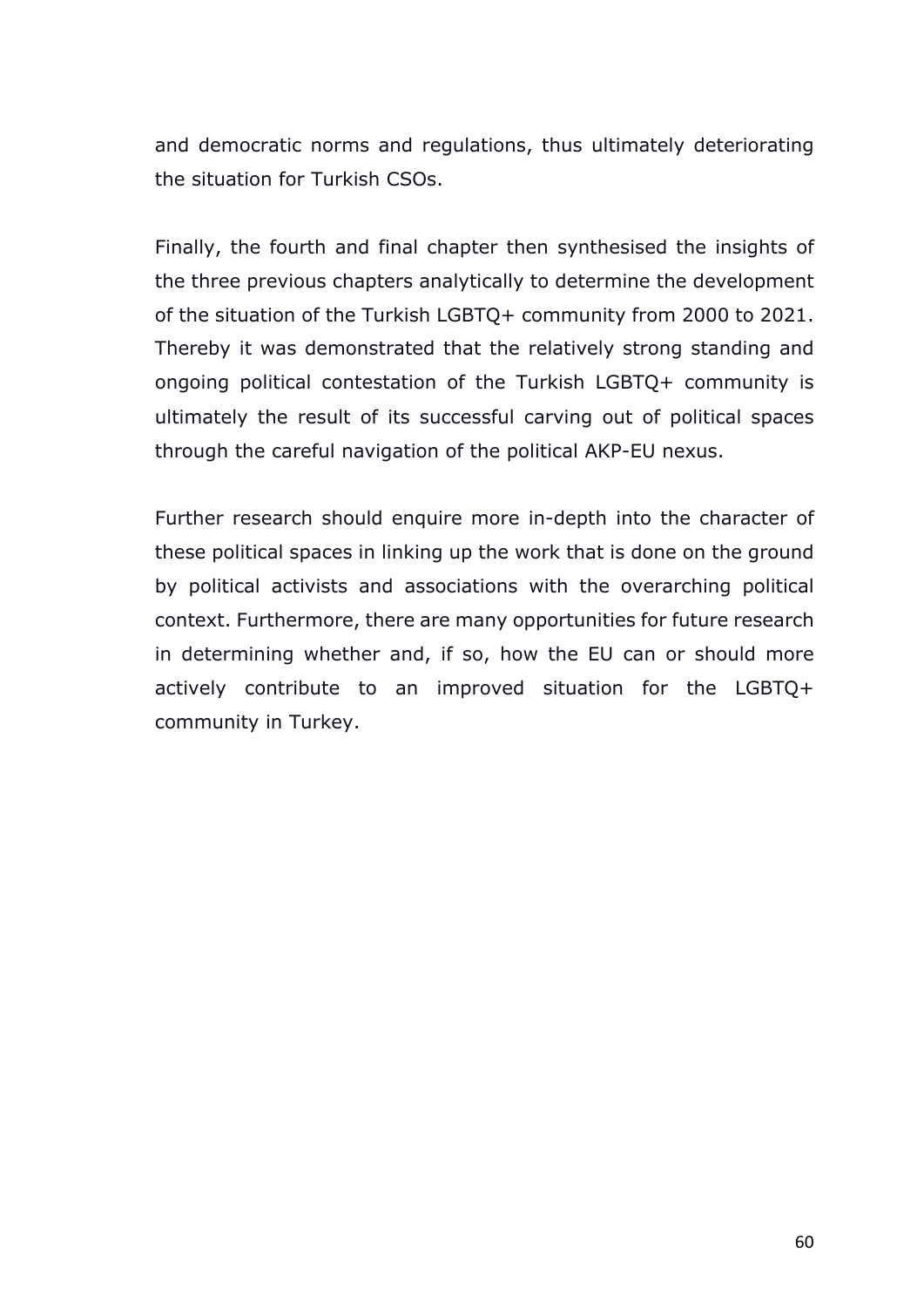and democratic norms and regulations, thus ultimately deteriorating the situation for Turkish CSOs.

Finally, the fourth and final chapter then synthesised the insights of the three previous chapters analytically to determine the development of the situation of the Turkish LGBTQ+ community from 2000 to 2021. Thereby it was demonstrated that the relatively strong standing and ongoing political contestation of the Turkish LGBTQ+ community is ultimately the result of its successful carving out of political spaces through the careful navigation of the political AKP-EU nexus.

Further research should enquire more in-depth into the character of these political spaces in linking up the work that is done on the ground by political activists and associations with the overarching political context. Furthermore, there are many opportunities for future research in determining whether and, if so, how the EU can or should more actively contribute to an improved situation for the LGBTQ+ community in Turkey.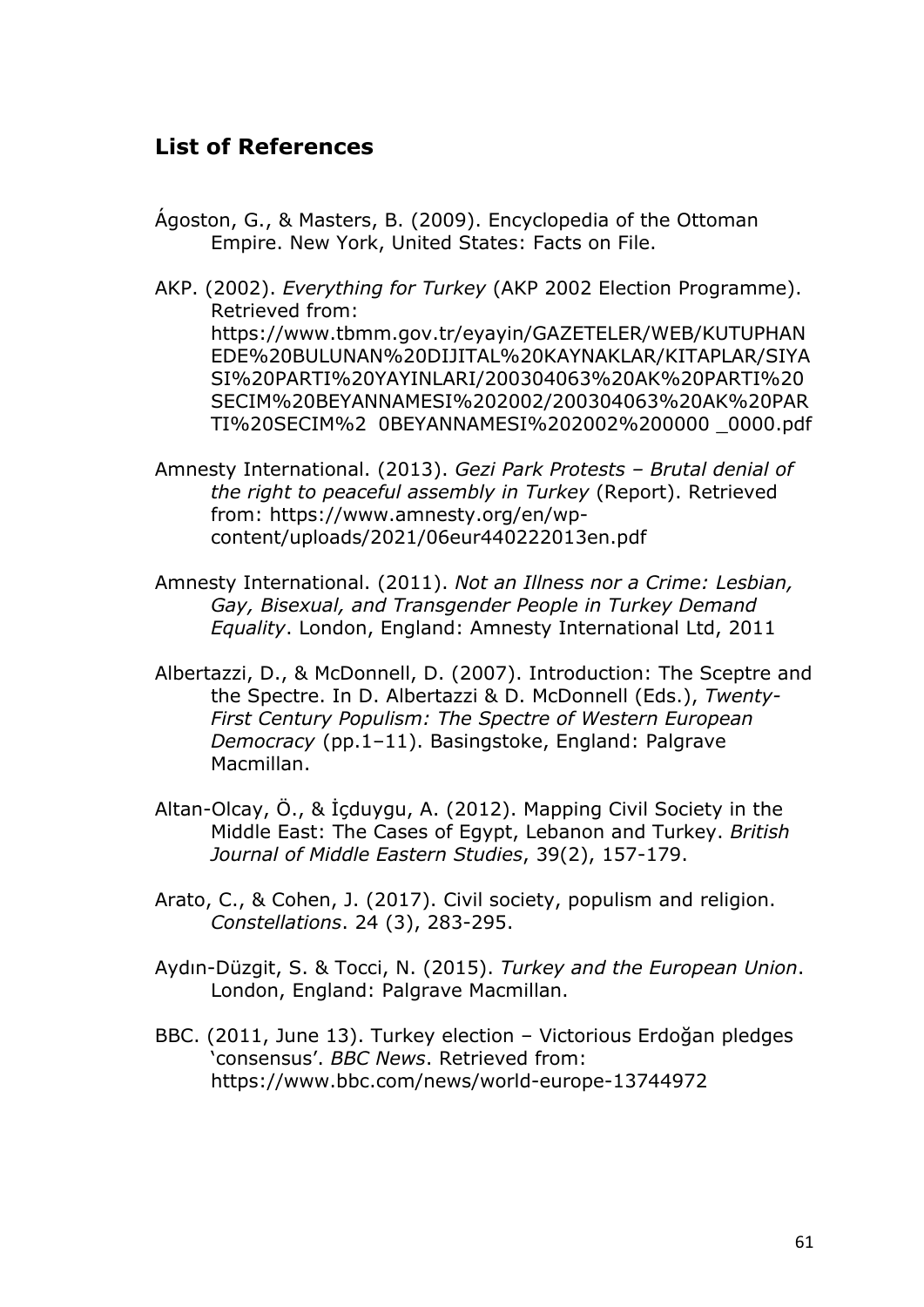## **List of References**

- Ágoston, G., & Masters, B. (2009). Encyclopedia of the Ottoman Empire. New York, United States: Facts on File.
- AKP. (2002). *Everything for Turkey* (AKP 2002 Election Programme). Retrieved from: https://www.tbmm.gov.tr/eyayin/GAZETELER/WEB/KUTUPHAN EDE%20BULUNAN%20DIJITAL%20KAYNAKLAR/KITAPLAR/SIYA SI%20PARTI%20YAYINLARI/200304063%20AK%20PARTI%20 SECIM%20BEYANNAMESI%202002/200304063%20AK%20PAR TI%20SECIM%2 0BEYANNAMESI%202002%200000 \_0000.pdf
- Amnesty International. (2013). *Gezi Park Protests – Brutal denial of the right to peaceful assembly in Turkey* (Report). Retrieved from: https://www.amnesty.org/en/wpcontent/uploads/2021/06eur440222013en.pdf
- Amnesty International. (2011). *Not an Illness nor a Crime: Lesbian, Gay, Bisexual, and Transgender People in Turkey Demand Equality*. London, England: Amnesty International Ltd, 2011
- Albertazzi, D., & McDonnell, D. (2007). Introduction: The Sceptre and the Spectre. In D. Albertazzi & D. McDonnell (Eds.), *Twenty-First Century Populism: The Spectre of Western European Democracy* (pp.1–11). Basingstoke, England: Palgrave Macmillan.
- Altan-Olcay, Ö., & İçduygu, A. (2012). Mapping Civil Society in the Middle East: The Cases of Egypt, Lebanon and Turkey. *British Journal of Middle Eastern Studies*, 39(2), 157-179.
- Arato, C., & Cohen, J. (2017). Civil society, populism and religion. *Constellations*. 24 (3), 283-295.
- Aydın-Düzgit, S. & Tocci, N. (2015). *Turkey and the European Union*. London, England: Palgrave Macmillan.
- BBC. (2011, June 13). Turkey election Victorious Erdoğan pledges 'consensus'. *BBC News*. Retrieved from: https://www.bbc.com/news/world-europe-13744972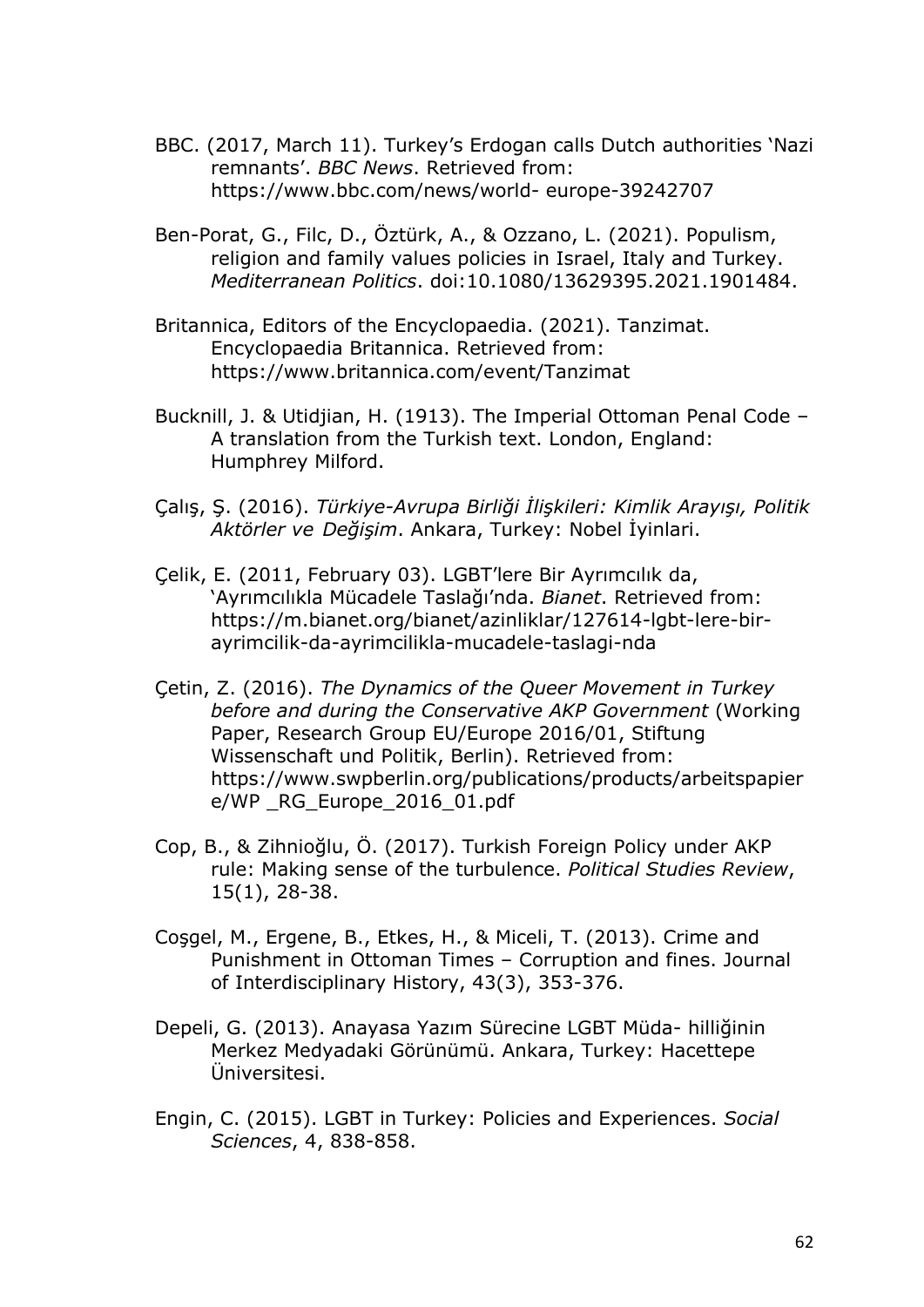- BBC. (2017, March 11). Turkey's Erdogan calls Dutch authorities 'Nazi remnants'. *BBC News*. Retrieved from: https://www.bbc.com/news/world- europe-39242707
- Ben-Porat, G., Filc, D., Öztürk, A., & Ozzano, L. (2021). Populism, religion and family values policies in Israel, Italy and Turkey. *Mediterranean Politics*. doi:10.1080/13629395.2021.1901484.
- Britannica, Editors of the Encyclopaedia. (2021). Tanzimat. Encyclopaedia Britannica. Retrieved from: https://www.britannica.com/event/Tanzimat
- Bucknill, J. & Utidjian, H. (1913). The Imperial Ottoman Penal Code A translation from the Turkish text. London, England: Humphrey Milford.
- Çalış, Ş. (2016). *Türkiye-Avrupa Birliği İlişkileri: Kimlik Arayışı, Politik Aktörler ve Değişim*. Ankara, Turkey: Nobel İyinlari.
- Çelik, E. (2011, February 03). LGBT'lere Bir Ayrımcılık da, 'Ayrımcılıkla Mücadele Taslağı'nda. *Bianet*. Retrieved from: https://m.bianet.org/bianet/azinliklar/127614-lgbt-lere-birayrimcilik-da-ayrimcilikla-mucadele-taslagi-nda
- Çetin, Z. (2016). *The Dynamics of the Queer Movement in Turkey before and during the Conservative AKP Government* (Working Paper, Research Group EU/Europe 2016/01, Stiftung Wissenschaft und Politik, Berlin). Retrieved from: https://www.swpberlin.org/publications/products/arbeitspapier e/WP \_RG\_Europe\_2016\_01.pdf
- Cop, B., & Zihnioğlu, Ö. (2017). Turkish Foreign Policy under AKP rule: Making sense of the turbulence. *Political Studies Review*, 15(1), 28-38.
- Coşgel, M., Ergene, B., Etkes, H., & Miceli, T. (2013). Crime and Punishment in Ottoman Times – Corruption and fines. Journal of Interdisciplinary History, 43(3), 353-376.
- Depeli, G. (2013). Anayasa Yazım Sürecine LGBT Müda- hilliğinin Merkez Medyadaki Görünümü. Ankara, Turkey: Hacettepe Üniversitesi.
- Engin, C. (2015). LGBT in Turkey: Policies and Experiences. *Social Sciences*, 4, 838-858.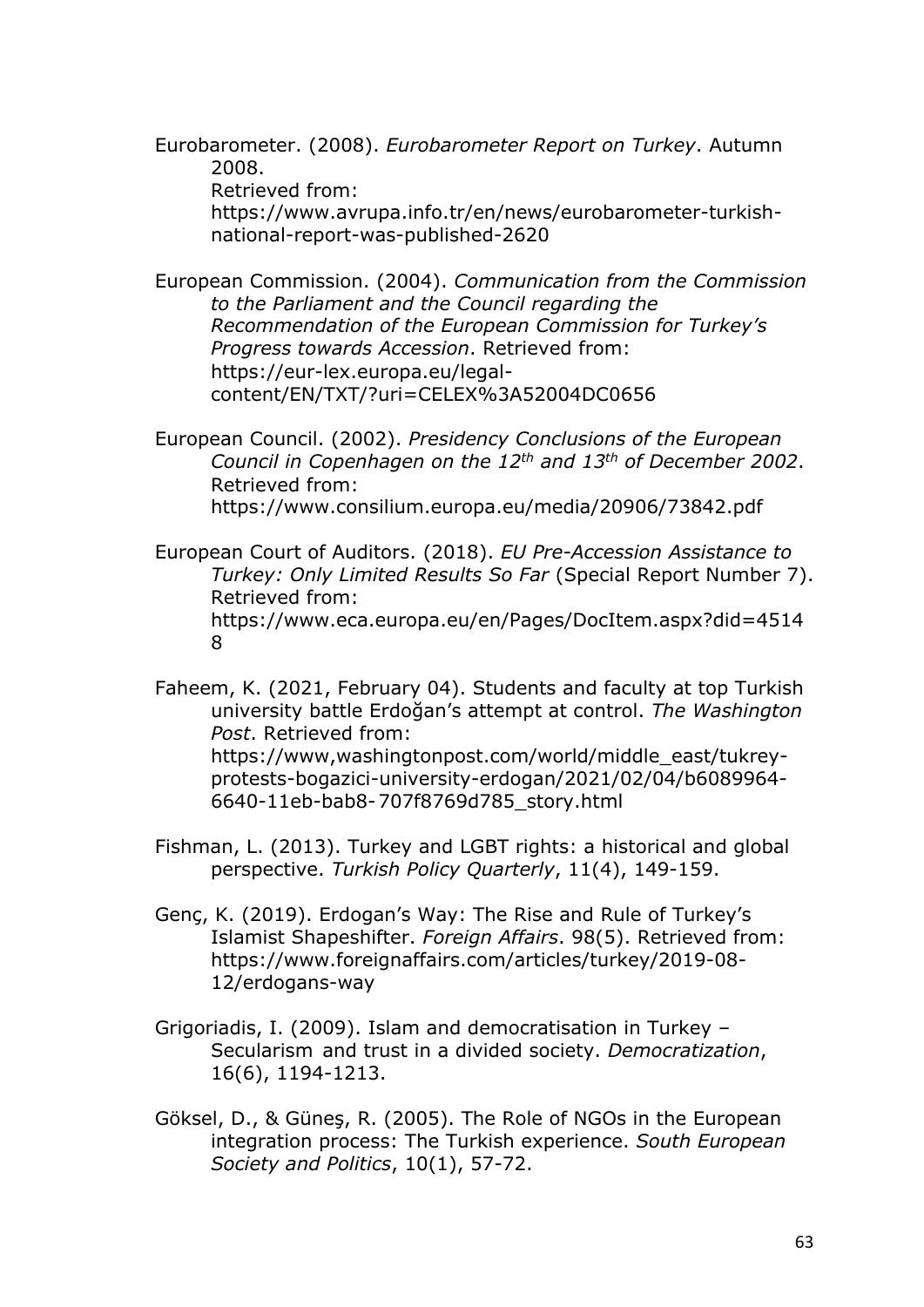Eurobarometer. (2008). *Eurobarometer Report on Turkey*. Autumn 2008. Retrieved from:

https://www.avrupa.info.tr/en/news/eurobarometer-turkishnational-report-was-published-2620

European Commission. (2004). *Communication from the Commission to the Parliament and the Council regarding the Recommendation of the European Commission for Turkey's Progress towards Accession*. Retrieved from: https://eur-lex.europa.eu/legalcontent/EN/TXT/?uri=CELEX%3A52004DC0656

European Council. (2002). *Presidency Conclusions of the European Council in Copenhagen on the 12th and 13th of December 2002*. Retrieved from: https://www.consilium.europa.eu/media/20906/73842.pdf

European Court of Auditors. (2018). *EU Pre-Accession Assistance to Turkey: Only Limited Results So Far* (Special Report Number 7). Retrieved from: https://www.eca.europa.eu/en/Pages/DocItem.aspx?did=4514 8

Faheem, K. (2021, February 04). Students and faculty at top Turkish university battle Erdoğan's attempt at control. *The Washington Post*. Retrieved from: https://www,washingtonpost.com/world/middle\_east/tukreyprotests-bogazici-university-erdogan/2021/02/04/b6089964- 6640-11eb-bab8-707f8769d785\_story.html

Fishman, L. (2013). Turkey and LGBT rights: a historical and global perspective. *Turkish Policy Quarterly*, 11(4), 149-159.

- Genç, K. (2019). Erdogan's Way: The Rise and Rule of Turkey's Islamist Shapeshifter. *Foreign Affairs*. 98(5). Retrieved from: https://www.foreignaffairs.com/articles/turkey/2019-08- 12/erdogans-way
- Grigoriadis, I. (2009). Islam and democratisation in Turkey Secularism and trust in a divided society. *Democratization*, 16(6), 1194-1213.
- Göksel, D., & Güneş, R. (2005). The Role of NGOs in the European integration process: The Turkish experience. *South European Society and Politics*, 10(1), 57-72.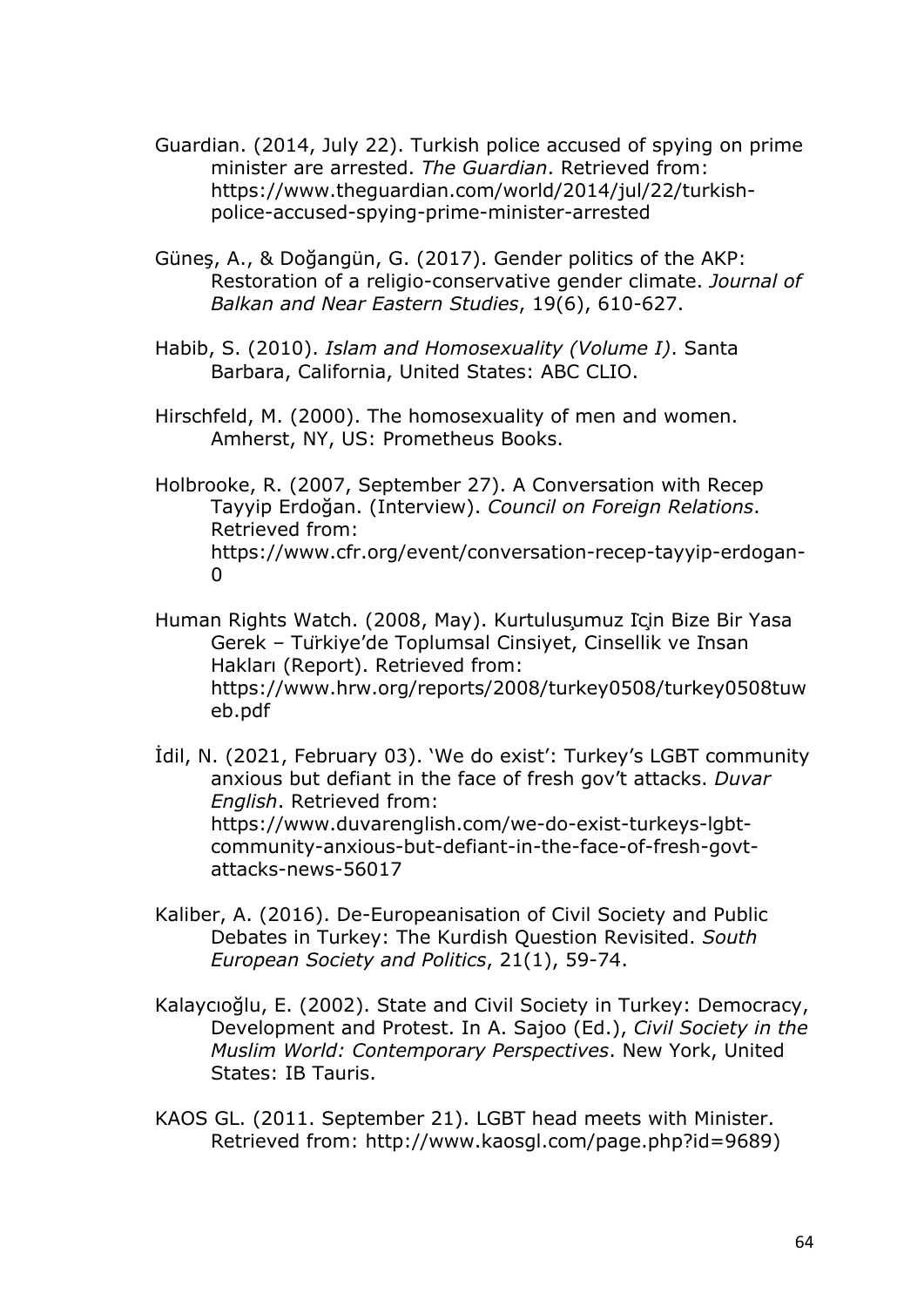- Guardian. (2014, July 22). Turkish police accused of spying on prime minister are arrested. *The Guardian*. Retrieved from: https://www.theguardian.com/world/2014/jul/22/turkishpolice-accused-spying-prime-minister-arrested
- Güneş, A., & Doğangün, G. (2017). Gender politics of the AKP: Restoration of a religio-conservative gender climate. *Journal of Balkan and Near Eastern Studies*, 19(6), 610-627.
- Habib, S. (2010). *Islam and Homosexuality (Volume I)*. Santa Barbara, California, United States: ABC CLIO.
- Hirschfeld, M. (2000). The homosexuality of men and women. Amherst, NY, US: Prometheus Books.
- Holbrooke, R. (2007, September 27). A Conversation with Recep Tayyip Erdoğan. (Interview). *Council on Foreign Relations*. Retrieved from: https://www.cfr.org/event/conversation-recep-tayyip-erdogan- $\Omega$
- Human Rights Watch. (2008, May). Kurtulusumuz Icin Bize Bir Yasa Gerek – Türkiye'de Toplumsal Cinsiyet, Cinsellik ve İnsan Hakları (Report). Retrieved from: https://www.hrw.org/reports/2008/turkey0508/turkey0508tuw eb.pdf

İdil, N. (2021, February 03). 'We do exist': Turkey's LGBT community anxious but defiant in the face of fresh gov't attacks. *Duvar English*. Retrieved from: https://www.duvarenglish.com/we-do-exist-turkeys-lgbtcommunity-anxious-but-defiant-in-the-face-of-fresh-govtattacks-news-56017

- Kaliber, A. (2016). De-Europeanisation of Civil Society and Public Debates in Turkey: The Kurdish Question Revisited. *South European Society and Politics*, 21(1), 59-74.
- Kalaycıoğlu, E. (2002). State and Civil Society in Turkey: Democracy, Development and Protest. In A. Sajoo (Ed.), *Civil Society in the Muslim World: Contemporary Perspectives*. New York, United States: IB Tauris.
- KAOS GL. (2011. September 21). LGBT head meets with Minister. Retrieved from: http://www.kaosgl.com/page.php?id=9689)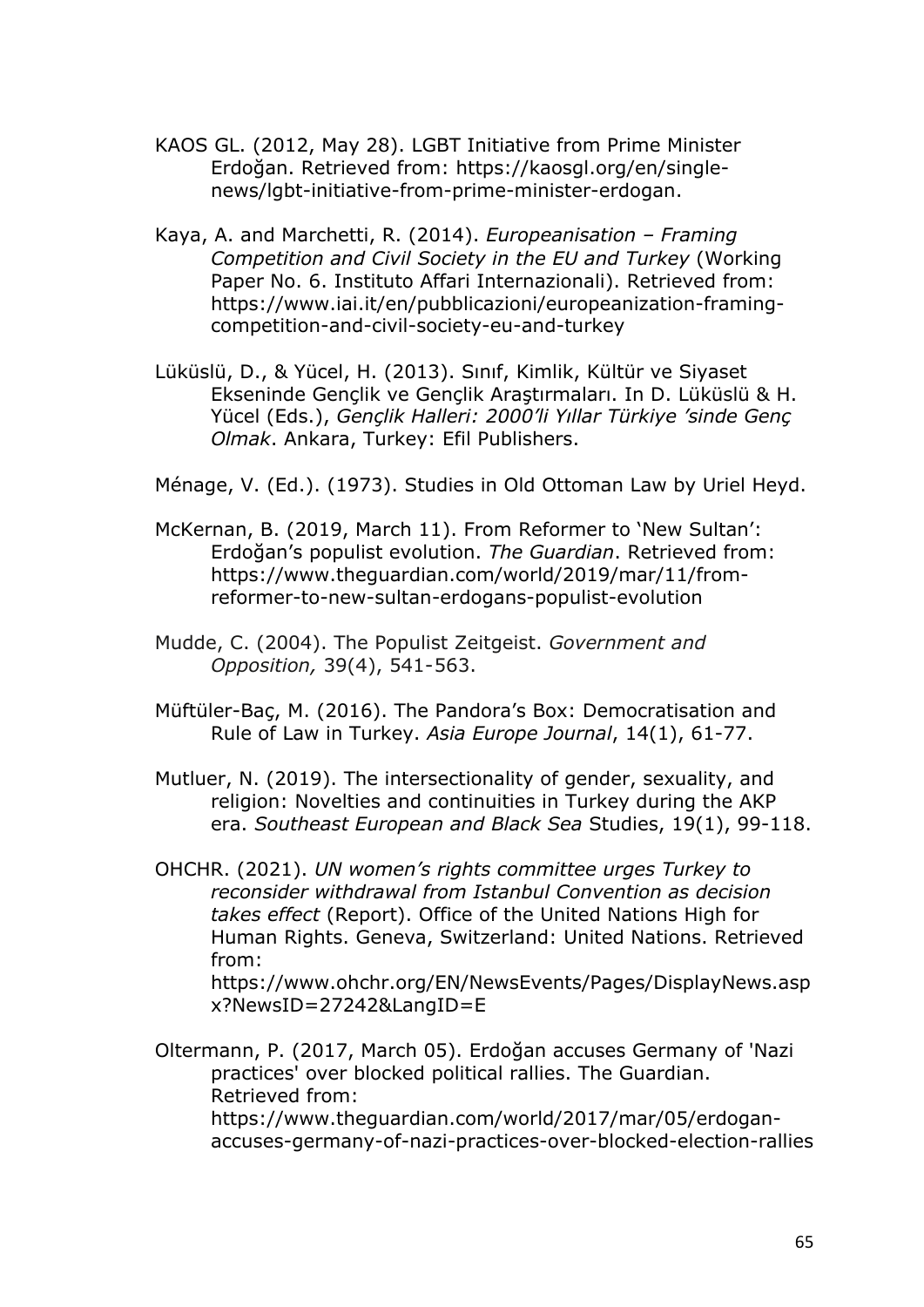- KAOS GL. (2012, May 28). LGBT Initiative from Prime Minister Erdoğan. Retrieved from: https://kaosgl.org/en/singlenews/lgbt-initiative-from-prime-minister-erdogan.
- Kaya, A. and Marchetti, R. (2014). *Europeanisation – Framing Competition and Civil Society in the EU and Turkey* (Working Paper No. 6. Instituto Affari Internazionali). Retrieved from: https://www.iai.it/en/pubblicazioni/europeanization-framingcompetition-and-civil-society-eu-and-turkey
- Lüküslü, D., & Yücel, H. (2013). Sınıf, Kimlik, Kültür ve Siyaset Ekseninde Gençlik ve Gençlik Araştırmaları. In D. Lüküslü & H. Yücel (Eds.), *Gençlik Halleri: 2000'li Yıllar Türkiye 'sinde Genç Olmak*. Ankara, Turkey: Efil Publishers.

Ménage, V. (Ed.). (1973). Studies in Old Ottoman Law by Uriel Heyd.

- McKernan, B. (2019, March 11). From Reformer to 'New Sultan': Erdoğan's populist evolution. *The Guardian*. Retrieved from: https://www.theguardian.com/world/2019/mar/11/fromreformer-to-new-sultan-erdogans-populist-evolution
- Mudde, C. (2004). The Populist Zeitgeist. *Government and Opposition,* 39(4), 541-563.
- Müftüler-Baç, M. (2016). The Pandora's Box: Democratisation and Rule of Law in Turkey. *Asia Europe Journal*, 14(1), 61-77.

Mutluer, N. (2019). The intersectionality of gender, sexuality, and religion: Novelties and continuities in Turkey during the AKP era. *Southeast European and Black Sea* Studies, 19(1), 99-118.

OHCHR. (2021). *UN women's rights committee urges Turkey to reconsider withdrawal from Istanbul Convention as decision takes effect* (Report). Office of the United Nations High for Human Rights. Geneva, Switzerland: United Nations. Retrieved from:

https://www.ohchr.org/EN/NewsEvents/Pages/DisplayNews.asp x?NewsID=27242&LangID=E

Oltermann, P. (2017, March 05). Erdoğan accuses Germany of 'Nazi practices' over blocked political rallies. The Guardian. Retrieved from: https://www.theguardian.com/world/2017/mar/05/erdoganaccuses-germany-of-nazi-practices-over-blocked-election-rallies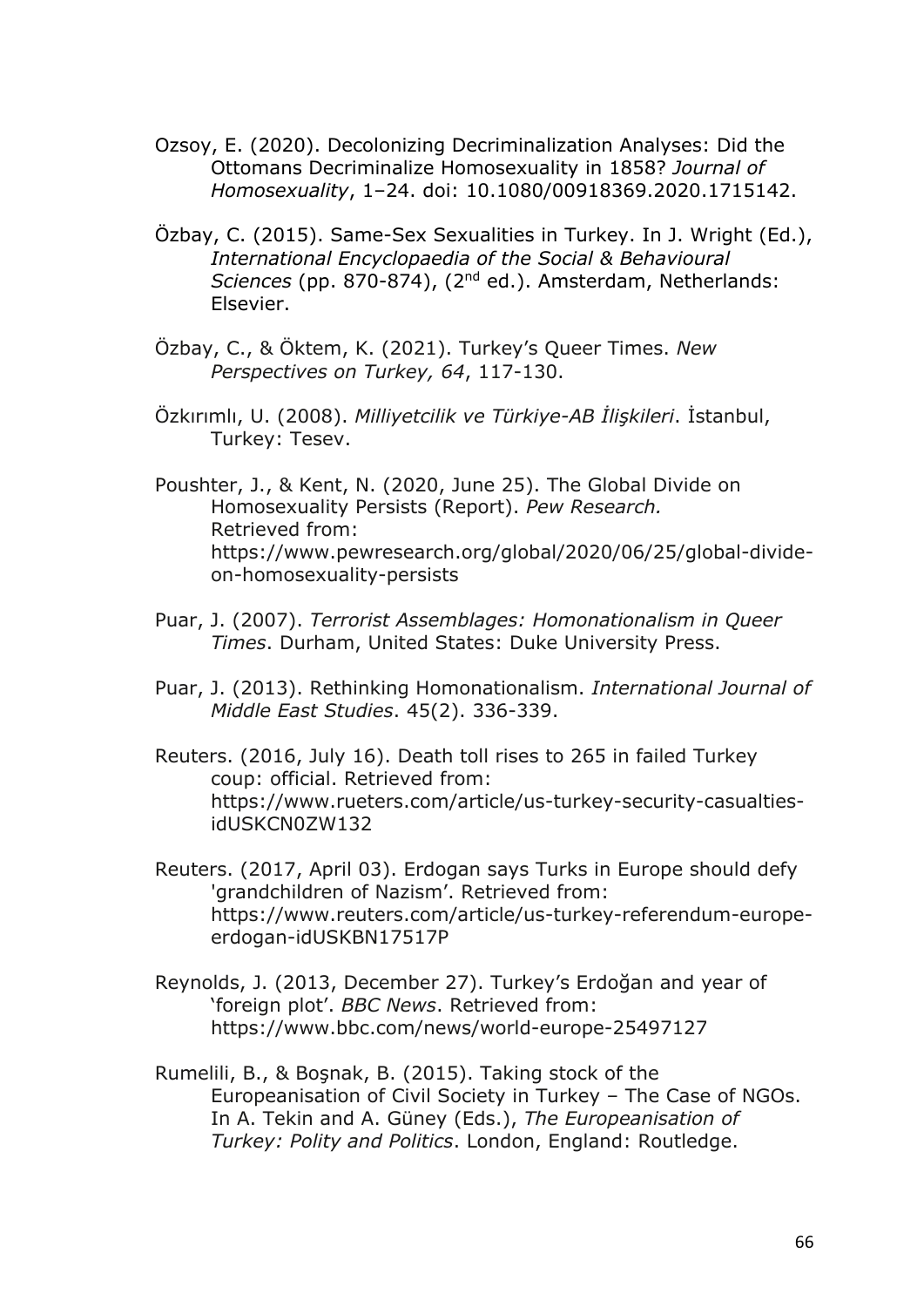- Ozsoy, E. (2020). Decolonizing Decriminalization Analyses: Did the Ottomans Decriminalize Homosexuality in 1858? *Journal of Homosexuality*, 1–24. doi: 10.1080/00918369.2020.1715142.
- Özbay, C. (2015). Same-Sex Sexualities in Turkey. In J. Wright (Ed.), *International Encyclopaedia of the Social & Behavioural Sciences* (pp. 870-874), (2nd ed.). Amsterdam, Netherlands: Elsevier.
- Özbay, C., & Öktem, K. (2021). Turkey's Queer Times. *New Perspectives on Turkey, 64*, 117-130.
- Özkırımlı, U. (2008). *Milliyetcilik ve Türkiye-AB İlişkileri*. İstanbul, Turkey: Tesev.
- Poushter, J., & Kent, N. (2020, June 25). The Global Divide on Homosexuality Persists (Report). *Pew Research.*  Retrieved from: https://www.pewresearch.org/global/2020/06/25/global-divideon-homosexuality-persists
- Puar, J. (2007). *Terrorist Assemblages: Homonationalism in Queer Times*. Durham, United States: Duke University Press.
- Puar, J. (2013). Rethinking Homonationalism. *International Journal of Middle East Studies*. 45(2). 336-339.
- Reuters. (2016, July 16). Death toll rises to 265 in failed Turkey coup: official. Retrieved from: https://www.rueters.com/article/us-turkey-security-casualtiesidUSKCN0ZW132
- Reuters. (2017, April 03). Erdogan says Turks in Europe should defy 'grandchildren of Nazism'. Retrieved from: https://www.reuters.com/article/us-turkey-referendum-europeerdogan-idUSKBN17517P
- Reynolds, J. (2013, December 27). Turkey's Erdoğan and year of 'foreign plot'. *BBC News*. Retrieved from: https://www.bbc.com/news/world-europe-25497127
- Rumelili, B., & Boşnak, B. (2015). Taking stock of the Europeanisation of Civil Society in Turkey – The Case of NGOs. In A. Tekin and A. Güney (Eds.), *The Europeanisation of Turkey: Polity and Politics*. London, England: Routledge.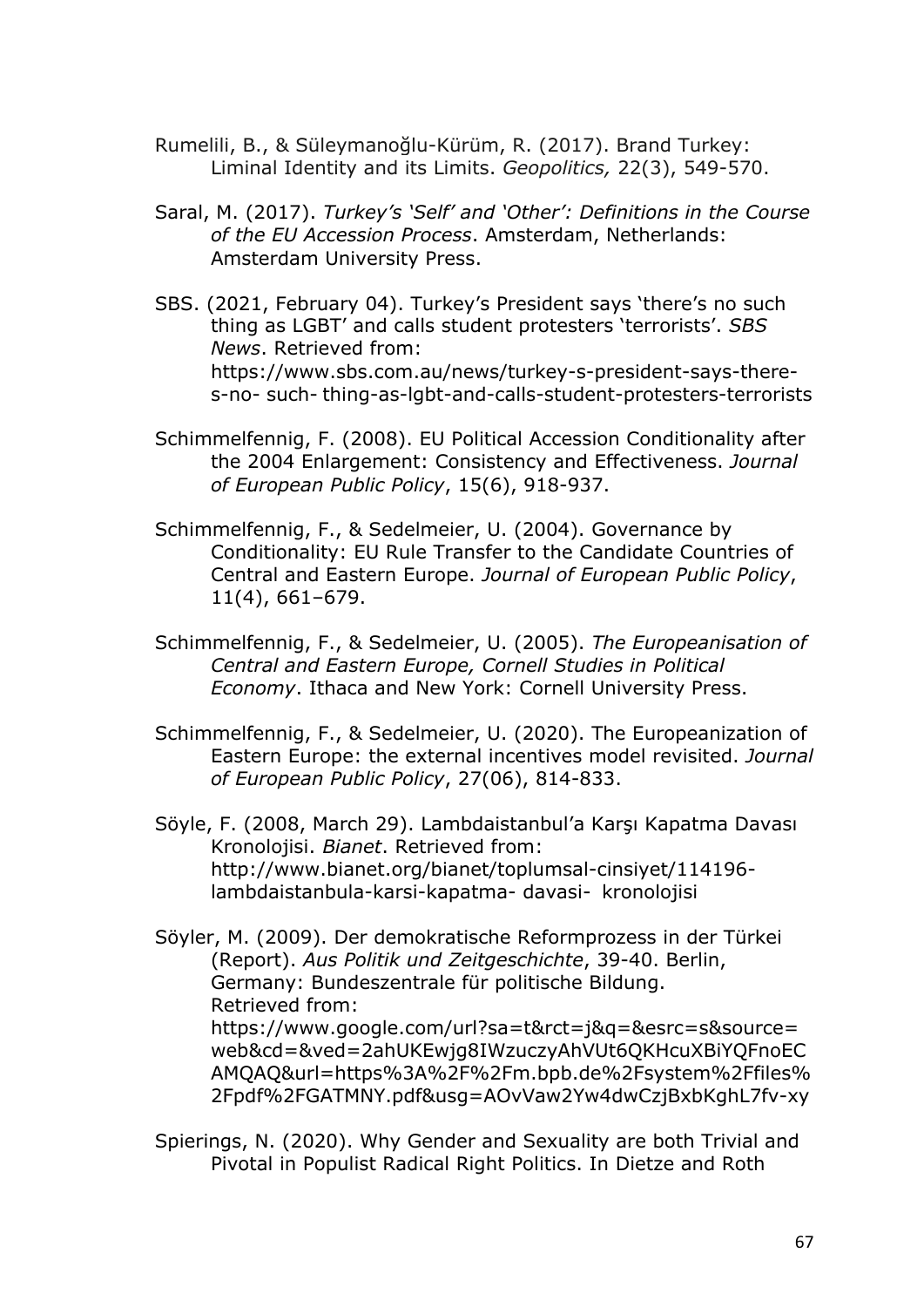- Rumelili, B., & Süleymanoğlu-Kürüm, R. (2017). Brand Turkey: Liminal Identity and its Limits. *Geopolitics,* 22(3), 549-570.
- Saral, M. (2017). *Turkey's 'Self' and 'Other': Definitions in the Course of the EU Accession Process*. Amsterdam, Netherlands: Amsterdam University Press.
- SBS. (2021, February 04). Turkey's President says 'there's no such thing as LGBT' and calls student protesters 'terrorists'. *SBS News*. Retrieved from: https://www.sbs.com.au/news/turkey-s-president-says-theres-no- such- thing-as-lgbt-and-calls-student-protesters-terrorists
- Schimmelfennig, F. (2008). EU Political Accession Conditionality after the 2004 Enlargement: Consistency and Effectiveness. *Journal of European Public Policy*, 15(6), 918-937.
- Schimmelfennig, F., & Sedelmeier, U. (2004). Governance by Conditionality: EU Rule Transfer to the Candidate Countries of Central and Eastern Europe. *Journal of European Public Policy*, 11(4), 661–679.
- Schimmelfennig, F., & Sedelmeier, U. (2005). *The Europeanisation of Central and Eastern Europe, Cornell Studies in Political Economy*. Ithaca and New York: Cornell University Press.
- Schimmelfennig, F., & Sedelmeier, U. (2020). The Europeanization of Eastern Europe: the external incentives model revisited. *Journal of European Public Policy*, 27(06), 814-833.
- Söyle, F. (2008, March 29). Lambdaistanbul'a Karşı Kapatma Davası Kronolojisi. *Bianet*. Retrieved from: http://www.bianet.org/bianet/toplumsal-cinsiyet/114196 lambdaistanbula-karsi-kapatma- davasi- kronolojisi
- Söyler, M. (2009). Der demokratische Reformprozess in der Türkei (Report). *Aus Politik und Zeitgeschichte*, 39-40. Berlin, Germany: Bundeszentrale für politische Bildung. Retrieved from:

https://www.google.com/url?sa=t&rct=j&q=&esrc=s&source= web&cd=&ved=2ahUKEwjg8IWzuczyAhVUt6QKHcuXBiYQFnoEC AMQAQ&url=https%3A%2F%2Fm.bpb.de%2Fsystem%2Ffiles% 2Fpdf%2FGATMNY.pdf&usg=AOvVaw2Yw4dwCzjBxbKghL7fv-xy

Spierings, N. (2020). Why Gender and Sexuality are both Trivial and Pivotal in Populist Radical Right Politics. In Dietze and Roth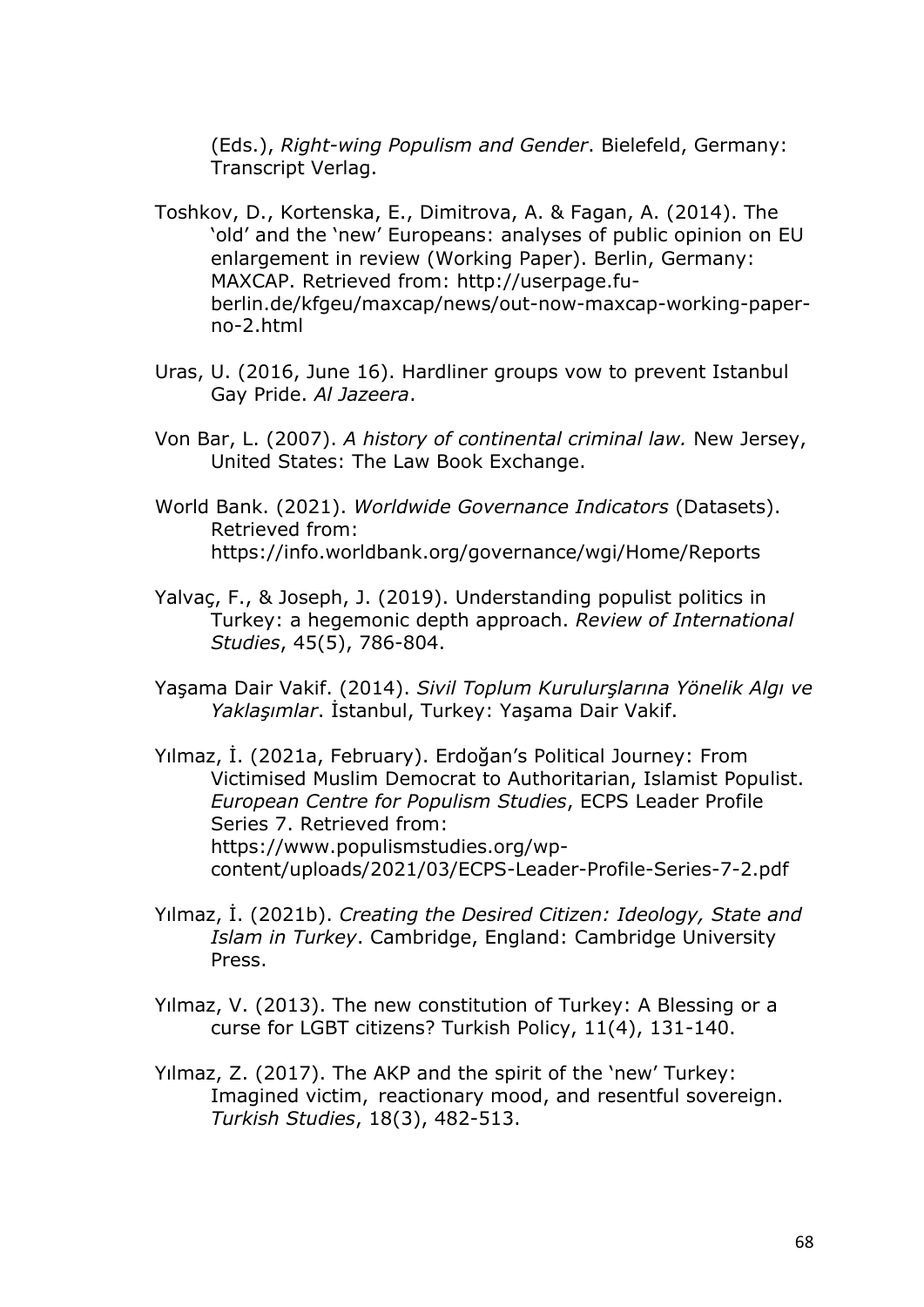(Eds.), *Right-wing Populism and Gender*. Bielefeld, Germany: Transcript Verlag.

- Toshkov, D., Kortenska, E., Dimitrova, A. & Fagan, A. (2014). The 'old' and the 'new' Europeans: analyses of public opinion on EU enlargement in review (Working Paper). Berlin, Germany: MAXCAP. Retrieved from: http://userpage.fuberlin.de/kfgeu/maxcap/news/out-now-maxcap-working-paperno-2.html
- Uras, U. (2016, June 16). Hardliner groups vow to prevent Istanbul Gay Pride. *Al Jazeera*.
- Von Bar, L. (2007). *A history of continental criminal law.* New Jersey, United States: The Law Book Exchange.
- World Bank. (2021). *Worldwide Governance Indicators* (Datasets). Retrieved from: https://info.worldbank.org/governance/wgi/Home/Reports
- Yalvaç, F., & Joseph, J. (2019). Understanding populist politics in Turkey: a hegemonic depth approach. *Review of International Studies*, 45(5), 786-804.
- Yaşama Dair Vakif. (2014). *Sivil Toplum Kurulurşlarına Yönelik Algı ve Yaklaşımlar*. İstanbul, Turkey: Yaşama Dair Vakif.
- Yılmaz, İ. (2021a, February). Erdoğan's Political Journey: From Victimised Muslim Democrat to Authoritarian, Islamist Populist. *European Centre for Populism Studies*, ECPS Leader Profile Series 7. Retrieved from: https://www.populismstudies.org/wpcontent/uploads/2021/03/ECPS-Leader-Profile-Series-7-2.pdf
- Yılmaz, İ. (2021b). *Creating the Desired Citizen: Ideology, State and Islam in Turkey*. Cambridge, England: Cambridge University Press.
- Yılmaz, V. (2013). The new constitution of Turkey: A Blessing or a curse for LGBT citizens? Turkish Policy, 11(4), 131-140.
- Yılmaz, Z. (2017). The AKP and the spirit of the 'new' Turkey: Imagined victim, reactionary mood, and resentful sovereign. *Turkish Studies*, 18(3), 482-513.